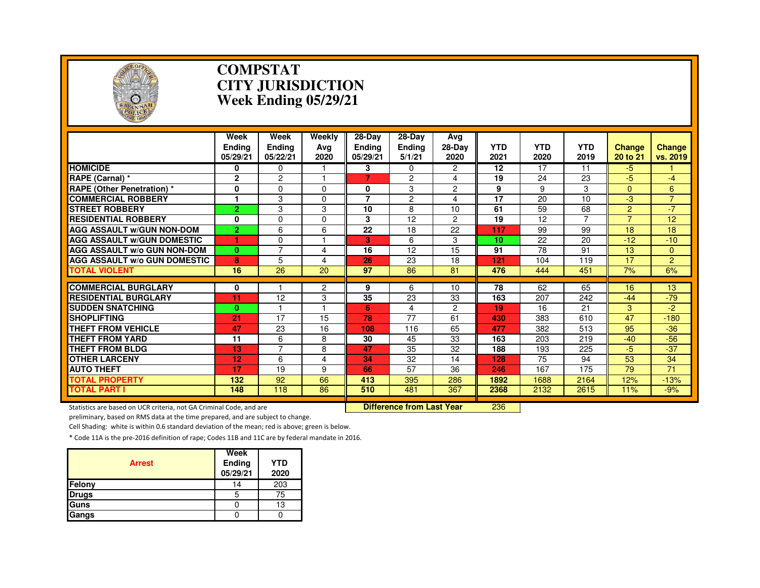

#### **COMPSTAT CITY JURISDICTIONWeek Ending 05/29/21**

|                                                                     | Week<br><b>Endina</b><br>05/29/21 | Week<br><b>Endina</b><br>05/22/21 | Weekly<br>Avg<br>2020     | $28$ -Day<br>Endina<br>05/29/21 | 28-Day<br><b>Ending</b><br>5/1/21 | Ava<br>28-Dav<br>2020 | <b>YTD</b><br>2021 | <b>YTD</b><br>2020 | <b>YTD</b><br>2019 | <b>Change</b><br>20 to 21 | <b>Change</b><br>vs. 2019 |
|---------------------------------------------------------------------|-----------------------------------|-----------------------------------|---------------------------|---------------------------------|-----------------------------------|-----------------------|--------------------|--------------------|--------------------|---------------------------|---------------------------|
| <b>HOMICIDE</b>                                                     | 0                                 | 0                                 |                           | 3                               | 0                                 | $\overline{2}$        | 12                 | 17                 | 11                 | -5                        |                           |
| RAPE (Carnal) *                                                     | $\mathbf{2}$                      | $\overline{c}$                    |                           | 7                               | 2                                 | 4                     | 19                 | 24                 | 23                 | $-5$                      | $-4$                      |
| <b>RAPE (Other Penetration) *</b>                                   | 0                                 | $\Omega$                          | $\Omega$                  | 0                               | 3                                 | $\overline{2}$        | 9                  | 9                  | 3                  | $\Omega$                  | 6                         |
| <b>COMMERCIAL ROBBERY</b>                                           | 1                                 | 3                                 | $\Omega$                  | $\overline{7}$                  | $\overline{c}$                    | 4                     | 17                 | 20                 | 10                 | -3                        | $\overline{7}$            |
| <b>STREET ROBBERY</b>                                               | $\overline{2}$                    | 3                                 | 3                         | 10                              | 8                                 | 10                    | 61                 | 59                 | 68                 | $\overline{2}$            | $-7$                      |
| <b>RESIDENTIAL ROBBERY</b>                                          | $\mathbf{0}$                      | $\Omega$                          | $\Omega$                  | 3                               | 12                                | $\overline{2}$        | 19                 | 12                 | $\overline{7}$     | $\overline{7}$            | 12                        |
| <b>AGG ASSAULT W/GUN NON-DOM</b>                                    | 2.                                | 6                                 | 6                         | 22                              | 18                                | 22                    | 117                | 99                 | 99                 | 18                        | 18                        |
| <b>AGG ASSAULT W/GUN DOMESTIC</b>                                   |                                   | $\Omega$                          |                           | 3                               | 6                                 | 3                     | 10                 | 22                 | 20                 | $-12$                     | $-10$                     |
| <b>AGG ASSAULT W/o GUN NON-DOM</b>                                  | $\mathbf{0}$                      | $\overline{7}$                    | 4                         | 16                              | 12                                | 15                    | 91                 | $\overline{78}$    | 91                 | 13                        | $\overline{0}$            |
| <b>AGG ASSAULT w/o GUN DOMESTIC</b>                                 | 8                                 | 5                                 | 4                         | 26                              | 23                                | 18                    | 121                | 104                | 119                | 17                        | $\overline{2}$            |
| <b>TOTAL VIOLENT</b>                                                | 16                                | 26                                | 20                        | 97                              | 86                                | 81                    | 476                | 444                | 451                | 7%                        | 6%                        |
| <b>COMMERCIAL BURGLARY</b>                                          | 0                                 |                                   | $\overline{2}$            | 9                               | 6                                 | 10                    | 78                 | 62                 | 65                 | 16                        | 13                        |
| <b>RESIDENTIAL BURGLARY</b>                                         | 11                                | 12                                | 3                         | 35                              | 23                                | 33                    | 163                | 207                | 242                | $-44$                     | $-79$                     |
| <b>SUDDEN SNATCHING</b>                                             | $\mathbf{0}$                      |                                   |                           | 6                               | 4                                 | $\overline{2}$        | 19                 | 16                 | 21                 | 3                         | $-2$                      |
| <b>SHOPLIFTING</b>                                                  | 21                                | 17                                | 15                        | 78                              | 77                                | 61                    | 430                | 383                | 610                | 47                        | $-180$                    |
| <b>THEFT FROM VEHICLE</b>                                           | 47                                | 23                                | 16                        | 108                             | 116                               | 65                    | 477                | 382                | 513                | 95                        | $-36$                     |
| <b>THEFT FROM YARD</b>                                              | 11                                | 6                                 | 8                         | 30                              | 45                                | 33                    | 163                | 203                | 219                | $-40$                     | $-56$                     |
| <b>THEFT FROM BLDG</b>                                              | 13                                | $\overline{7}$                    | 8                         | 47                              | 35                                | 32                    | 188                | 193                | 225                | $-5$                      | $-37$                     |
| <b>OTHER LARCENY</b>                                                | 12                                | 6                                 | 4                         | 34                              | 32                                | 14                    | 128                | 75                 | 94                 | 53                        | 34                        |
| <b>AUTO THEFT</b>                                                   | 17                                | 19                                | 9                         | 66                              | 57                                | 36                    | 246                | 167                | 175                | 79                        | 71                        |
| <b>TOTAL PROPERTY</b>                                               | 132                               | 92                                | 66                        | 413                             | 395                               | 286                   | 1892               | 1688               | 2164               | 12%                       | $-13%$                    |
| <b>TOTAL PART I</b>                                                 | 148                               | 118                               | 86                        | 510                             | 481                               | 367                   | 2368               | 2132               | 2615               | 11%                       | $-9%$                     |
| Statistics are based on UCR criteria, not GA Criminal Code, and are |                                   |                                   | Difference from Last Year |                                 | 236                               |                       |                    |                    |                    |                           |                           |

Statistics are based on UCR criteria, not GA Criminal Code, and are **Difference from Last Year** 

preliminary, based on RMS data at the time prepared, and are subject to change.

Cell Shading: white is within 0.6 standard deviation of the mean; red is above; green is below.

| <b>Arrest</b> | Week<br>Ending<br>05/29/21 | YTD<br>2020 |
|---------------|----------------------------|-------------|
| Felony        | 14                         | 203         |
| <b>Drugs</b>  | 5                          | 75          |
| Guns          |                            | 13          |
| Gangs         |                            |             |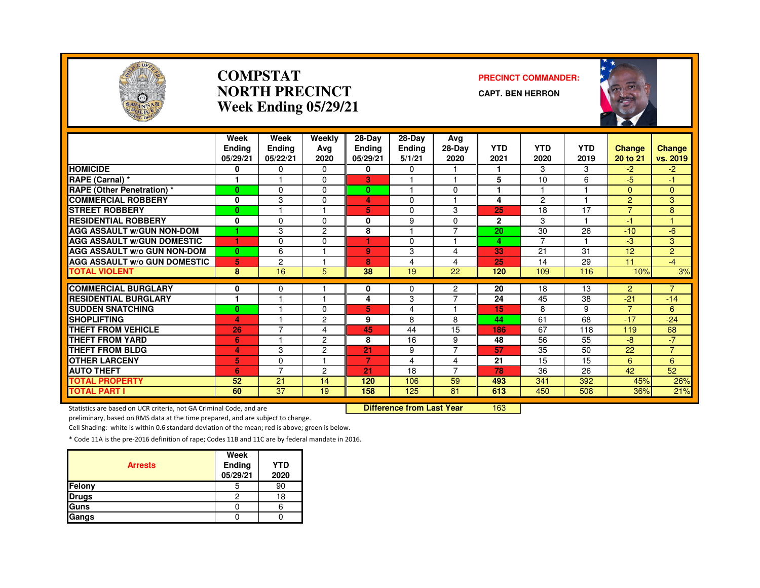

#### **COMPSTATNORTH PRECINCTWeek Ending 05/29/21**

#### **PRECINCT COMMANDER:**

**CAPT. BEN HERRON**



|                                     | Week<br><b>Endina</b><br>05/29/21 | Week<br><b>Ending</b><br>05/22/21 | Weekly<br>Avg<br>2020 | 28-Day<br><b>Ending</b><br>05/29/21 | $28-Dav$<br>Ending<br>5/1/21 | Avg<br>$28-Dav$<br>2020 | <b>YTD</b><br>2021 | <b>YTD</b><br>2020 | <b>YTD</b><br>2019 | <b>Change</b><br>20 to 21 | <b>Change</b><br>vs. 2019 |
|-------------------------------------|-----------------------------------|-----------------------------------|-----------------------|-------------------------------------|------------------------------|-------------------------|--------------------|--------------------|--------------------|---------------------------|---------------------------|
| <b>HOMICIDE</b>                     | 0                                 | $\Omega$                          | $\Omega$              | 0                                   | $\Omega$                     |                         |                    | 3                  | 3                  | $-2$                      | $-2$                      |
| RAPE (Carnal) *                     | и                                 | н                                 | $\Omega$              | 3                                   |                              | н                       | 5                  | 10                 | 6                  | $-5$                      | 47                        |
| <b>RAPE (Other Penetration) *</b>   | $\bf{0}$                          | $\Omega$                          | $\Omega$              | $\mathbf{0}$                        |                              | $\Omega$                |                    | -1                 |                    | $\Omega$                  | 0                         |
| <b>COMMERCIAL ROBBERY</b>           | 0                                 | 3                                 | $\Omega$              | 4                                   | $\Omega$                     |                         | 4                  | $\overline{c}$     |                    | $\overline{2}$            | 3                         |
| <b>STREET ROBBERY</b>               | $\bf{0}$                          |                                   |                       | 5                                   | $\Omega$                     | 3                       | 25                 | 18                 | 17                 | $\overline{7}$            | 8                         |
| <b>RESIDENTIAL ROBBERY</b>          | 0                                 | $\Omega$                          | $\Omega$              | 0                                   | 9                            | $\Omega$                | $\mathbf{2}$       | 3                  |                    | $-1$                      |                           |
| <b>AGG ASSAULT W/GUN NON-DOM</b>    | ٠                                 | 3                                 | 2                     | 8                                   |                              | $\overline{7}$          | 20                 | 30                 | 26                 | $-10$                     | $-6$                      |
| <b>AGG ASSAULT w/GUN DOMESTIC</b>   | и                                 | $\Omega$                          | $\Omega$              | и                                   | $\Omega$                     | 1                       | 4                  | $\overline{7}$     |                    | -3                        | 3                         |
| <b>AGG ASSAULT w/o GUN NON-DOM</b>  | $\bf{0}$                          | 6                                 |                       | 9                                   | 3                            | 4                       | 33                 | 21                 | 31                 | 12                        | $\overline{2}$            |
| <b>AGG ASSAULT W/o GUN DOMESTIC</b> | 5                                 | $\overline{c}$                    |                       | 8                                   | 4                            | 4                       | 25                 | 14                 | 29                 | 11                        | $-4$                      |
| <b>TOTAL VIOLENT</b>                | 8                                 | 16                                | 5                     | 38                                  | 19                           | 22                      | 120                | 109                | 116                | 10%                       | 3%                        |
| <b>COMMERCIAL BURGLARY</b>          |                                   | $\Omega$                          |                       |                                     |                              | 2                       | 20                 | 18                 | 13                 | $\overline{2}$            | $\overline{7}$            |
| <b>RESIDENTIAL BURGLARY</b>         | 0<br>٠                            |                                   |                       | 0<br>4                              | 0<br>3                       | $\overline{7}$          | 24                 | 45                 | 38                 | $-21$                     | $-14$                     |
| <b>SUDDEN SNATCHING</b>             | $\bf{0}$                          |                                   | $\Omega$              | 5.                                  | 4                            |                         | 15                 | 8                  | 9                  | $\overline{7}$            | 6                         |
| <b>SHOPLIFTING</b>                  | 4                                 |                                   | 2                     | 9                                   | 8                            | 8                       | 44                 | 61                 | 68                 | $-17$                     | $-24$                     |
| <b>THEFT FROM VEHICLE</b>           | 26                                | $\overline{7}$                    | 4                     | 45                                  | 44                           | 15                      | 186                | 67                 | 118                | 119                       | 68                        |
| <b>THEFT FROM YARD</b>              | 6                                 |                                   | 2                     | 8                                   | 16                           | 9                       | 48                 | 56                 | 55                 | -8                        | $-7$                      |
| <b>THEFT FROM BLDG</b>              | 4                                 | 3                                 | $\overline{c}$        | 21                                  | 9                            | $\overline{7}$          | 57                 | 35                 | 50                 | 22                        | $\overline{7}$            |
| <b>OTHER LARCENY</b>                | 5                                 | $\Omega$                          |                       | $\overline{7}$                      | 4                            | 4                       | 21                 | 15                 | 15                 | 6                         | 6                         |
| <b>AUTO THEFT</b>                   | 6                                 | $\overline{7}$                    | 2                     | 21                                  | 18                           | $\overline{7}$          | 78                 | 36                 | 26                 | 42                        | 52                        |
| <b>TOTAL PROPERTY</b>               | 52                                | 21                                | 14                    | 120                                 | 106                          | 59                      | 493                | 341                | 392                | 45%                       | 26%                       |
| <b>TOTAL PART I</b>                 | 60                                | $\overline{37}$                   | 19                    | 158                                 | 125                          | 81                      | 613                | 450                | 508                | 36%                       | 21%                       |

Statistics are based on UCR criteria, not GA Criminal Code, and are **Difference from Last Year** 

<sup>163</sup>

preliminary, based on RMS data at the time prepared, and are subject to change.

Cell Shading: white is within 0.6 standard deviation of the mean; red is above; green is below.

| <b>Arrests</b> | Week<br><b>Ending</b><br>05/29/21 | <b>YTD</b><br>2020 |
|----------------|-----------------------------------|--------------------|
| <b>Felony</b>  | 5                                 | 90                 |
| <b>Drugs</b>   | 2                                 | 18                 |
| Guns           |                                   |                    |
| <b>Gangs</b>   |                                   |                    |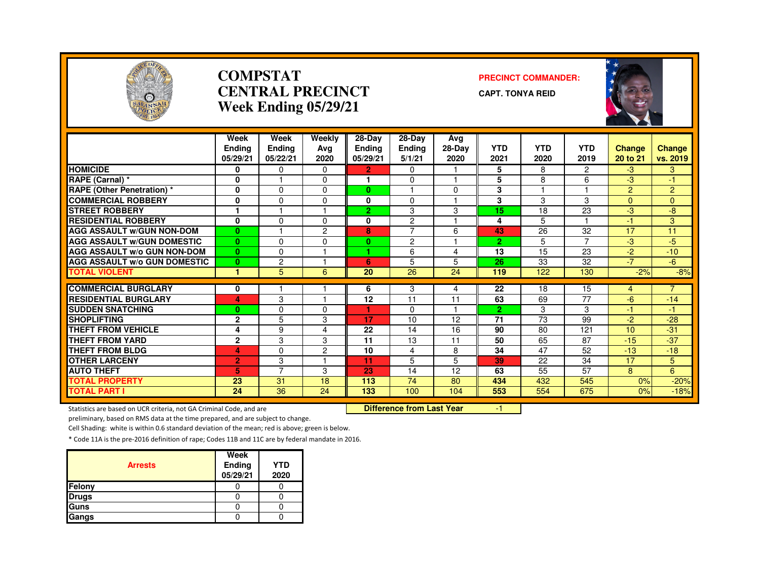

#### **COMPSTATCENTRAL PRECINCTWeek Ending 05/29/21**

#### **PRECINCT COMMANDER:**

**CAPT. TONYA REID**



|                                     | Week<br><b>Ending</b><br>05/29/21 | Week<br><b>Endina</b><br>05/22/21 | Weekly<br>Avg<br>2020 | 28-Day<br><b>Ending</b><br>05/29/21 | 28-Day<br><b>Ending</b><br>5/1/21 | Avg<br>28-Dav<br>2020 | <b>YTD</b><br>2021 | <b>YTD</b><br>2020 | <b>YTD</b><br>2019 | <b>Change</b><br>20 to 21 | <b>Change</b><br>vs. 2019 |
|-------------------------------------|-----------------------------------|-----------------------------------|-----------------------|-------------------------------------|-----------------------------------|-----------------------|--------------------|--------------------|--------------------|---------------------------|---------------------------|
| <b>HOMICIDE</b>                     | 0                                 | $\Omega$                          | 0                     | $\mathbf{2}$                        | $\Omega$                          |                       | 5                  | 8                  | $\overline{2}$     | $-3$                      | 3                         |
| RAPE (Carnal) *                     | 0                                 |                                   | $\Omega$              | 1                                   | $\Omega$                          | $\overline{1}$        | 5                  | 8                  | 6                  | -3                        | $-1$                      |
| RAPE (Other Penetration) *          | 0                                 | $\Omega$                          | $\Omega$              | $\bf{0}$                            |                                   | $\Omega$              | 3                  |                    | ы                  | $\overline{2}$            | $\overline{2}$            |
| <b>COMMERCIAL ROBBERY</b>           | 0                                 | $\Omega$                          | $\Omega$              | 0                                   | $\Omega$                          |                       | 3                  | 3                  | 3                  | $\Omega$                  | $\Omega$                  |
| <b>STREET ROBBERY</b>               | 1                                 |                                   |                       | $\overline{2}$                      | 3                                 | 3                     | 15                 | 18                 | 23                 | -3                        | -8                        |
| <b>RESIDENTIAL ROBBERY</b>          | 0                                 | $\Omega$                          | $\Omega$              | 0                                   | 2                                 |                       | 4                  | 5                  |                    | $-1$                      | 3                         |
| <b>AGG ASSAULT W/GUN NON-DOM</b>    | $\bf{0}$                          |                                   | $\overline{2}$        | 8                                   | $\overline{7}$                    | 6                     | 43                 | 26                 | 32                 | 17                        | 11                        |
| <b>AGG ASSAULT W/GUN DOMESTIC</b>   | $\bf{0}$                          | $\Omega$                          | $\Omega$              | $\bf{0}$                            | $\overline{c}$                    |                       | $\overline{2}$     | 5                  | $\overline{7}$     | -3                        | $-5$                      |
| <b>AGG ASSAULT W/o GUN NON-DOM</b>  | $\mathbf{0}$                      | $\Omega$                          |                       |                                     | 6                                 | 4                     | 13                 | 15                 | 23                 | $-2$                      | $-10$                     |
| <b>AGG ASSAULT W/o GUN DOMESTIC</b> | $\bf{0}$                          | $\overline{c}$                    |                       | 6                                   | 5                                 | 5                     | 26                 | 33                 | 32                 | $-7$                      | $-6$                      |
| <b>TOTAL VIOLENT</b>                | 1                                 | 5                                 | 6                     | 20                                  | 26                                | 24                    | 119                | 122                | 130                | $-2%$                     | $-8%$                     |
|                                     |                                   |                                   |                       |                                     |                                   |                       |                    |                    |                    |                           | $\overline{7}$            |
| <b>COMMERCIAL BURGLARY</b>          | 0                                 |                                   |                       | 6                                   | 3                                 | 4                     | 22                 | 18                 | 15                 | 4                         |                           |
| <b>RESIDENTIAL BURGLARY</b>         | 4                                 | 3                                 |                       | 12                                  | 11                                | 11                    | 63                 | 69                 | 77                 | $-6$                      | $-14$                     |
| <b>SUDDEN SNATCHING</b>             | $\bf{0}$                          | $\Omega$                          | $\Omega$              |                                     | $\Omega$                          |                       | $\overline{2}$     | 3                  | 3                  | $-1$                      | -1.                       |
| <b>SHOPLIFTING</b>                  | $\mathbf{2}$                      | 5                                 | 3                     | 17                                  | 10                                | 12                    | $\overline{71}$    | 73                 | 99                 | $-2$                      | $-28$                     |
| <b>THEFT FROM VEHICLE</b>           | 4                                 | 9                                 | 4                     | 22                                  | 14                                | 16                    | 90                 | 80                 | 121                | 10                        | $-31$                     |
| <b>THEFT FROM YARD</b>              | $\mathbf{2}$                      | 3                                 | 3                     | 11                                  | 13                                | 11                    | 50                 | 65                 | 87                 | $-15$                     | $-37$                     |
| <b>THEFT FROM BLDG</b>              | 4                                 | $\Omega$                          | $\mathbf{2}$          | 10                                  | 4                                 | 8                     | 34                 | 47                 | 52                 | $-13$                     | $-18$                     |
| <b>OTHER LARCENY</b>                | 2                                 | 3                                 |                       | 11                                  | 5                                 | 5                     | 39                 | 22                 | 34                 | 17                        | 5                         |
| <b>AUTO THEFT</b>                   | 5                                 | $\overline{ }$                    | 3                     | 23                                  | 14                                | 12                    | 63                 | 55                 | 57                 | 8                         | 6                         |
| TOTAL PROPERTY                      | 23                                | 31                                | 18                    | 113                                 | 74                                | 80                    | 434                | 432                | 545                | 0%                        | $-20%$                    |
| <b>TOTAL PART I</b>                 | 24                                | 36                                | 24                    | 133                                 | 100                               | 104                   | 553                | 554                | 675                | 0%                        | $-18%$                    |

Statistics are based on UCR criteria, not GA Criminal Code, and are

Difference from Last Year 1

preliminary, based on RMS data at the time prepared, and are subject to change.

Cell Shading: white is within 0.6 standard deviation of the mean; red is above; green is below.

| <b>Arrests</b> | Week<br>Ending<br>05/29/21 | <b>YTD</b><br>2020 |
|----------------|----------------------------|--------------------|
| Felony         |                            |                    |
| <b>Drugs</b>   |                            |                    |
| Guns           |                            |                    |
| Gangs          |                            |                    |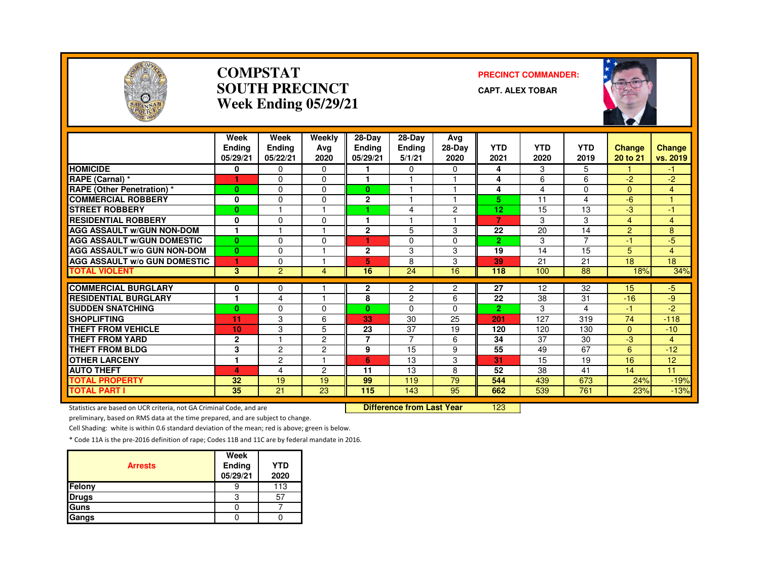

#### **COMPSTATSOUTH PRECINCTWeek Ending 05/29/21**

#### **PRECINCT COMMANDER:**

**CAPT. ALEX TOBAR**



|                                     | Week<br><b>Endina</b><br>05/29/21 | Week<br><b>Ending</b><br>05/22/21 | Weekly<br>Ava<br>2020 | $28-Dav$<br><b>Ending</b><br>05/29/21 | $28$ -Day<br><b>Ending</b><br>5/1/21 | Avg<br>$28-Dav$<br>2020 | <b>YTD</b><br>2021 | <b>YTD</b><br>2020 | <b>YTD</b><br>2019 | Change<br>20 to 21 | Change<br>vs. 2019 |
|-------------------------------------|-----------------------------------|-----------------------------------|-----------------------|---------------------------------------|--------------------------------------|-------------------------|--------------------|--------------------|--------------------|--------------------|--------------------|
| <b>HOMICIDE</b>                     | 0                                 | $\Omega$                          | 0                     |                                       | $\Omega$                             | $\Omega$                | 4                  | 3                  | 5.                 |                    | -1.                |
| RAPE (Carnal) *                     |                                   | $\Omega$                          | 0                     |                                       |                                      |                         | 4                  | 6                  | 6                  | $-2$               | $-2$               |
| <b>RAPE (Other Penetration) *</b>   | $\bf{0}$                          | $\Omega$                          | 0                     | $\mathbf{0}$                          |                                      | -1                      | 4                  | 4                  | 0                  | $\Omega$           | 4                  |
| <b>COMMERCIAL ROBBERY</b>           | 0                                 | $\Omega$                          | 0                     | $\mathbf{2}$                          |                                      |                         | 5                  | 11                 | 4                  | -6                 | 1                  |
| <b>STREET ROBBERY</b>               | $\bf{0}$                          |                                   |                       | 4                                     | 4                                    | $\overline{c}$          | 12                 | 15                 | 13                 | -3                 | $-1$               |
| <b>RESIDENTIAL ROBBERY</b>          | 0                                 | $\Omega$                          | $\Omega$              |                                       |                                      |                         | $\overline{7}$     | 3                  | 3                  | 4                  | 4                  |
| <b>AGG ASSAULT W/GUN NON-DOM</b>    | $\mathbf{1}$                      |                                   |                       | $\overline{2}$                        | 5                                    | 3                       | 22                 | 20                 | 14                 | 2                  | 8                  |
| <b>AGG ASSAULT W/GUN DOMESTIC</b>   | $\bf{0}$                          | $\Omega$                          | $\Omega$              | ٠                                     | 0                                    | $\Omega$                | $\overline{2}$     | 3                  | $\overline{7}$     | $-1$               | $-5$               |
| AGG ASSAULT w/o GUN NON-DOM         | $\bf{0}$                          | $\Omega$                          |                       | $\mathbf{2}$                          | 3                                    | 3                       | 19                 | 14                 | 15                 | 5                  | 4                  |
| <b>AGG ASSAULT w/o GUN DOMESTIC</b> | 1                                 | $\Omega$                          |                       | 5                                     | 8                                    | 3                       | 39                 | 21                 | 21                 | 18                 | 18                 |
| <b>TOTAL VIOLENT</b>                | $\mathbf{3}$                      | 2                                 | 4                     | 16                                    | 24                                   | 16                      | 118                | 100                | 88                 | 18%                | 34%                |
| <b>COMMERCIAL BURGLARY</b>          |                                   | $\Omega$                          |                       |                                       |                                      |                         | 27                 | 12                 | 32                 | 15                 | $-5$               |
| <b>RESIDENTIAL BURGLARY</b>         | 0<br>1                            | $\overline{4}$                    | н                     | 2<br>8                                | 2<br>$\overline{2}$                  | 2<br>6                  | 22                 | 38                 | 31                 | $-16$              | -9                 |
| <b>SUDDEN SNATCHING</b>             | $\bf{0}$                          | $\Omega$                          | 0                     | $\mathbf{0}$                          | $\Omega$                             | 0                       | $\overline{2}$     | 3                  | 4                  | -1                 | -2                 |
| <b>SHOPLIFTING</b>                  | 11                                | 3                                 | 6                     | 33                                    | 30                                   | 25                      | 201                | 127                | 319                | 74                 | $-118$             |
| <b>THEFT FROM VEHICLE</b>           | 10                                | 3                                 | 5                     | 23                                    | 37                                   | 19                      | 120                | 120                | 130                | $\Omega$           | $-10$              |
| <b>THEFT FROM YARD</b>              | $\mathbf{2}$                      |                                   | 2                     | $\overline{7}$                        | $\overline{7}$                       | 6                       | 34                 | 37                 | 30                 | -3                 | 4                  |
| <b>THEFT FROM BLDG</b>              | 3                                 | $\overline{c}$                    | $\mathbf{2}$          | 9                                     | 15                                   | 9                       | 55                 | 49                 | 67                 | 6                  | $-12$              |
| <b>OTHER LARCENY</b>                | 1                                 | $\overline{c}$                    |                       | 6                                     | 13                                   | 3                       | 31                 | 15                 | 19                 | 16                 | 12                 |
| <b>AUTO THEFT</b>                   | 4                                 | 4                                 | $\overline{c}$        | 11                                    | 13                                   | 8                       | 52                 | 38                 | 41                 | 14                 | 11                 |
| <b>TOTAL PROPERTY</b>               | 32                                | 19                                | 19                    | 99                                    | 119                                  | 79                      | 544                | 439                | 673                | 24%                |                    |
| <b>TOTAL PART I</b>                 | 35                                | 21                                | 23                    | 115                                   | 143                                  | 95                      | 662                | 539                | 761                | 23%                | $-19%$<br>$-13%$   |

Statistics are based on UCR criteria, not GA Criminal Code, and are **Difference from Last Year** 

<sup>123</sup>

preliminary, based on RMS data at the time prepared, and are subject to change.

Cell Shading: white is within 0.6 standard deviation of the mean; red is above; green is below.

| <b>Arrests</b> | Week<br>Ending<br>05/29/21 | <b>YTD</b><br>2020 |
|----------------|----------------------------|--------------------|
| Felony         |                            | 113                |
| <b>Drugs</b>   | 3                          | 57                 |
| Guns           |                            |                    |
| Gangs          |                            |                    |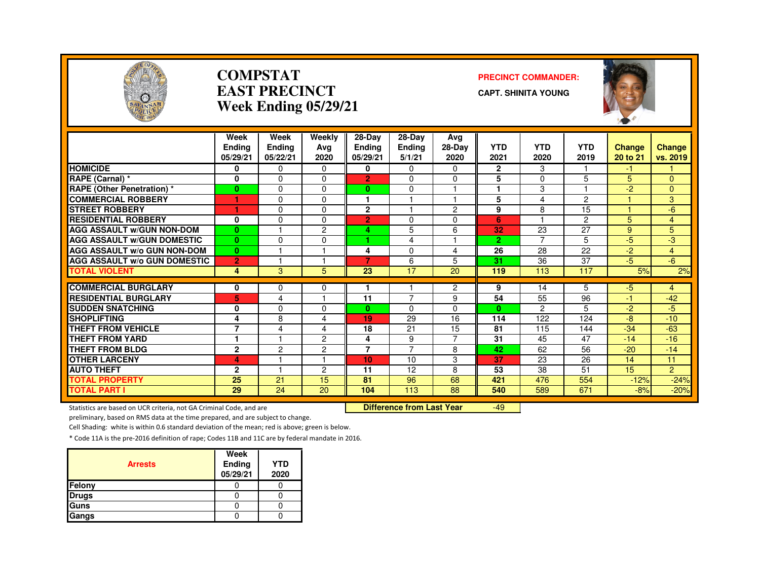

#### **COMPSTATEAST PRECINCTWeek Ending 05/29/21**

#### **PRECINCT COMMANDER:**

**CAPT. SHINITA YOUNG**



|                                              | Week<br><b>Ending</b><br>05/29/21 | Week<br><b>Ending</b><br>05/22/21 | Weekly<br>Avg<br>2020 | $28-Dav$<br>Ending<br>05/29/21 | $28-Dav$<br><b>Ending</b><br>5/1/21 | Ava<br>$28-Dav$<br>2020 | <b>YTD</b><br>2021 | <b>YTD</b><br>2020 | <b>YTD</b><br>2019 | <b>Change</b><br>20 to 21 | <b>Change</b><br>vs. 2019 |
|----------------------------------------------|-----------------------------------|-----------------------------------|-----------------------|--------------------------------|-------------------------------------|-------------------------|--------------------|--------------------|--------------------|---------------------------|---------------------------|
| <b>HOMICIDE</b>                              | 0                                 | 0                                 | 0                     | 0                              | 0                                   | $\Omega$                | $\overline{2}$     | 3                  |                    | -1                        |                           |
| RAPE (Carnal) *                              | 0                                 | $\Omega$                          | $\Omega$              | $\overline{2}$                 | $\Omega$                            | $\Omega$                | 5                  | $\Omega$           | 5                  | 5                         | $\Omega$                  |
| <b>RAPE (Other Penetration) *</b>            | $\bf{0}$                          | $\Omega$                          | $\Omega$              | $\mathbf{0}$                   | $\Omega$                            | 4                       | 1                  | 3                  | ٠                  | $-2$                      | $\Omega$                  |
| <b>COMMERCIAL ROBBERY</b>                    | 1                                 | $\Omega$                          | 0                     | м                              |                                     | н                       | 5                  | 4                  | $\overline{2}$     |                           | 3                         |
| <b>STREET ROBBERY</b>                        | 1                                 | $\Omega$                          | $\Omega$              | $\mathbf{2}$                   |                                     | $\overline{2}$          | 9                  | 8                  | 15                 |                           | $-6$                      |
| <b>RESIDENTIAL ROBBERY</b>                   | 0                                 | $\Omega$                          | $\Omega$              | $\overline{2}$                 | $\Omega$                            | 0                       | 6                  |                    | $\overline{2}$     | 5                         | 4                         |
| <b>AGG ASSAULT W/GUN NON-DOM</b>             | $\mathbf{0}$                      |                                   | 2                     | 4                              | 5                                   | 6                       | 32                 | 23                 | 27                 | 9                         | 5                         |
| <b>AGG ASSAULT W/GUN DOMESTIC</b>            | $\mathbf{0}$                      | $\Omega$                          | $\Omega$              | ٠                              | 4                                   |                         | $\overline{2}$     | $\overline{7}$     | 5                  | $-5$                      | -3                        |
| <b>AGG ASSAULT W/o GUN NON-DOM</b>           | $\mathbf{0}$                      |                                   |                       | 4                              | $\Omega$                            | 4                       | $\overline{26}$    | 28                 | 22                 | $-2$                      | 4                         |
| <b>AGG ASSAULT W/o GUN DOMESTIC</b>          | $\overline{2}$                    |                                   |                       | $\overline{\mathbf{z}}$        | 6                                   | 5                       | 31                 | 36                 | 37                 | $-5$                      | $-6$                      |
| <b>TOTAL VIOLENT</b>                         | 4                                 | 3                                 | 5                     | 23                             | 17                                  | 20                      | 119                | 113                | 117                | 5%                        | 2%                        |
| <b>COMMERCIAL BURGLARY</b>                   |                                   |                                   |                       |                                |                                     |                         |                    |                    |                    |                           |                           |
| <b>RESIDENTIAL BURGLARY</b>                  | 0<br>5                            | 0<br>4                            | 0                     | 11                             | 7                                   | $\overline{c}$<br>9     | 9<br>54            | 14<br>55           | 5<br>96            | -5<br>$-1$                | 4<br>$-42$                |
| <b>SUDDEN SNATCHING</b>                      | 0                                 | $\Omega$                          | 0                     | $\mathbf{0}$                   | $\Omega$                            | $\Omega$                | $\mathbf{0}$       | $\mathcal{P}$      | 5                  | $-2$                      | $-5$                      |
| <b>SHOPLIFTING</b>                           |                                   | 8                                 | 4                     | 19                             | 29                                  | 16                      | 114                | 122                | 124                | -8                        | $-10$                     |
| <b>THEFT FROM VEHICLE</b>                    | 4<br>7                            | 4                                 | 4                     | 18                             | 21                                  | 15                      | 81                 | 115                | 144                | $-34$                     | $-63$                     |
| <b>THEFT FROM YARD</b>                       |                                   |                                   | 2                     | 4                              | 9                                   | $\overline{7}$          | 31                 | 45                 | 47                 | $-14$                     | $-16$                     |
| <b>THEFT FROM BLDG</b>                       | $\mathbf{2}$                      | $\overline{c}$                    | 2                     | $\overline{ }$                 | $\overline{7}$                      | 8                       | 42                 | 62                 | 56                 | $-20$                     | $-14$                     |
| <b>OTHER LARCENY</b>                         | 4                                 |                                   | ٠                     | 10 <sub>1</sub>                | 10                                  | 3                       | 37                 | 23                 | 26                 | 14                        | 11                        |
| <b>AUTO THEFT</b>                            |                                   | ٠                                 |                       | 11                             | 12                                  |                         |                    | 38                 |                    | 15                        | $\overline{2}$            |
|                                              | $\mathbf{2}$<br>25                | 21                                | $\overline{c}$<br>15  | 81                             | 96                                  | 8<br>68                 | 53<br>421          | 476                | 51                 |                           |                           |
| <b>TOTAL PROPERTY</b><br><b>TOTAL PART I</b> | 29                                | 24                                | 20                    | 104                            | 113                                 | 88                      | 540                | 589                | 554<br>671         | $-12%$<br>$-8%$           | $-24%$<br>$-20%$          |

Statistics are based on UCR criteria, not GA Criminal Code, and are **Difference from Last Year** 

-49

preliminary, based on RMS data at the time prepared, and are subject to change.

Cell Shading: white is within 0.6 standard deviation of the mean; red is above; green is below.

| <b>Arrests</b> | Week<br>Ending<br>05/29/21 | <b>YTD</b><br>2020 |
|----------------|----------------------------|--------------------|
| Felony         |                            |                    |
| <b>Drugs</b>   |                            |                    |
| Guns           |                            |                    |
| Gangs          |                            |                    |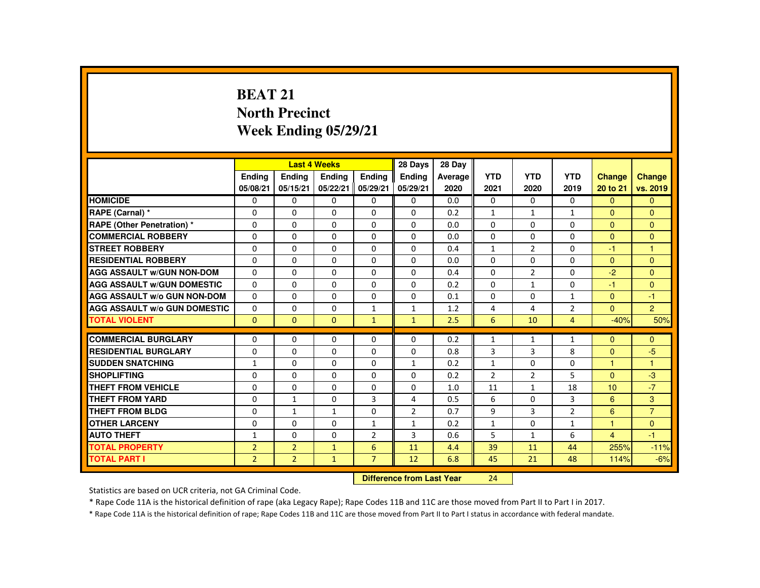# **BEAT 21 North PrecinctWeek Ending 05/29/21**

|                                     |                |                | <b>Last 4 Weeks</b> |                | 28 Days                   | 28 Day  |                |                |                |                |                      |
|-------------------------------------|----------------|----------------|---------------------|----------------|---------------------------|---------|----------------|----------------|----------------|----------------|----------------------|
|                                     | <b>Endina</b>  | <b>Ending</b>  | <b>Endina</b>       | Ending         | <b>Endina</b>             | Average | <b>YTD</b>     | <b>YTD</b>     | <b>YTD</b>     | <b>Change</b>  | <b>Change</b>        |
|                                     | 05/08/21       | 05/15/21       | 05/22/21            | 05/29/21       | 05/29/21                  | 2020    | 2021           | 2020           | 2019           | 20 to 21       | vs. 2019             |
| <b>HOMICIDE</b>                     | $\mathbf{0}$   | $\Omega$       | 0                   | $\Omega$       | $\mathbf{0}$              | 0.0     | $\mathbf{0}$   | $\Omega$       | $\Omega$       | $\Omega$       | $\Omega$             |
| RAPE (Carnal) *                     | 0              | $\Omega$       | $\Omega$            | $\Omega$       | $\mathbf{0}$              | 0.2     | $\mathbf{1}$   | $\mathbf{1}$   | $\mathbf{1}$   | $\Omega$       | $\Omega$             |
| RAPE (Other Penetration) *          | $\Omega$       | $\Omega$       | $\Omega$            | $\Omega$       | $\Omega$                  | 0.0     | $\Omega$       | $\Omega$       | $\Omega$       | $\Omega$       | $\Omega$             |
| <b>COMMERCIAL ROBBERY</b>           | $\Omega$       | $\Omega$       | $\Omega$            | $\Omega$       | $\Omega$                  | 0.0     | $\Omega$       | $\Omega$       | $\Omega$       | $\mathbf{0}$   | $\Omega$             |
| <b>STREET ROBBERY</b>               | $\Omega$       | $\Omega$       | $\Omega$            | $\Omega$       | $\Omega$                  | 0.4     | $\mathbf{1}$   | $\overline{2}$ | $\Omega$       | $-1$           | $\blacktriangleleft$ |
| <b>RESIDENTIAL ROBBERY</b>          | 0              | $\mathbf{0}$   | 0                   | $\Omega$       | 0                         | 0.0     | $\Omega$       | 0              | 0              | $\Omega$       | $\mathbf{0}$         |
| <b>AGG ASSAULT w/GUN NON-DOM</b>    | $\Omega$       | $\Omega$       | $\Omega$            | $\Omega$       | $\Omega$                  | 0.4     | $\Omega$       | $\overline{2}$ | $\Omega$       | $-2$           | $\Omega$             |
| <b>AGG ASSAULT W/GUN DOMESTIC</b>   | $\Omega$       | $\Omega$       | $\Omega$            | $\Omega$       | $\Omega$                  | 0.2     | $\Omega$       | $\mathbf{1}$   | $\Omega$       | $-1$           | $\Omega$             |
| <b>AGG ASSAULT w/o GUN NON-DOM</b>  | $\Omega$       | $\Omega$       | $\Omega$            | $\Omega$       | $\Omega$                  | 0.1     | $\Omega$       | $\Omega$       | $\mathbf{1}$   | $\mathbf{0}$   | $-1$                 |
| <b>AGG ASSAULT W/o GUN DOMESTIC</b> | $\Omega$       | $\Omega$       | $\Omega$            | $\mathbf{1}$   | $\mathbf{1}$              | 1.2     | 4              | 4              | $\overline{2}$ | $\Omega$       | $\overline{2}$       |
| <b>TOTAL VIOLENT</b>                | $\Omega$       | $\Omega$       | $\Omega$            | $\mathbf{1}$   | $\mathbf{1}$              | 2.5     | 6              | 10             | $\overline{4}$ | $-40%$         | 50%                  |
| <b>COMMERCIAL BURGLARY</b>          | $\Omega$       | $\Omega$       | $\Omega$            | $\Omega$       | $\Omega$                  | 0.2     | $\mathbf{1}$   | $\mathbf{1}$   | $\mathbf{1}$   | $\Omega$       | $\Omega$             |
| <b>RESIDENTIAL BURGLARY</b>         | 0              | $\Omega$       | 0                   | $\Omega$       | $\Omega$                  | 0.8     | 3              | 3              | 8              | $\Omega$       | $-5$                 |
| <b>SUDDEN SNATCHING</b>             | $\mathbf{1}$   | $\Omega$       | $\Omega$            | $\Omega$       | $\mathbf{1}$              | 0.2     | $\mathbf{1}$   | $\Omega$       | $\Omega$       | 1              | $\blacktriangleleft$ |
| <b>SHOPLIFTING</b>                  | $\Omega$       | $\Omega$       | $\Omega$            | $\Omega$       | $\Omega$                  | 0.2     | $\overline{2}$ | 2              | 5              | $\mathbf{0}$   | $-3$                 |
| <b>THEFT FROM VEHICLE</b>           | $\Omega$       | $\Omega$       | $\Omega$            | $\Omega$       | $\Omega$                  | 1.0     | 11             | $\mathbf{1}$   | 18             | 10             | $-7$                 |
| <b>THEFT FROM YARD</b>              | $\Omega$       | $\mathbf{1}$   | $\Omega$            | 3              | 4                         | 0.5     | 6              | $\Omega$       | 3              | 6              | 3                    |
| <b>THEFT FROM BLDG</b>              | 0              | $\mathbf{1}$   | $\mathbf{1}$        | $\Omega$       | $\overline{2}$            | 0.7     | 9              | 3              | $\overline{2}$ | 6              | $\overline{7}$       |
| <b>OTHER LARCENY</b>                | $\Omega$       | $\Omega$       | $\Omega$            | $\mathbf{1}$   | $\mathbf{1}$              | 0.2     | $\mathbf{1}$   | $\Omega$       | $\mathbf{1}$   | $\overline{1}$ | $\Omega$             |
| <b>AUTO THEFT</b>                   | $\mathbf{1}$   | $\Omega$       | $\Omega$            | $\overline{2}$ | 3                         | 0.6     | 5              | $\mathbf{1}$   | 6              | $\overline{4}$ | $-1$                 |
| <b>TOTAL PROPERTY</b>               | $\overline{2}$ | $\overline{2}$ | $\mathbf{1}$        | 6              | 11                        | 4.4     | 39             | 11             | 44             | 255%           | $-11%$               |
| <b>TOTAL PART I</b>                 | $\overline{2}$ | $\overline{2}$ | $\mathbf{1}$        | $\overline{7}$ | 12                        | 6.8     | 45             | 21             | 48             | 114%           | $-6%$                |
|                                     |                |                |                     |                | Difference from Loot Voor |         | 21             |                |                |                |                      |

 **Difference from Last Year**<sup>24</sup>

Statistics are based on UCR criteria, not GA Criminal Code.

\* Rape Code 11A is the historical definition of rape (aka Legacy Rape); Rape Codes 11B and 11C are those moved from Part II to Part I in 2017.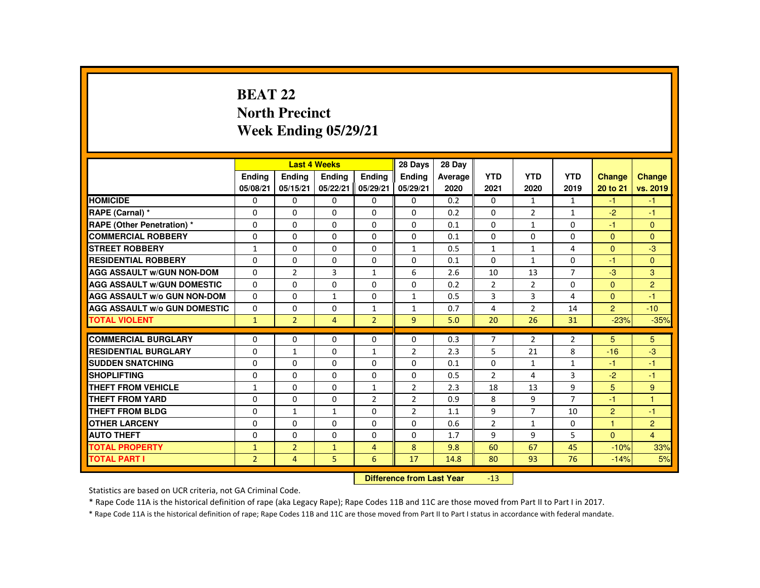# **BEAT 22 North PrecinctWeek Ending 05/29/21**

|                                     |                           |                | <b>Last 4 Weeks</b> |                | 28 Days        | 28 Day  |                |                |                |                |                |
|-------------------------------------|---------------------------|----------------|---------------------|----------------|----------------|---------|----------------|----------------|----------------|----------------|----------------|
|                                     | <b>Ending</b>             | <b>Ending</b>  | <b>Endina</b>       | <b>Endina</b>  | <b>Endina</b>  | Average | <b>YTD</b>     | <b>YTD</b>     | <b>YTD</b>     | <b>Change</b>  | Change         |
|                                     | 05/08/21                  | 05/15/21       | 05/22/21            | 05/29/21       | 05/29/21       | 2020    | 2021           | 2020           | 2019           | 20 to 21       | vs. 2019       |
| <b>HOMICIDE</b>                     | 0                         | $\mathbf{0}$   | $\mathbf{0}$        | $\mathbf{0}$   | 0              | 0.2     | 0              | $\mathbf{1}$   | $\mathbf{1}$   | $-1$           | $-1$           |
| RAPE (Carnal) *                     | $\Omega$                  | $\Omega$       | $\Omega$            | $\Omega$       | $\Omega$       | 0.2     | $\Omega$       | $\overline{2}$ | $\mathbf{1}$   | $-2$           | $-1$           |
| <b>RAPE (Other Penetration) *</b>   | $\mathbf{0}$              | $\Omega$       | $\mathbf{0}$        | $\Omega$       | 0              | 0.1     | 0              | 1              | 0              | -1             | $\mathbf{0}$   |
| <b>COMMERCIAL ROBBERY</b>           | $\Omega$                  | $\Omega$       | $\Omega$            | $\Omega$       | $\Omega$       | 0.1     | $\Omega$       | $\Omega$       | $\Omega$       | $\Omega$       | $\Omega$       |
| <b>STREET ROBBERY</b>               | $\mathbf{1}$              | $\Omega$       | $\Omega$            | $\Omega$       | $\mathbf{1}$   | 0.5     | $\mathbf{1}$   | $\mathbf{1}$   | 4              | $\Omega$       | $-3$           |
| <b>RESIDENTIAL ROBBERY</b>          | $\mathbf{0}$              | $\Omega$       | $\Omega$            | $\Omega$       | $\Omega$       | 0.1     | $\Omega$       | $\mathbf{1}$   | $\Omega$       | $-1$           | $\Omega$       |
| <b>AGG ASSAULT W/GUN NON-DOM</b>    | $\mathbf{0}$              | $\overline{2}$ | 3                   | $\mathbf{1}$   | 6              | 2.6     | 10             | 13             | $\overline{7}$ | $-3$           | 3              |
| <b>AGG ASSAULT W/GUN DOMESTIC</b>   | $\Omega$                  | $\Omega$       | $\Omega$            | $\Omega$       | $\Omega$       | 0.2     | $\overline{2}$ | $\overline{2}$ | $\Omega$       | $\Omega$       | $\overline{2}$ |
| <b>AGG ASSAULT W/o GUN NON-DOM</b>  | $\Omega$                  | $\Omega$       | $\mathbf{1}$        | $\Omega$       | $\mathbf{1}$   | 0.5     | 3              | $\overline{3}$ | 4              | $\mathbf{0}$   | $-1$           |
| <b>AGG ASSAULT W/o GUN DOMESTIC</b> | 0                         | $\mathbf 0$    | $\Omega$            | 1              | 1              | 0.7     | 4              | $\overline{2}$ | 14             | $\overline{2}$ | $-10$          |
| <b>TOTAL VIOLENT</b>                | $\mathbf{1}$              | $\overline{2}$ | $\overline{4}$      | $\overline{2}$ | $\overline{9}$ | 5.0     | 20             | 26             | 31             | $-23%$         | $-35%$         |
| <b>COMMERCIAL BURGLARY</b>          | $\mathbf{0}$              | $\Omega$       | $\Omega$            | $\Omega$       | $\Omega$       | 0.3     | $\overline{7}$ | $\overline{2}$ | $\overline{2}$ | 5              | 5              |
| <b>RESIDENTIAL BURGLARY</b>         | $\Omega$                  | $\mathbf{1}$   | $\Omega$            | $\mathbf{1}$   | 2              | 2.3     | 5              | 21             | 8              | $-16$          | $-3$           |
| <b>SUDDEN SNATCHING</b>             | $\Omega$                  | $\Omega$       | $\Omega$            | $\Omega$       | $\Omega$       | 0.1     | $\Omega$       | $\mathbf{1}$   | $\mathbf{1}$   | $-1$           | $-1$           |
| <b>SHOPLIFTING</b>                  | $\Omega$                  | $\Omega$       | $\Omega$            | $\Omega$       | $\Omega$       | 0.5     | $\overline{2}$ | 4              | 3              | $-2$           | $-1$           |
| THEFT FROM VEHICLE                  | $\mathbf{1}$              | $\Omega$       | $\Omega$            | $\mathbf{1}$   | $\overline{2}$ | 2.3     | 18             | 13             | $\mathbf{q}$   | 5              | 9              |
| <b>THEFT FROM YARD</b>              | $\Omega$                  | $\Omega$       | $\Omega$            | $\overline{2}$ | 2              | 0.9     | 8              | 9              | $\overline{7}$ | $-1$           | $\mathbf{1}$   |
| <b>THEFT FROM BLDG</b>              | $\mathbf{0}$              | $\mathbf{1}$   | $\mathbf{1}$        | $\Omega$       | $\overline{2}$ | 1.1     | 9              | $\overline{7}$ | 10             | $\overline{2}$ | $-1$           |
| <b>OTHER LARCENY</b>                | $\Omega$                  | $\Omega$       | $\Omega$            | $\Omega$       | $\Omega$       | 0.6     | $\overline{2}$ | $\mathbf{1}$   | $\Omega$       | 1              | $\overline{2}$ |
| <b>AUTO THEFT</b>                   | $\Omega$                  | $\Omega$       | $\Omega$            | $\Omega$       | $\Omega$       | 1.7     | 9              | 9              | 5              | $\mathbf{0}$   | $\overline{4}$ |
| <b>TOTAL PROPERTY</b>               | $\mathbf{1}$              | $\overline{2}$ | $\mathbf{1}$        | $\overline{4}$ | 8              | 9.8     | 60             | 67             | 45             | $-10%$         | 33%            |
| <b>TOTAL PART I</b>                 | $\overline{2}$            | 4              | 5                   | 6              | 17             | 14.8    | 80             | 93             | 76             | $-14%$         | 5%             |
|                                     | Difference from Loot Voor |                |                     |                |                |         |                |                |                |                |                |

 **Difference from Last Year**-13

Statistics are based on UCR criteria, not GA Criminal Code.

\* Rape Code 11A is the historical definition of rape (aka Legacy Rape); Rape Codes 11B and 11C are those moved from Part II to Part I in 2017.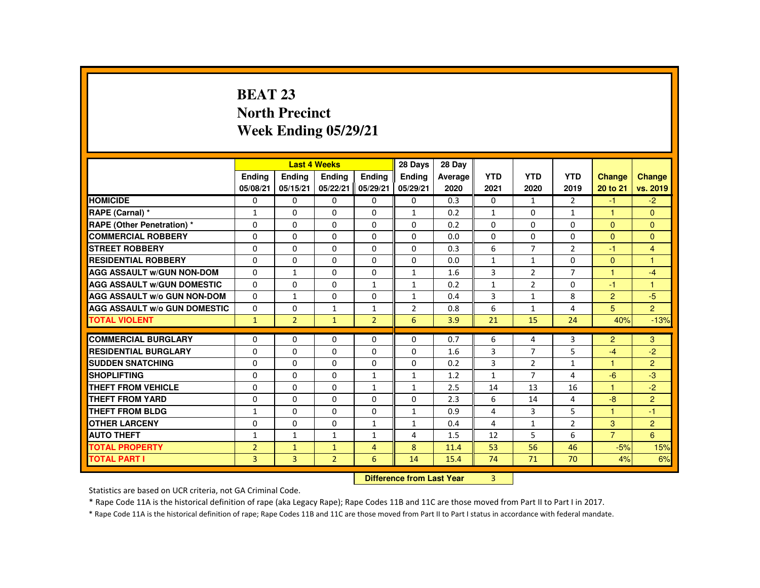# **BEAT 23 North PrecinctWeek Ending 05/29/21**

|                                     |                |                | <b>Last 4 Weeks</b> |                | 28 Days                   | 28 Day  |               |                |                |                |                |
|-------------------------------------|----------------|----------------|---------------------|----------------|---------------------------|---------|---------------|----------------|----------------|----------------|----------------|
|                                     | <b>Endina</b>  | <b>Endina</b>  | <b>Endina</b>       | <b>Endina</b>  | <b>Endina</b>             | Average | <b>YTD</b>    | <b>YTD</b>     | <b>YTD</b>     | <b>Change</b>  | Change         |
|                                     | 05/08/21       | 05/15/21       | 05/22/21            | 05/29/21       | 05/29/21                  | 2020    | 2021          | 2020           | 2019           | 20 to 21       | vs. 2019       |
| <b>HOMICIDE</b>                     | 0              | $\mathbf{0}$   | 0                   | 0              | 0                         | 0.3     | 0             | $\mathbf{1}$   | $\overline{2}$ | $-1$           | $-2$           |
| RAPE (Carnal) *                     | $\mathbf{1}$   | $\Omega$       | $\Omega$            | $\Omega$       | $\mathbf{1}$              | 0.2     | $\mathbf{1}$  | $\Omega$       | $\mathbf{1}$   | $\mathbf{1}$   | $\Omega$       |
| <b>RAPE (Other Penetration) *</b>   | 0              | $\mathbf{0}$   | $\Omega$            | 0              | 0                         | 0.2     | 0             | 0              | 0              | $\mathbf{0}$   | $\mathbf{0}$   |
| <b>COMMERCIAL ROBBERY</b>           | $\Omega$       | $\Omega$       | $\Omega$            | $\Omega$       | $\Omega$                  | 0.0     | $\Omega$      | $\Omega$       | $\Omega$       | $\Omega$       | $\Omega$       |
| <b>STREET ROBBERY</b>               | $\Omega$       | $\Omega$       | $\Omega$            | $\Omega$       | $\Omega$                  | 0.3     | 6             | $\overline{7}$ | $\overline{2}$ | $-1$           | $\overline{4}$ |
| <b>RESIDENTIAL ROBBERY</b>          | $\Omega$       | $\Omega$       | $\Omega$            | $\Omega$       | $\Omega$                  | 0.0     | $\mathbf{1}$  | $\mathbf{1}$   | $\Omega$       | $\Omega$       | $\mathbf{1}$   |
| <b>AGG ASSAULT W/GUN NON-DOM</b>    | $\Omega$       | $\mathbf{1}$   | $\Omega$            | $\Omega$       | $\mathbf{1}$              | 1.6     | 3             | $\overline{2}$ | $\overline{7}$ | $\mathbf{1}$   | $-4$           |
| <b>AGG ASSAULT W/GUN DOMESTIC</b>   | $\Omega$       | $\Omega$       | $\Omega$            | $\mathbf{1}$   | $\mathbf{1}$              | 0.2     | $\mathbf{1}$  | $\overline{2}$ | $\Omega$       | $-1$           | $\mathbf{1}$   |
| <b>AGG ASSAULT W/o GUN NON-DOM</b>  | $\Omega$       | $\mathbf{1}$   | $\Omega$            | $\Omega$       | $\mathbf{1}$              | 0.4     | 3             | $\mathbf{1}$   | 8              | $\overline{2}$ | $-5$           |
| <b>AGG ASSAULT W/o GUN DOMESTIC</b> | 0              | 0              | $\mathbf{1}$        | $\mathbf{1}$   | $\overline{2}$            | 0.8     | 6             | $\mathbf{1}$   | 4              | 5              | $\overline{2}$ |
| <b>TOTAL VIOLENT</b>                | $\mathbf{1}$   | $\overline{2}$ | $\mathbf{1}$        | $\overline{2}$ | 6                         | 3.9     | 21            | 15             | 24             | 40%            | $-13%$         |
| <b>COMMERCIAL BURGLARY</b>          | $\Omega$       | $\Omega$       | $\Omega$            | $\Omega$       | $\Omega$                  | 0.7     | 6             | 4              | 3              | $\overline{2}$ | 3              |
| <b>RESIDENTIAL BURGLARY</b>         | $\Omega$       | $\Omega$       | $\Omega$            | $\Omega$       | $\Omega$                  | 1.6     | 3             | $\overline{7}$ | 5              | $-4$           | $-2$           |
| <b>SUDDEN SNATCHING</b>             | $\Omega$       | $\Omega$       | $\Omega$            | $\Omega$       | $\Omega$                  | 0.2     | 3             | $\overline{2}$ | $\mathbf{1}$   | $\mathbf{1}$   | $\overline{2}$ |
| <b>SHOPLIFTING</b>                  | $\Omega$       | $\Omega$       | $\Omega$            | $\mathbf{1}$   | $\mathbf{1}$              | 1.2     | $\mathbf{1}$  | $\overline{7}$ | 4              | $-6$           | $-3$           |
| THEFT FROM VEHICLE                  | $\Omega$       | $\Omega$       | $\Omega$            | $\mathbf{1}$   | $\mathbf{1}$              | 2.5     | 14            | 13             | 16             | 1              | $-2$           |
| <b>THEFT FROM YARD</b>              | $\Omega$       | $\Omega$       | $\Omega$            | $\Omega$       | $\Omega$                  | 2.3     | 6             | 14             | 4              | $-8$           | $\overline{2}$ |
| THEFT FROM BLDG                     | 1              | $\Omega$       | $\Omega$            | $\Omega$       | $\mathbf{1}$              | 0.9     | 4             | 3              | 5              | 1              | $-1$           |
| <b>OTHER LARCENY</b>                | $\Omega$       | $\Omega$       | $\Omega$            | $\mathbf{1}$   | $\mathbf{1}$              | 0.4     | 4             | $\mathbf{1}$   | $\overline{2}$ | 3              | $\overline{2}$ |
| <b>AUTO THEFT</b>                   | $\mathbf{1}$   | $\mathbf{1}$   | $\mathbf{1}$        | $\mathbf{1}$   | 4                         | 1.5     | 12            | 5              | 6              | $\overline{7}$ | 6              |
| <b>TOTAL PROPERTY</b>               | $\overline{2}$ | $\mathbf{1}$   | $\mathbf{1}$        | $\overline{4}$ | 8                         | 11.4    | 53            | 56             | 46             | $-5%$          | 15%            |
| <b>TOTAL PART I</b>                 | 3              | 3              | $\overline{2}$      | 6              | 14                        | 15.4    | 74            | 71             | 70             | 4%             | 6%             |
|                                     |                |                |                     |                | Difference from Loot Voor |         | $\mathcal{D}$ |                |                |                |                |

 **Difference from Last Year**r 3

Statistics are based on UCR criteria, not GA Criminal Code.

\* Rape Code 11A is the historical definition of rape (aka Legacy Rape); Rape Codes 11B and 11C are those moved from Part II to Part I in 2017.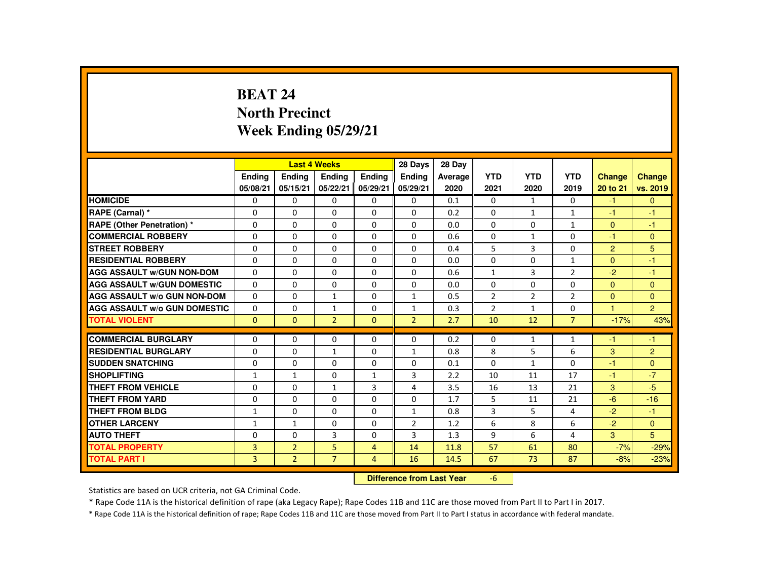# **BEAT 24 North PrecinctWeek Ending 05/29/21**

|                                     |                |                | <b>Last 4 Weeks</b> |                | 28 Days                   | 28 Day  |                |                |                |                |                |
|-------------------------------------|----------------|----------------|---------------------|----------------|---------------------------|---------|----------------|----------------|----------------|----------------|----------------|
|                                     | <b>Ending</b>  | <b>Ending</b>  | <b>Endina</b>       | <b>Endina</b>  | <b>Endina</b>             | Average | <b>YTD</b>     | <b>YTD</b>     | <b>YTD</b>     | <b>Change</b>  | Change         |
|                                     | 05/08/21       | 05/15/21       | 05/22/21            | 05/29/21       | 05/29/21                  | 2020    | 2021           | 2020           | 2019           | 20 to 21       | vs. 2019       |
| <b>HOMICIDE</b>                     | 0              | $\mathbf{0}$   | $\mathbf{0}$        | $\mathbf{0}$   | 0                         | 0.1     | 0              | $\mathbf{1}$   | 0              | $-1$           | $\mathbf{0}$   |
| RAPE (Carnal) *                     | $\Omega$       | $\Omega$       | $\Omega$            | $\Omega$       | $\Omega$                  | 0.2     | $\Omega$       | $\mathbf{1}$   | $\mathbf{1}$   | -1             | $-1$           |
| <b>RAPE (Other Penetration) *</b>   | $\mathbf{0}$   | $\Omega$       | $\mathbf{0}$        | $\Omega$       | 0                         | 0.0     | 0              | 0              | $\mathbf{1}$   | $\mathbf{0}$   | $-1$           |
| <b>COMMERCIAL ROBBERY</b>           | $\Omega$       | $\Omega$       | $\Omega$            | $\Omega$       | $\Omega$                  | 0.6     | $\Omega$       | $\mathbf{1}$   | $\Omega$       | $-1$           | $\Omega$       |
| <b>STREET ROBBERY</b>               | $\mathbf{0}$   | $\Omega$       | $\Omega$            | $\Omega$       | $\Omega$                  | 0.4     | 5              | $\overline{3}$ | $\Omega$       | $\overline{2}$ | 5              |
| <b>RESIDENTIAL ROBBERY</b>          | $\mathbf{0}$   | $\Omega$       | $\Omega$            | $\Omega$       | $\Omega$                  | 0.0     | $\Omega$       | $\Omega$       | $\mathbf{1}$   | $\Omega$       | $-1$           |
| <b>AGG ASSAULT W/GUN NON-DOM</b>    | $\mathbf{0}$   | $\Omega$       | $\Omega$            | $\Omega$       | $\Omega$                  | 0.6     | $\mathbf{1}$   | $\overline{3}$ | $\overline{2}$ | $-2$           | $-1$           |
| <b>AGG ASSAULT W/GUN DOMESTIC</b>   | $\Omega$       | $\Omega$       | $\Omega$            | $\Omega$       | $\Omega$                  | 0.0     | $\Omega$       | $\Omega$       | $\Omega$       | $\Omega$       | $\mathbf{0}$   |
| <b>AGG ASSAULT W/o GUN NON-DOM</b>  | $\Omega$       | $\Omega$       | $\mathbf{1}$        | $\Omega$       | $\mathbf{1}$              | 0.5     | $\overline{2}$ | $\overline{2}$ | $\overline{2}$ | $\Omega$       | $\Omega$       |
| <b>AGG ASSAULT W/o GUN DOMESTIC</b> | 0              | $\mathbf 0$    | 1                   | 0              | 1                         | 0.3     | $\overline{2}$ | 1              | 0              |                | 2 <sup>1</sup> |
| <b>TOTAL VIOLENT</b>                | $\Omega$       | $\Omega$       | $\overline{2}$      | $\Omega$       | $\overline{2}$            | 2.7     | 10             | 12             | $\overline{7}$ | $-17%$         | 43%            |
| <b>COMMERCIAL BURGLARY</b>          | $\mathbf{0}$   | $\Omega$       | $\Omega$            | $\Omega$       | $\Omega$                  | 0.2     | $\Omega$       | 1              | $\mathbf{1}$   | -1             | $-1$           |
| <b>RESIDENTIAL BURGLARY</b>         | $\Omega$       | $\Omega$       | $\mathbf{1}$        | $\Omega$       | $\mathbf{1}$              | 0.8     | 8              | 5              | 6              | 3              | $\overline{2}$ |
| <b>SUDDEN SNATCHING</b>             | $\Omega$       | $\Omega$       | $\Omega$            | $\Omega$       | $\Omega$                  | 0.1     | $\Omega$       | $\mathbf{1}$   | $\Omega$       | -1             | $\Omega$       |
| <b>SHOPLIFTING</b>                  | $\mathbf{1}$   | $\mathbf{1}$   | $\Omega$            | $\mathbf{1}$   | 3                         | 2.2     | 10             | 11             | 17             | $-1$           | $-7$           |
| THEFT FROM VEHICLE                  | $\Omega$       | $\Omega$       | $\mathbf{1}$        | $\overline{3}$ | 4                         | 3.5     | 16             | 13             | 21             | 3              | $-5$           |
| <b>THEFT FROM YARD</b>              | $\Omega$       | $\Omega$       | $\Omega$            | $\Omega$       | $\Omega$                  | 1.7     | 5              | 11             | 21             | $-6$           | $-16$          |
| <b>THEFT FROM BLDG</b>              | 1              | $\Omega$       | $\Omega$            | $\Omega$       | $\mathbf{1}$              | 0.8     | 3              | 5              | 4              | $-2$           | $-1$           |
| <b>OTHER LARCENY</b>                | $\mathbf{1}$   | $\mathbf{1}$   | $\Omega$            | $\Omega$       | $\overline{2}$            | 1.2     | 6              | 8              | 6              | $-2$           | $\Omega$       |
| <b>AUTO THEFT</b>                   | $\Omega$       | $\Omega$       | 3                   | $\Omega$       | 3                         | 1.3     | 9              | 6              | 4              | 3              | 5              |
| <b>TOTAL PROPERTY</b>               | 3              | $\overline{2}$ | 5                   | $\overline{4}$ | 14                        | 11.8    | 57             | 61             | 80             | $-7%$          | $-29%$         |
| <b>TOTAL PART I</b>                 | $\overline{3}$ | $\overline{2}$ | $\overline{7}$      | $\overline{4}$ | 16                        | 14.5    | 67             | 73             | 87             | $-8%$          | $-23%$         |
|                                     |                |                |                     |                | Difference from Loot Vear |         | $\epsilon$     |                |                |                |                |

 **Difference from Last Year**r -6

Statistics are based on UCR criteria, not GA Criminal Code.

\* Rape Code 11A is the historical definition of rape (aka Legacy Rape); Rape Codes 11B and 11C are those moved from Part II to Part I in 2017.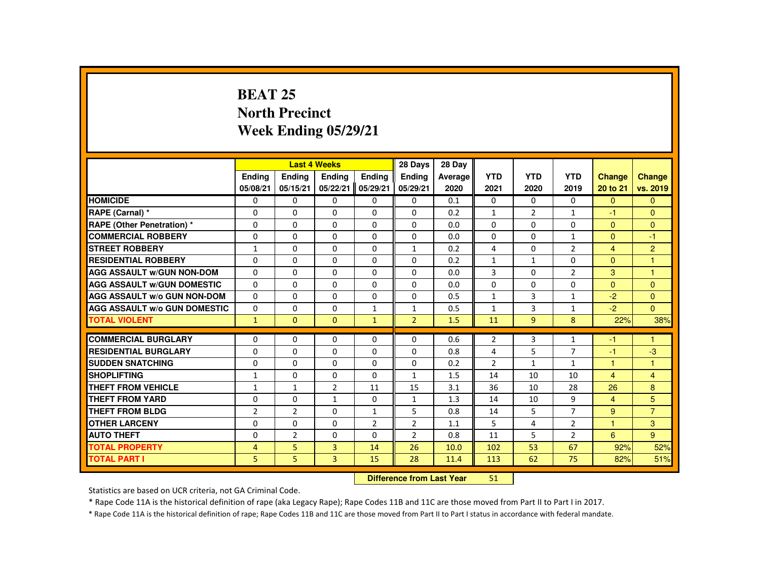# **BEAT 25 North PrecinctWeek Ending 05/29/21**

|                                     |                |                | <b>Last 4 Weeks</b> |                | 28 Days                   | 28 Day  |                |                |                |                |                |
|-------------------------------------|----------------|----------------|---------------------|----------------|---------------------------|---------|----------------|----------------|----------------|----------------|----------------|
|                                     | Ending         | Ending         | Ending              | Ending         | <b>Endina</b>             | Average | <b>YTD</b>     | <b>YTD</b>     | <b>YTD</b>     | <b>Change</b>  | <b>Change</b>  |
|                                     | 05/08/21       | 05/15/21       | 05/22/21            | 05/29/21       | 05/29/21                  | 2020    | 2021           | 2020           | 2019           | 20 to 21       | vs. 2019       |
| <b>HOMICIDE</b>                     | 0              | $\mathbf{0}$   | $\Omega$            | $\Omega$       | $\Omega$                  | 0.1     | $\Omega$       | $\Omega$       | $\Omega$       | $\Omega$       | $\Omega$       |
| RAPE (Carnal) *                     | $\Omega$       | $\Omega$       | $\Omega$            | $\Omega$       | $\mathbf{0}$              | 0.2     | $\mathbf{1}$   | $\overline{2}$ | $\mathbf{1}$   | $-1$           | $\Omega$       |
| RAPE (Other Penetration) *          | 0              | $\Omega$       | 0                   | $\Omega$       | $\mathbf{0}$              | 0.0     | $\Omega$       | $\Omega$       | 0              | $\mathbf{0}$   | $\Omega$       |
| <b>COMMERCIAL ROBBERY</b>           | $\Omega$       | $\Omega$       | $\Omega$            | $\Omega$       | $\Omega$                  | 0.0     | $\Omega$       | $\Omega$       | $\mathbf{1}$   | $\Omega$       | $-1$           |
| <b>STREET ROBBERY</b>               | $\mathbf{1}$   | $\Omega$       | $\Omega$            | $\Omega$       | $\mathbf{1}$              | 0.2     | 4              | $\Omega$       | $\overline{2}$ | $\overline{4}$ | $\overline{2}$ |
| <b>RESIDENTIAL ROBBERY</b>          | 0              | $\Omega$       | $\Omega$            | 0              | $\mathbf{0}$              | 0.2     | $\mathbf{1}$   | $\mathbf{1}$   | 0              | $\mathbf{0}$   | 1              |
| <b>AGG ASSAULT W/GUN NON-DOM</b>    | 0              | $\Omega$       | $\Omega$            | $\Omega$       | $\Omega$                  | 0.0     | 3              | $\Omega$       | $\overline{2}$ | 3              | -1             |
| <b>AGG ASSAULT W/GUN DOMESTIC</b>   | $\Omega$       | $\Omega$       | $\Omega$            | $\Omega$       | $\Omega$                  | 0.0     | $\Omega$       | $\Omega$       | $\Omega$       | $\Omega$       | $\Omega$       |
| <b>AGG ASSAULT W/o GUN NON-DOM</b>  | $\Omega$       | $\Omega$       | $\Omega$            | $\Omega$       | $\Omega$                  | 0.5     | $\mathbf{1}$   | 3              | $\mathbf{1}$   | $-2$           | $\Omega$       |
| <b>AGG ASSAULT w/o GUN DOMESTIC</b> | 0              | $\Omega$       | 0                   | $\mathbf{1}$   | 1                         | 0.5     | $\mathbf{1}$   | 3              | $\mathbf{1}$   | $-2$           | $\mathbf{0}$   |
| <b>TOTAL VIOLENT</b>                | $\mathbf{1}$   | $\mathbf{0}$   | $\Omega$            | $\mathbf{1}$   | $\overline{2}$            | 1.5     | 11             | 9              | 8              | 22%            | 38%            |
| <b>COMMERCIAL BURGLARY</b>          | $\Omega$       | $\Omega$       | $\Omega$            | $\Omega$       | $\Omega$                  | 0.6     | $\overline{2}$ | 3              | $\mathbf{1}$   | -1             | $\overline{1}$ |
| <b>RESIDENTIAL BURGLARY</b>         | 0              | $\Omega$       | $\Omega$            | $\Omega$       | $\Omega$                  | 0.8     | 4              | 5              | $\overline{7}$ | $-1$           | $-3$           |
| <b>SUDDEN SNATCHING</b>             | $\Omega$       | $\Omega$       | $\Omega$            | $\Omega$       | $\Omega$                  | 0.2     | $\overline{2}$ | $\mathbf{1}$   | $\mathbf{1}$   | $\overline{1}$ | 1              |
| <b>SHOPLIFTING</b>                  | $\mathbf{1}$   | $\Omega$       | $\Omega$            | $\Omega$       | $\mathbf{1}$              | 1.5     | 14             | 10             | 10             | $\overline{4}$ | $\overline{4}$ |
| <b>THEFT FROM VEHICLE</b>           | $\mathbf{1}$   | $\mathbf{1}$   | $\overline{2}$      | 11             | 15                        | 3.1     | 36             | 10             | 28             | 26             | 8              |
| <b>THEFT FROM YARD</b>              | $\Omega$       | $\Omega$       | $\mathbf{1}$        | $\mathbf{0}$   | $\mathbf{1}$              | 1.3     | 14             | 10             | 9              | $\overline{4}$ | 5              |
| <b>THEFT FROM BLDG</b>              | $\overline{2}$ | $\overline{2}$ | $\mathbf{0}$        | $\mathbf{1}$   | 5                         | 0.8     | 14             | 5              | $\overline{7}$ | $9^{\circ}$    | $\overline{7}$ |
| <b>OTHER LARCENY</b>                | $\Omega$       | $\Omega$       | $\Omega$            | $\overline{2}$ | $\overline{2}$            | 1.1     | 5              | 4              | $\overline{2}$ | $\overline{1}$ | 3              |
| <b>AUTO THEFT</b>                   | $\Omega$       | $\overline{2}$ | $\Omega$            | $\Omega$       | $\overline{2}$            | 0.8     | 11             | 5              | $\overline{2}$ | 6              | $9^{\circ}$    |
| <b>TOTAL PROPERTY</b>               | 4              | 5              | $\overline{3}$      | 14             | 26                        | 10.0    | 102            | 53             | 67             | 92%            | 52%            |
| <b>TOTAL PART I</b>                 | 5.             | 5              | 3                   | 15             | 28                        | 11.4    | 113            | 62             | 75             | 82%            | 51%            |
|                                     |                |                |                     |                | Difference from Loot Voor |         | E <sub>1</sub> |                |                |                |                |

 **Difference from Last Year**<sup>51</sup>

Statistics are based on UCR criteria, not GA Criminal Code.

\* Rape Code 11A is the historical definition of rape (aka Legacy Rape); Rape Codes 11B and 11C are those moved from Part II to Part I in 2017.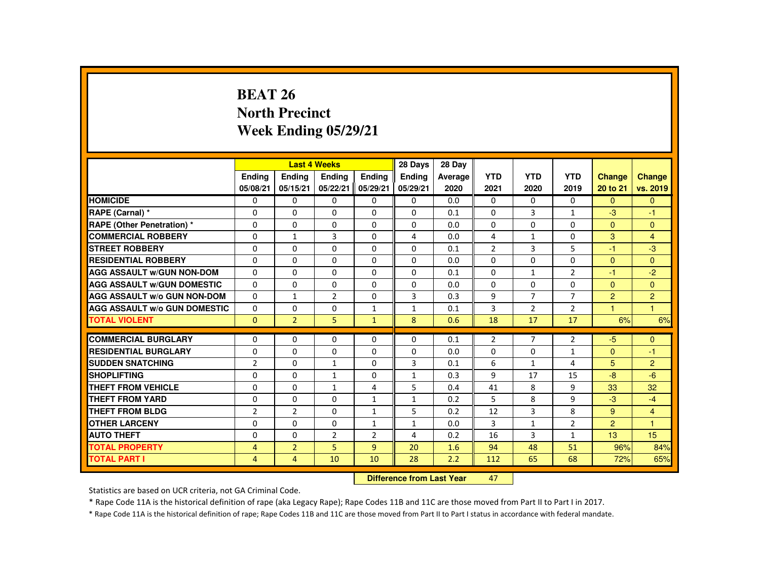# **BEAT 26 North PrecinctWeek Ending 05/29/21**

|                                     |                |                | <b>Last 4 Weeks</b> |                | 28 Days                   | 28 Day  |                |                |                |                |                |
|-------------------------------------|----------------|----------------|---------------------|----------------|---------------------------|---------|----------------|----------------|----------------|----------------|----------------|
|                                     | <b>Ending</b>  | <b>Ending</b>  | <b>Endina</b>       | <b>Endina</b>  | <b>Endina</b>             | Average | <b>YTD</b>     | <b>YTD</b>     | <b>YTD</b>     | Change         | Change         |
|                                     | 05/08/21       | 05/15/21       | 05/22/21            | 05/29/21       | 05/29/21                  | 2020    | 2021           | 2020           | 2019           | 20 to 21       | vs. 2019       |
| <b>HOMICIDE</b>                     | $\mathbf{0}$   | $\Omega$       | 0                   | 0              | 0                         | 0.0     | 0              | 0              | $\mathbf{0}$   | $\mathbf{0}$   | $\mathbf{0}$   |
| RAPE (Carnal) *                     | $\Omega$       | $\Omega$       | $\Omega$            | $\Omega$       | $\Omega$                  | 0.1     | $\Omega$       | 3              | $\mathbf{1}$   | $-3$           | $-1$           |
| <b>RAPE (Other Penetration) *</b>   | 0              | 0              | 0                   | 0              | 0                         | 0.0     | 0              | 0              | 0              | $\overline{0}$ | $\mathbf{0}$   |
| <b>COMMERCIAL ROBBERY</b>           | $\Omega$       | $\mathbf{1}$   | $\overline{3}$      | $\Omega$       | 4                         | 0.0     | 4              | $\mathbf{1}$   | $\Omega$       | 3              | $\overline{4}$ |
| <b>STREET ROBBERY</b>               | $\Omega$       | $\Omega$       | $\Omega$            | $\Omega$       | $\Omega$                  | 0.1     | $\overline{2}$ | 3              | 5              | $-1$           | $-3$           |
| <b>RESIDENTIAL ROBBERY</b>          | $\Omega$       | $\mathbf{0}$   | $\Omega$            | $\Omega$       | 0                         | 0.0     | $\Omega$       | $\Omega$       | $\Omega$       | $\mathbf{0}$   | $\mathbf{0}$   |
| <b>AGG ASSAULT W/GUN NON-DOM</b>    | $\Omega$       | $\Omega$       | $\Omega$            | $\Omega$       | $\Omega$                  | 0.1     | $\Omega$       | $\mathbf{1}$   | $\overline{2}$ | $-1$           | $-2$           |
| <b>AGG ASSAULT W/GUN DOMESTIC</b>   | $\Omega$       | $\Omega$       | $\Omega$            | $\Omega$       | $\Omega$                  | 0.0     | $\Omega$       | $\Omega$       | $\Omega$       | $\overline{0}$ | $\mathbf{0}$   |
| <b>AGG ASSAULT W/o GUN NON-DOM</b>  | $\Omega$       | $\mathbf{1}$   | $\overline{2}$      | $\Omega$       | $\mathbf{3}$              | 0.3     | 9              | $\overline{7}$ | $\overline{7}$ | $\overline{2}$ | $\overline{2}$ |
| <b>AGG ASSAULT W/o GUN DOMESTIC</b> | $\mathbf{0}$   | $\mathbf{0}$   | 0                   | $\mathbf{1}$   | $\mathbf{1}$              | 0.1     | 3              | $\overline{2}$ | $\overline{2}$ | $\overline{1}$ | $\mathbf{1}$   |
| <b>TOTAL VIOLENT</b>                | $\Omega$       | $\overline{2}$ | 5                   | $\mathbf{1}$   | 8                         | 0.6     | 18             | 17             | 17             | 6%             | 6%             |
| <b>COMMERCIAL BURGLARY</b>          | $\Omega$       | $\Omega$       | $\Omega$            | $\Omega$       | $\Omega$                  | 0.1     | $\overline{2}$ | $\overline{7}$ | $\overline{2}$ | $-5$           | $\mathbf{0}$   |
| <b>RESIDENTIAL BURGLARY</b>         | 0              | $\Omega$       | $\Omega$            | $\Omega$       | $\Omega$                  | 0.0     | $\Omega$       | $\Omega$       | $\mathbf{1}$   | $\Omega$       | -1             |
| <b>SUDDEN SNATCHING</b>             | $\overline{2}$ | $\Omega$       | $\mathbf{1}$        | $\Omega$       | $\overline{3}$            | 0.1     | 6              | $\mathbf{1}$   | 4              | 5              | $\overline{2}$ |
| <b>SHOPLIFTING</b>                  | $\Omega$       | $\Omega$       | $\mathbf{1}$        | $\Omega$       | $\mathbf{1}$              | 0.3     | 9              | 17             | 15             | $-8$           | $-6$           |
| <b>THEFT FROM VEHICLE</b>           | $\Omega$       | $\Omega$       | $\mathbf{1}$        | 4              | 5                         | 0.4     | 41             | 8              | 9              | 33             | 32             |
| <b>THEFT FROM YARD</b>              | $\Omega$       | $\Omega$       | $\Omega$            | $\mathbf{1}$   | $\mathbf{1}$              | 0.2     | 5              | 8              | 9              | $-3$           | $-4$           |
| THEFT FROM BLDG                     | $\overline{2}$ | $\overline{2}$ | $\Omega$            | $\mathbf{1}$   | 5                         | 0.2     | 12             | 3              | 8              | $9^{\circ}$    | $\overline{4}$ |
| <b>OTHER LARCENY</b>                | $\Omega$       | $\Omega$       | $\Omega$            | $\mathbf{1}$   | 1                         | 0.0     | 3              | $\mathbf{1}$   | $\overline{2}$ | $\overline{2}$ | $\mathbf{1}$   |
| <b>AUTO THEFT</b>                   | $\Omega$       | $\Omega$       | $\overline{2}$      | $\overline{2}$ | 4                         | 0.2     | 16             | 3              | $\mathbf{1}$   | 13             | 15             |
| <b>TOTAL PROPERTY</b>               | $\overline{4}$ | $\overline{2}$ | 5                   | 9 <sup>°</sup> | 20                        | 1.6     | 94             | 48             | 51             | 96%            | 84%            |
| <b>TOTAL PART I</b>                 | 4              | 4              | 10                  | 10             | 28                        | 2.2     | 112            | 65             | 68             | 72%            | 65%            |
|                                     |                |                |                     |                | Difference from Leat Voor |         | $\sqrt{2}$     |                |                |                |                |

 **Difference from Last Year**<sup>47</sup>

Statistics are based on UCR criteria, not GA Criminal Code.

\* Rape Code 11A is the historical definition of rape (aka Legacy Rape); Rape Codes 11B and 11C are those moved from Part II to Part I in 2017.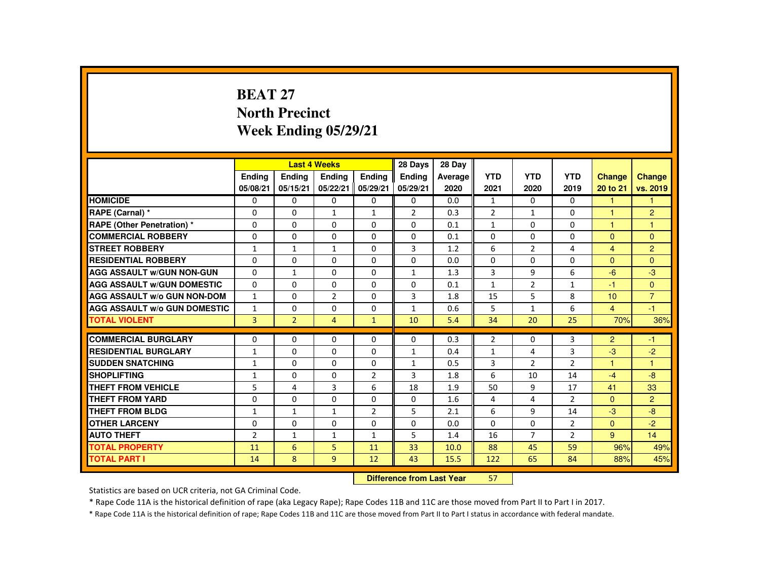# **BEAT 27 North PrecinctWeek Ending 05/29/21**

|                                     |                |                | <b>Last 4 Weeks</b> |                | 28 Days                    | 28 Day  |                |                |                |                      |                |
|-------------------------------------|----------------|----------------|---------------------|----------------|----------------------------|---------|----------------|----------------|----------------|----------------------|----------------|
|                                     | <b>Endina</b>  | Ending         | Ending              | <b>Endina</b>  | <b>Endina</b>              | Average | <b>YTD</b>     | <b>YTD</b>     | <b>YTD</b>     | <b>Change</b>        | Change         |
|                                     | 05/08/21       | 05/15/21       | 05/22/21            | 05/29/21       | 05/29/21                   | 2020    | 2021           | 2020           | 2019           | 20 to 21             | vs. 2019       |
| <b>HOMICIDE</b>                     | $\Omega$       | $\Omega$       | $\Omega$            | $\Omega$       | $\Omega$                   | 0.0     | $\mathbf{1}$   | $\Omega$       | $\Omega$       | 1                    | 1              |
| RAPE (Carnal) *                     | $\Omega$       | $\Omega$       | $\mathbf{1}$        | $\mathbf{1}$   | $\overline{2}$             | 0.3     | $\overline{2}$ | $\mathbf{1}$   | $\Omega$       | 4                    | $\overline{2}$ |
| RAPE (Other Penetration) *          | $\Omega$       | $\Omega$       | $\Omega$            | $\Omega$       | $\Omega$                   | 0.1     | $\mathbf{1}$   | $\Omega$       | $\Omega$       | $\overline{1}$       | $\overline{1}$ |
| <b>COMMERCIAL ROBBERY</b>           | $\Omega$       | $\Omega$       | $\Omega$            | $\Omega$       | $\Omega$                   | 0.1     | $\Omega$       | $\Omega$       | $\Omega$       | $\Omega$             | $\Omega$       |
| <b>STREET ROBBERY</b>               | $\mathbf{1}$   | $\mathbf{1}$   | $\mathbf{1}$        | $\Omega$       | 3                          | 1.2     | 6              | $\mathcal{P}$  | 4              | $\overline{4}$       | $\overline{2}$ |
| <b>RESIDENTIAL ROBBERY</b>          | 0              | $\mathbf{0}$   | 0                   | 0              | $\mathbf{0}$               | 0.0     | $\mathbf{0}$   | 0              | 0              | $\mathbf{0}$         | $\Omega$       |
| <b>AGG ASSAULT W/GUN NON-GUN</b>    | $\Omega$       | $\mathbf{1}$   | $\Omega$            | $\Omega$       | $\mathbf{1}$               | 1.3     | 3              | 9              | 6              | $-6$                 | $-3$           |
| <b>AGG ASSAULT W/GUN DOMESTIC</b>   | $\Omega$       | $\Omega$       | $\Omega$            | $\Omega$       | $\Omega$                   | 0.1     | $\mathbf{1}$   | $\overline{2}$ | $\mathbf{1}$   | $-1$                 | $\Omega$       |
| <b>AGG ASSAULT W/o GUN NON-DOM</b>  | $\mathbf{1}$   | $\Omega$       | $\overline{2}$      | $\Omega$       | 3                          | 1.8     | 15             | 5              | 8              | 10                   | $\overline{7}$ |
| <b>AGG ASSAULT W/o GUN DOMESTIC</b> | $\mathbf{1}$   | $\mathbf{0}$   | 0                   | $\Omega$       | $\mathbf{1}$               | 0.6     | 5              | $\mathbf{1}$   | 6              | $\overline{4}$       | $-1$           |
| <b>TOTAL VIOLENT</b>                | $\overline{3}$ | $\overline{2}$ | $\overline{4}$      | $\mathbf{1}$   | 10                         | 5.4     | 34             | 20             | 25             | 70%                  | 36%            |
| <b>COMMERCIAL BURGLARY</b>          | $\Omega$       | $\Omega$       | $\Omega$            | $\Omega$       | $\Omega$                   | 0.3     | $\overline{2}$ | $\Omega$       | 3              | $\overline{2}$       | $-1$           |
| <b>RESIDENTIAL BURGLARY</b>         | $\mathbf{1}$   | $\Omega$       | $\Omega$            | $\Omega$       | $\mathbf{1}$               | 0.4     | $\mathbf{1}$   | 4              | 3              | $-3$                 | $-2$           |
| <b>SUDDEN SNATCHING</b>             | $\mathbf{1}$   | $\Omega$       | $\Omega$            | $\Omega$       | $\mathbf{1}$               | 0.5     | 3              | $\overline{2}$ | $\overline{2}$ | $\blacktriangleleft$ | 1              |
| <b>SHOPLIFTING</b>                  | $\mathbf{1}$   | $\Omega$       | $\Omega$            | $\overline{2}$ | 3                          | 1.8     | 6              | 10             | 14             | $-4$                 | $-8$           |
| <b>THEFT FROM VEHICLE</b>           | 5              | 4              | 3                   | 6              | 18                         | 1.9     | 50             | 9              | 17             | 41                   | 33             |
| THEFT FROM YARD                     | $\Omega$       | $\Omega$       | $\Omega$            | $\Omega$       | $\Omega$                   | 1.6     | 4              | 4              | $\mathcal{P}$  | $\Omega$             | $\overline{2}$ |
| <b>THEFT FROM BLDG</b>              | $\mathbf{1}$   | $\mathbf{1}$   | $\mathbf{1}$        | $\overline{2}$ | 5                          | 2.1     | 6              | 9              | 14             | $-3$                 | $-8$           |
| <b>OTHER LARCENY</b>                | 0              | $\Omega$       | $\Omega$            | $\Omega$       | $\Omega$                   | 0.0     | $\Omega$       | $\Omega$       | $\overline{2}$ | $\Omega$             | $-2$           |
| <b>AUTO THEFT</b>                   | $\overline{2}$ | $\mathbf{1}$   | $\mathbf{1}$        | $\mathbf{1}$   | 5                          | 1.4     | 16             | $\overline{7}$ | $\overline{2}$ | 9                    | 14             |
| <b>TOTAL PROPERTY</b>               | 11             | 6              | 5                   | 11             | 33                         | 10.0    | 88             | 45             | 59             | 96%                  | 49%            |
| <b>TOTAL PART I</b>                 | 14             | 8              | 9                   | 12             | 43                         | 15.5    | 122            | 65             | 84             | 88%                  | 45%            |
|                                     |                |                |                     |                | Difference from Least Vacu |         | <b>CD</b>      |                |                |                      |                |

 **Difference from Last Year**<sup>57</sup>

Statistics are based on UCR criteria, not GA Criminal Code.

\* Rape Code 11A is the historical definition of rape (aka Legacy Rape); Rape Codes 11B and 11C are those moved from Part II to Part I in 2017.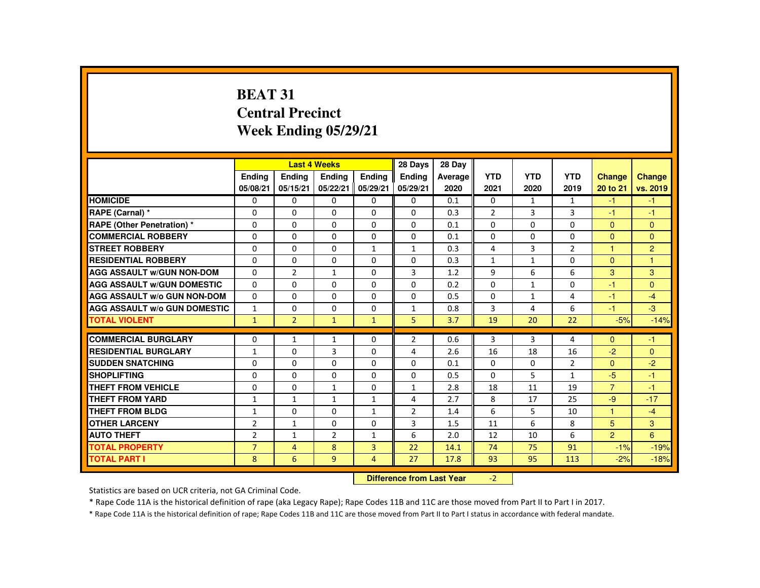# **BEAT 31 Central PrecinctWeek Ending 05/29/21**

|                                     |                |                | <b>Last 4 Weeks</b> |                | 28 Days                   | 28 Day  |                |                |                |                |                |
|-------------------------------------|----------------|----------------|---------------------|----------------|---------------------------|---------|----------------|----------------|----------------|----------------|----------------|
|                                     | <b>Endina</b>  | <b>Ending</b>  | <b>Ending</b>       | Ending         | Ending                    | Average | <b>YTD</b>     | <b>YTD</b>     | <b>YTD</b>     | <b>Change</b>  | <b>Change</b>  |
|                                     | 05/08/21       | 05/15/21       | 05/22/21            | 05/29/21       | 05/29/21                  | 2020    | 2021           | 2020           | 2019           | 20 to 21       | vs. 2019       |
| <b>HOMICIDE</b>                     | 0              | $\Omega$       | $\Omega$            | $\Omega$       | $\Omega$                  | 0.1     | 0              | $\mathbf{1}$   | $\mathbf{1}$   | $-1$           | $-1$           |
| RAPE (Carnal) *                     | 0              | $\Omega$       | $\Omega$            | 0              | $\Omega$                  | 0.3     | $\overline{2}$ | $\overline{3}$ | $\overline{3}$ | $-1$           | $-1$           |
| RAPE (Other Penetration) *          | $\Omega$       | $\Omega$       | $\Omega$            | $\Omega$       | $\Omega$                  | 0.1     | $\Omega$       | $\Omega$       | 0              | $\mathbf{0}$   | $\Omega$       |
| <b>COMMERCIAL ROBBERY</b>           | $\Omega$       | $\Omega$       | $\Omega$            | $\Omega$       | $\Omega$                  | 0.1     | $\Omega$       | $\Omega$       | $\Omega$       | $\Omega$       | $\mathbf{0}$   |
| <b>STREET ROBBERY</b>               | $\Omega$       | $\Omega$       | $\Omega$            | $\mathbf{1}$   | $\mathbf{1}$              | 0.3     | 4              | $\overline{3}$ | $\overline{2}$ | 1              | $\overline{2}$ |
| <b>RESIDENTIAL ROBBERY</b>          | $\Omega$       | $\Omega$       | $\Omega$            | $\Omega$       | 0                         | 0.3     | $\mathbf{1}$   | $\mathbf{1}$   | 0              | $\Omega$       | 1.             |
| <b>AGG ASSAULT w/GUN NON-DOM</b>    | $\Omega$       | $\overline{2}$ | $\mathbf{1}$        | $\Omega$       | 3                         | 1.2     | 9              | 6              | 6              | 3              | 3              |
| <b>AGG ASSAULT W/GUN DOMESTIC</b>   | $\Omega$       | $\Omega$       | $\Omega$            | $\Omega$       | $\Omega$                  | 0.2     | $\Omega$       | $\mathbf{1}$   | $\Omega$       | -1             | $\mathbf{0}$   |
| AGG ASSAULT w/o GUN NON-DOM         | $\Omega$       | $\Omega$       | $\Omega$            | $\Omega$       | $\Omega$                  | 0.5     | $\Omega$       | $\mathbf{1}$   | 4              | $-1$           | $-4$           |
| <b>AGG ASSAULT W/o GUN DOMESTIC</b> | $\mathbf{1}$   | $\Omega$       | 0                   | $\Omega$       | $\mathbf{1}$              | 0.8     | 3              | 4              | 6              | $-1$           | $-3$           |
| <b>TOTAL VIOLENT</b>                | $\mathbf{1}$   | $\overline{2}$ | $\mathbf{1}$        | $\mathbf{1}$   | 5.                        | 3.7     | 19             | 20             | 22             | $-5%$          | $-14%$         |
| <b>COMMERCIAL BURGLARY</b>          | $\Omega$       | $\mathbf{1}$   | $\mathbf{1}$        | $\Omega$       | $\overline{2}$            | 0.6     | 3              | 3              | 4              | $\Omega$       | $-1$           |
| <b>RESIDENTIAL BURGLARY</b>         | $\mathbf{1}$   | $\Omega$       | 3                   | $\Omega$       | 4                         | 2.6     | 16             | 18             | 16             | $-2$           | $\Omega$       |
| <b>SUDDEN SNATCHING</b>             | $\Omega$       | $\Omega$       | $\Omega$            | $\mathbf{0}$   | $\Omega$                  | 0.1     | $\Omega$       | $\Omega$       | $\overline{2}$ | $\mathbf{0}$   | $-2$           |
| <b>SHOPLIFTING</b>                  | 0              | $\Omega$       | $\Omega$            | $\Omega$       | $\Omega$                  | 0.5     | 0              | 5              | $\mathbf{1}$   | $-5$           | $-1$           |
| <b>THEFT FROM VEHICLE</b>           | $\Omega$       | $\Omega$       | $\mathbf{1}$        | $\Omega$       | $\mathbf{1}$              | 2.8     | 18             | 11             | 19             | $\overline{7}$ | $-1$           |
| <b>THEFT FROM YARD</b>              | $\mathbf{1}$   | $\mathbf{1}$   | $\mathbf{1}$        | $\mathbf{1}$   | 4                         | 2.7     | 8              | 17             | 25             | $-9$           | $-17$          |
| <b>THEFT FROM BLDG</b>              | $\mathbf{1}$   | $\Omega$       | $\mathbf{0}$        | $\mathbf{1}$   | $\overline{2}$            | 1.4     | 6              | 5              | 10             | $\mathbf{1}$   | $-4$           |
| <b>OTHER LARCENY</b>                | $\overline{2}$ | $\mathbf{1}$   | $\Omega$            | $\Omega$       | 3                         | 1.5     | 11             | 6              | 8              | 5              | 3              |
| <b>AUTO THEFT</b>                   | $\overline{2}$ | $\mathbf{1}$   | $\overline{2}$      | $\mathbf{1}$   | 6                         | 2.0     | 12             | 10             | 6              | $\overline{2}$ | 6              |
| <b>TOTAL PROPERTY</b>               | $\overline{7}$ | $\overline{4}$ | 8                   | $\overline{3}$ | 22                        | 14.1    | 74             | 75             | 91             | $-1%$          | $-19%$         |
| <b>TOTAL PART I</b>                 | 8              | 6              | 9                   | 4              | 27                        | 17.8    | 93             | 95             | 113            | $-2%$          | $-18%$         |
|                                     |                |                |                     |                | Difference from Loot Voor |         | $\mathcal{L}$  |                |                |                |                |

 **Difference from Last Year**r  $-2$ 

Statistics are based on UCR criteria, not GA Criminal Code.

\* Rape Code 11A is the historical definition of rape (aka Legacy Rape); Rape Codes 11B and 11C are those moved from Part II to Part I in 2017.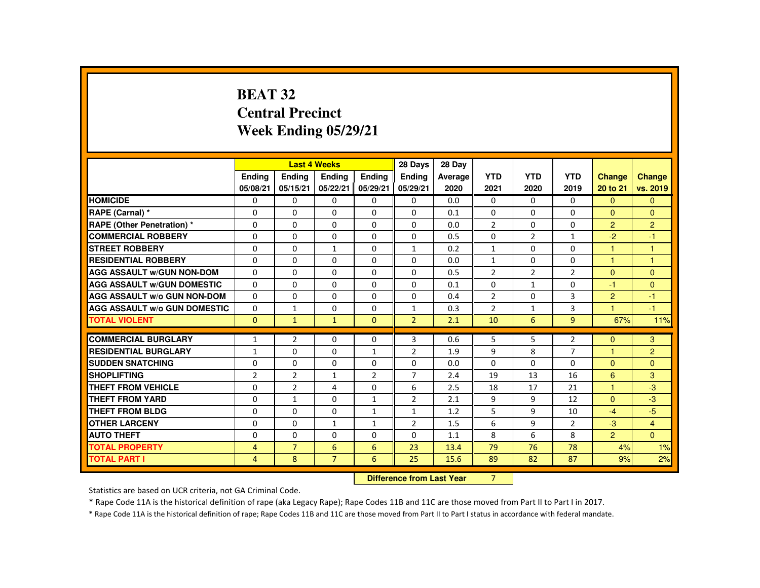# **BEAT 32 Central PrecinctWeek Ending 05/29/21**

|                                     |                |                | <b>Last 4 Weeks</b> |                | 28 Days                   | 28 Day  |                |                |                |                |                |
|-------------------------------------|----------------|----------------|---------------------|----------------|---------------------------|---------|----------------|----------------|----------------|----------------|----------------|
|                                     | <b>Endina</b>  | Ending         | Ending              | <b>Endina</b>  | Ending                    | Average | <b>YTD</b>     | <b>YTD</b>     | <b>YTD</b>     | Change         | <b>Change</b>  |
|                                     | 05/08/21       | 05/15/21       | 05/22/21            | 05/29/21       | 05/29/21                  | 2020    | 2021           | 2020           | 2019           | 20 to 21       | vs. 2019       |
| <b>HOMICIDE</b>                     | $\mathbf{0}$   | $\Omega$       | $\Omega$            | $\Omega$       | 0                         | 0.0     | $\mathbf{0}$   | $\Omega$       | $\mathbf{0}$   | $\Omega$       | $\mathbf{0}$   |
| RAPE (Carnal) *                     | $\Omega$       | $\Omega$       | $\Omega$            | $\Omega$       | $\Omega$                  | 0.1     | $\Omega$       | $\Omega$       | $\Omega$       | $\Omega$       | $\mathbf{0}$   |
| <b>RAPE (Other Penetration) *</b>   | 0              | $\Omega$       | $\Omega$            | $\Omega$       | 0                         | 0.0     | $\overline{2}$ | $\Omega$       | $\Omega$       | $\overline{2}$ | $\overline{2}$ |
| <b>COMMERCIAL ROBBERY</b>           | $\Omega$       | $\Omega$       | $\Omega$            | $\Omega$       | $\Omega$                  | 0.5     | $\Omega$       | $\overline{2}$ | $\mathbf{1}$   | $-2$           | $-1$           |
| <b>STREET ROBBERY</b>               | $\Omega$       | $\Omega$       | $\mathbf{1}$        | $\Omega$       | $\mathbf{1}$              | 0.2     | $\mathbf{1}$   | $\Omega$       | $\Omega$       | $\mathbf{1}$   | 1              |
| <b>RESIDENTIAL ROBBERY</b>          | 0              | $\mathbf{0}$   | 0                   | 0              | $\Omega$                  | 0.0     | $\mathbf{1}$   | 0              | 0              | $\mathbf{1}$   | 1              |
| <b>AGG ASSAULT W/GUN NON-DOM</b>    | $\Omega$       | $\Omega$       | $\Omega$            | $\Omega$       | $\Omega$                  | 0.5     | $\overline{2}$ | 2              | $\overline{2}$ | $\Omega$       | $\Omega$       |
| <b>AGG ASSAULT W/GUN DOMESTIC</b>   | $\Omega$       | $\Omega$       | $\Omega$            | $\Omega$       | $\Omega$                  | 0.1     | $\Omega$       | $\mathbf{1}$   | $\Omega$       | $-1$           | $\mathbf{0}$   |
| <b>AGG ASSAULT W/o GUN NON-DOM</b>  | $\Omega$       | $\Omega$       | $\Omega$            | $\Omega$       | $\Omega$                  | 0.4     | $\overline{2}$ | $\Omega$       | $\overline{3}$ | $\overline{2}$ | $-1$           |
| <b>AGG ASSAULT W/o GUN DOMESTIC</b> | $\Omega$       | $\mathbf{1}$   | $\Omega$            | $\Omega$       | $\mathbf{1}$              | 0.3     | $\overline{2}$ | $\mathbf{1}$   | 3              | $\mathbf{1}$   | $-1$           |
| <b>TOTAL VIOLENT</b>                | $\Omega$       | $\mathbf{1}$   | $\mathbf{1}$        | $\Omega$       | $\overline{2}$            | 2.1     | 10             | 6              | $\overline{9}$ | 67%            | 11%            |
| <b>COMMERCIAL BURGLARY</b>          | $\mathbf{1}$   | $\overline{2}$ | $\Omega$            | $\Omega$       | $\overline{3}$            | 0.6     | 5              | 5              | $\overline{2}$ | $\Omega$       | 3              |
| <b>RESIDENTIAL BURGLARY</b>         | $\mathbf{1}$   | $\Omega$       | $\Omega$            | $\mathbf{1}$   | $\overline{2}$            | 1.9     | 9              | 8              | $\overline{7}$ | $\mathbf 1$    | $\overline{2}$ |
| <b>SUDDEN SNATCHING</b>             | $\Omega$       | $\mathbf{0}$   | $\Omega$            | $\Omega$       | 0                         | 0.0     | $\Omega$       | $\Omega$       | $\Omega$       | $\Omega$       | $\Omega$       |
| <b>SHOPLIFTING</b>                  | $\overline{2}$ | $\overline{2}$ | $\mathbf{1}$        | $\overline{2}$ | $\overline{7}$            | 2.4     | 19             | 13             | 16             | 6              | 3              |
| <b>THEFT FROM VEHICLE</b>           | $\Omega$       | $\overline{2}$ | 4                   | $\Omega$       | 6                         | 2.5     | 18             | 17             | 21             | $\mathbf{1}$   | $-3$           |
| <b>THEFT FROM YARD</b>              | $\Omega$       | $\mathbf{1}$   | $\Omega$            | $\mathbf{1}$   | $\overline{2}$            | 2.1     | 9              | 9              | 12             | $\Omega$       | $-3$           |
| THEFT FROM BLDG                     | 0              | $\mathbf{0}$   | 0                   | $\mathbf{1}$   | $\mathbf{1}$              | 1.2     | 5              | 9              | 10             | $-4$           | $-5$           |
| <b>OTHER LARCENY</b>                | 0              | $\mathbf{0}$   | $\mathbf{1}$        | $\mathbf{1}$   | $\overline{2}$            | 1.5     | 6              | 9              | $\overline{2}$ | $-3$           | $\overline{4}$ |
| <b>AUTO THEFT</b>                   | $\Omega$       | $\Omega$       | $\Omega$            | $\Omega$       | $\Omega$                  | 1.1     | 8              | 6              | 8              | $\overline{2}$ | $\Omega$       |
| <b>TOTAL PROPERTY</b>               | $\overline{4}$ | $\overline{7}$ | 6                   | 6              | 23                        | 13.4    | 79             | 76             | 78             | 4%             | 1%             |
|                                     |                |                |                     |                |                           |         |                |                |                |                |                |
| <b>TOTAL PART I</b>                 | $\overline{4}$ | 8              | $\overline{7}$      | 6              | 25                        | 15.6    | 89             | 82             | 87             | 9%             | 2%             |
|                                     |                |                |                     |                | Difference from Leat Voor |         | $\overline{ }$ |                |                |                |                |

 **Difference from Last Year**r 7

Statistics are based on UCR criteria, not GA Criminal Code.

\* Rape Code 11A is the historical definition of rape (aka Legacy Rape); Rape Codes 11B and 11C are those moved from Part II to Part I in 2017.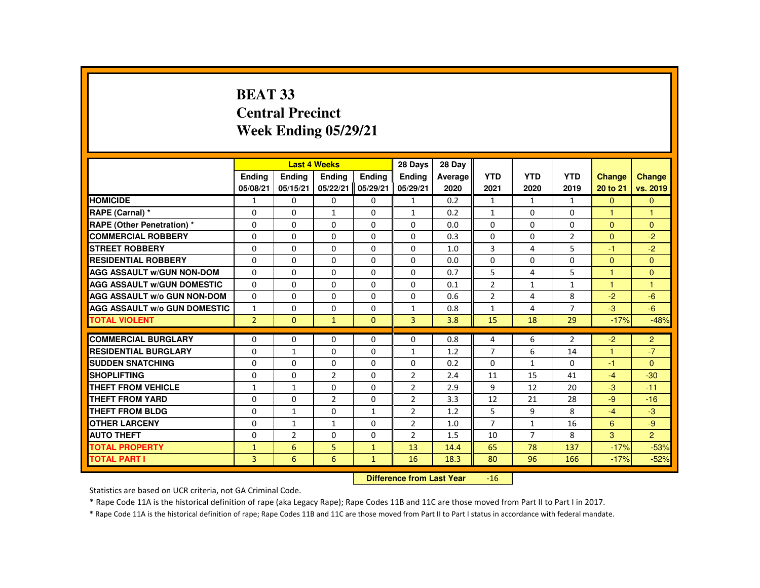# **BEAT 33 Central PrecinctWeek Ending 05/29/21**

|                                     |                |                | <b>Last 4 Weeks</b> |              | 28 Days                   | 28 Day  |                |                |                |                      |                |
|-------------------------------------|----------------|----------------|---------------------|--------------|---------------------------|---------|----------------|----------------|----------------|----------------------|----------------|
|                                     | <b>Endina</b>  | <b>Ending</b>  | Ending              | Ending       | <b>Ending</b>             | Average | <b>YTD</b>     | <b>YTD</b>     | <b>YTD</b>     | <b>Change</b>        | Change         |
|                                     | 05/08/21       | 05/15/21       | 05/22/21            | 05/29/21     | 05/29/21                  | 2020    | 2021           | 2020           | 2019           | 20 to 21             | vs. 2019       |
| <b>HOMICIDE</b>                     | $\mathbf{1}$   | $\mathbf{0}$   | $\Omega$            | $\Omega$     | $\mathbf{1}$              | 0.2     | $\mathbf{1}$   | 1              | $\mathbf{1}$   | $\Omega$             | $\Omega$       |
| RAPE (Carnal) *                     | 0              | $\mathbf{0}$   | $\mathbf{1}$        | $\Omega$     | $\mathbf{1}$              | 0.2     | $\mathbf{1}$   | $\Omega$       | $\mathbf{0}$   | м                    | 1              |
| <b>RAPE (Other Penetration) *</b>   | $\Omega$       | $\Omega$       | $\Omega$            | $\Omega$     | $\Omega$                  | 0.0     | $\Omega$       | $\Omega$       | $\Omega$       | $\Omega$             | $\Omega$       |
| <b>COMMERCIAL ROBBERY</b>           | 0              | 0              | 0                   | $\Omega$     | 0                         | 0.3     | 0              | $\Omega$       | $\overline{2}$ | $\Omega$             | $-2$           |
| <b>STREET ROBBERY</b>               | $\Omega$       | $\Omega$       | $\Omega$            | $\Omega$     | $\Omega$                  | 1.0     | 3              | 4              | 5              | $-1$                 | $-2$           |
| <b>RESIDENTIAL ROBBERY</b>          | 0              | 0              | 0                   | 0            | 0                         | 0.0     | 0              | 0              | $\Omega$       | $\Omega$             | $\Omega$       |
| <b>AGG ASSAULT W/GUN NON-DOM</b>    | $\Omega$       | $\Omega$       | $\Omega$            | $\Omega$     | $\Omega$                  | 0.7     | 5              | 4              | 5              | $\blacktriangleleft$ | $\Omega$       |
| <b>AGG ASSAULT W/GUN DOMESTIC</b>   | $\Omega$       | $\Omega$       | $\Omega$            | $\Omega$     | $\Omega$                  | 0.1     | $\overline{2}$ | $\mathbf{1}$   | $\mathbf{1}$   | $\overline{1}$       | $\overline{1}$ |
| <b>AGG ASSAULT W/o GUN NON-DOM</b>  | $\Omega$       | $\Omega$       | $\Omega$            | $\Omega$     | $\Omega$                  | 0.6     | $\overline{2}$ | 4              | 8              | $-2$                 | $-6$           |
| <b>AGG ASSAULT W/o GUN DOMESTIC</b> | $\mathbf{1}$   | $\Omega$       | $\Omega$            | $\Omega$     | $\mathbf{1}$              | 0.8     | $\mathbf{1}$   | 4              | $\overline{7}$ | $-3$                 | $-6$           |
| <b>TOTAL VIOLENT</b>                | $\overline{2}$ | $\mathbf{0}$   | $\mathbf{1}$        | $\mathbf{0}$ | $\overline{3}$            | 3.8     | 15             | 18             | 29             | $-17%$               | $-48%$         |
| <b>COMMERCIAL BURGLARY</b>          | $\Omega$       | $\mathbf{0}$   | $\Omega$            | 0            | $\Omega$                  | 0.8     | 4              | 6              | $\overline{2}$ | $-2$                 | $\overline{2}$ |
| <b>RESIDENTIAL BURGLARY</b>         | $\Omega$       | $\mathbf{1}$   | $\Omega$            | $\Omega$     | $\mathbf{1}$              | 1.2     | $\overline{7}$ | 6              | 14             | 1                    | $-7$           |
| <b>SUDDEN SNATCHING</b>             | 0              | 0              | $\Omega$            | 0            | 0                         | 0.2     | 0              | $\mathbf{1}$   | $\mathbf{0}$   | $-1$                 | $\Omega$       |
| <b>SHOPLIFTING</b>                  | 0              | $\Omega$       | $\overline{2}$      | $\Omega$     | 2                         | 2.4     | 11             | 15             | 41             | $-4$                 | $-30$          |
| <b>THEFT FROM VEHICLE</b>           | $\mathbf{1}$   | $\mathbf{1}$   | $\Omega$            | $\Omega$     | $\overline{2}$            | 2.9     | 9              | 12             | 20             | $-3$                 | $-11$          |
| <b>THEFT FROM YARD</b>              | $\Omega$       | $\Omega$       | $\overline{2}$      | $\Omega$     | $\overline{2}$            | 3.3     | 12             | 21             | 28             | $-9$                 | $-16$          |
| <b>THEFT FROM BLDG</b>              | 0              | $\mathbf{1}$   | 0                   | $\mathbf{1}$ | $\overline{2}$            | 1.2     | 5              | 9              | 8              | $-4$                 | $-3$           |
| <b>OTHER LARCENY</b>                | 0              | $\mathbf{1}$   | $\mathbf{1}$        | $\Omega$     | 2                         | 1.0     | $\overline{7}$ | $\mathbf{1}$   | 16             | 6                    | $-9$           |
| <b>AUTO THEFT</b>                   | $\Omega$       | $\overline{2}$ | $\Omega$            | $\Omega$     | $\overline{2}$            | 1.5     | 10             | $\overline{7}$ | 8              | 3                    | $\overline{2}$ |
| <b>TOTAL PROPERTY</b>               | $\mathbf{1}$   | 6              | 5                   | $\mathbf{1}$ | 13                        | 14.4    | 65             | 78             | 137            | $-17%$               | $-53%$         |
| <b>TOTAL PART I</b>                 | 3              | 6              | 6                   | $\mathbf{1}$ | 16                        | 18.3    | 80             | 96             | 166            | $-17%$               | $-52%$         |
|                                     |                |                |                     |              | Difference from Loot Voor |         | AC             |                |                |                      |                |

 **Difference from Last Year** $\mathbf{16}$ 

Statistics are based on UCR criteria, not GA Criminal Code.

\* Rape Code 11A is the historical definition of rape (aka Legacy Rape); Rape Codes 11B and 11C are those moved from Part II to Part I in 2017.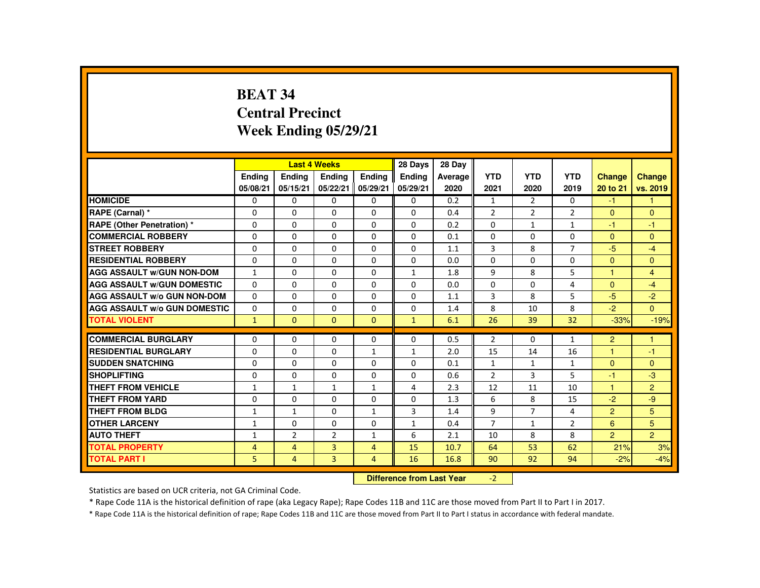# **BEAT 34 Central PrecinctWeek Ending 05/29/21**

|                                     |                |                | <b>Last 4 Weeks</b> |                | 28 Days                   | 28 Day  |                |                |                |                |                      |
|-------------------------------------|----------------|----------------|---------------------|----------------|---------------------------|---------|----------------|----------------|----------------|----------------|----------------------|
|                                     | <b>Ending</b>  | <b>Ending</b>  | <b>Ending</b>       | Ending         | <b>Ending</b>             | Average | <b>YTD</b>     | <b>YTD</b>     | <b>YTD</b>     | <b>Change</b>  | <b>Change</b>        |
|                                     | 05/08/21       | 05/15/21       | 05/22/21            | 05/29/21       | 05/29/21                  | 2020    | 2021           | 2020           | 2019           | 20 to 21       | vs. 2019             |
| <b>HOMICIDE</b>                     | $\Omega$       | $\Omega$       | $\Omega$            | $\Omega$       | $\Omega$                  | 0.2     | $\mathbf{1}$   | 2              | $\Omega$       | $-1$           | $\mathbf{1}$         |
| RAPE (Carnal) *                     | $\mathbf{0}$   | $\Omega$       | $\Omega$            | $\Omega$       | $\Omega$                  | 0.4     | $\overline{2}$ | $\overline{2}$ | $\overline{2}$ | $\Omega$       | $\mathbf{0}$         |
| RAPE (Other Penetration) *          | $\Omega$       | $\Omega$       | $\Omega$            | $\Omega$       | $\Omega$                  | 0.2     | $\Omega$       | $\mathbf{1}$   | $\mathbf{1}$   | -1             | $-1$                 |
| <b>COMMERCIAL ROBBERY</b>           | $\Omega$       | $\Omega$       | $\Omega$            | $\Omega$       | $\Omega$                  | 0.1     | $\Omega$       | $\Omega$       | 0              | $\Omega$       | $\mathbf{0}$         |
| <b>STREET ROBBERY</b>               | $\Omega$       | $\Omega$       | $\Omega$            | $\Omega$       | $\Omega$                  | 1.1     | 3              | 8              | $\overline{7}$ | $-5$           | $-4$                 |
| <b>RESIDENTIAL ROBBERY</b>          | $\Omega$       | $\Omega$       | $\mathbf{0}$        | 0              | 0                         | 0.0     | $\Omega$       | $\Omega$       | $\Omega$       | $\mathbf{0}$   | $\mathbf{0}$         |
| <b>AGG ASSAULT W/GUN NON-DOM</b>    | $\mathbf{1}$   | $\Omega$       | $\Omega$            | $\Omega$       | $\mathbf{1}$              | 1.8     | 9              | 8              | 5              | 1              | $\overline{4}$       |
| <b>AGG ASSAULT W/GUN DOMESTIC</b>   | $\Omega$       | $\Omega$       | $\Omega$            | $\Omega$       | $\Omega$                  | 0.0     | $\Omega$       | $\Omega$       | 4              | $\Omega$       | $-4$                 |
| <b>AGG ASSAULT W/o GUN NON-DOM</b>  | $\Omega$       | $\Omega$       | $\Omega$            | $\Omega$       | $\Omega$                  | 1.1     | $\overline{3}$ | 8              | 5              | $-5$           | $-2$                 |
| <b>AGG ASSAULT W/o GUN DOMESTIC</b> | $\Omega$       | $\Omega$       | $\Omega$            | $\Omega$       | $\Omega$                  | 1.4     | 8              | 10             | 8              | $-2$           | $\overline{0}$       |
| <b>TOTAL VIOLENT</b>                | $\mathbf{1}$   | $\Omega$       | $\Omega$            | $\Omega$       | $\mathbf{1}$              | 6.1     | 26             | 39             | 32             | $-33%$         | $-19%$               |
|                                     |                |                |                     |                |                           |         |                |                |                |                |                      |
| <b>COMMERCIAL BURGLARY</b>          | $\Omega$       | $\Omega$       | $\Omega$            | $\Omega$       | $\Omega$                  | 0.5     | $\overline{2}$ | $\Omega$       | $\mathbf{1}$   | $\overline{2}$ | $\blacktriangleleft$ |
| <b>RESIDENTIAL BURGLARY</b>         | $\Omega$       | $\Omega$       | $\Omega$            | $\mathbf{1}$   | $\mathbf{1}$              | 2.0     | 15             | 14             | 16             | 1              | $-1$                 |
| <b>SUDDEN SNATCHING</b>             | $\Omega$       | $\Omega$       | $\Omega$            | $\Omega$       | $\Omega$                  | 0.1     | 1              | 1              | $\mathbf{1}$   | $\Omega$       | $\mathbf{0}$         |
| <b>SHOPLIFTING</b>                  | $\Omega$       | $\Omega$       | $\Omega$            | $\Omega$       | $\Omega$                  | 0.6     | $\overline{2}$ | 3              | 5              | -1             | $-3$                 |
| <b>THEFT FROM VEHICLE</b>           | $\mathbf{1}$   | $\mathbf{1}$   | $\mathbf{1}$        | $\mathbf{1}$   | 4                         | 2.3     | 12             | 11             | 10             | $\mathbf{1}$   | $\overline{2}$       |
| <b>THEFT FROM YARD</b>              | $\Omega$       | $\Omega$       | $\Omega$            | $\Omega$       | $\Omega$                  | 1.3     | 6              | 8              | 15             | $-2$           | $-9$                 |
| <b>THEFT FROM BLDG</b>              | $\mathbf{1}$   | $\mathbf{1}$   | $\Omega$            | $\mathbf{1}$   | 3                         | 1.4     | 9              | $\overline{7}$ | 4              | $\overline{2}$ | 5                    |
| <b>OTHER LARCENY</b>                | $\mathbf{1}$   | $\Omega$       | $\Omega$            | $\Omega$       | $\mathbf{1}$              | 0.4     | $\overline{7}$ | $\mathbf{1}$   | $\overline{2}$ | 6              | 5                    |
| <b>AUTO THEFT</b>                   | $\mathbf{1}$   | $\overline{2}$ | $\overline{2}$      | $\mathbf{1}$   | 6                         | 2.1     | 10             | 8              | 8              | $\overline{2}$ | $\overline{2}$       |
| <b>TOTAL PROPERTY</b>               | $\overline{4}$ | $\overline{4}$ | $\overline{3}$      | $\overline{4}$ | 15                        | 10.7    | 64             | 53             | 62             | 21%            | 3%                   |
| <b>TOTAL PART I</b>                 | 5              | 4              | 3                   | 4              | 16                        | 16.8    | 90             | 92             | 94             | $-2%$          | $-4%$                |
|                                     |                |                |                     |                | Difference from Loot Voor |         | $\mathcal{L}$  |                |                |                |                      |

 **Difference from Last Year**r  $-2$ 

Statistics are based on UCR criteria, not GA Criminal Code.

\* Rape Code 11A is the historical definition of rape (aka Legacy Rape); Rape Codes 11B and 11C are those moved from Part II to Part I in 2017.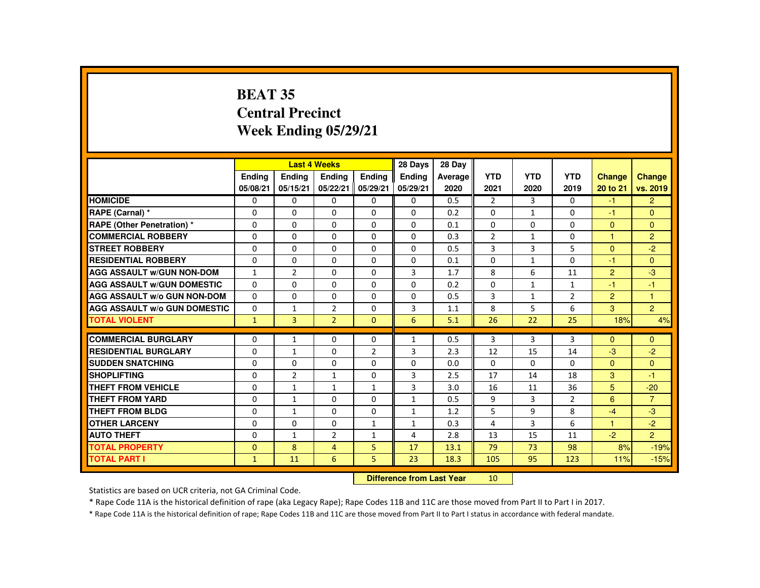# **BEAT 35 Central PrecinctWeek Ending 05/29/21**

|                                     |                           |                | <b>Last 4 Weeks</b> |                | 28 Days       | 28 Day  |                 |                |                |                      |                |
|-------------------------------------|---------------------------|----------------|---------------------|----------------|---------------|---------|-----------------|----------------|----------------|----------------------|----------------|
|                                     | <b>Endina</b>             | <b>Ending</b>  | <b>Ending</b>       | Ending         | <b>Endina</b> | Average | <b>YTD</b>      | <b>YTD</b>     | <b>YTD</b>     | <b>Change</b>        | <b>Change</b>  |
|                                     | 05/08/21                  | 05/15/21       | 05/22/21            | 05/29/21       | 05/29/21      | 2020    | 2021            | 2020           | 2019           | 20 to 21             | vs. 2019       |
| <b>HOMICIDE</b>                     | $\mathbf{0}$              | $\Omega$       | 0                   | 0              | $\mathbf{0}$  | 0.5     | 2               | $\overline{3}$ | $\Omega$       | $-1$                 | $\overline{2}$ |
| RAPE (Carnal) *                     | 0                         | $\Omega$       | $\Omega$            | $\mathbf{0}$   | $\mathbf{0}$  | 0.2     | $\Omega$        | $\mathbf{1}$   | $\mathbf{0}$   | $-1$                 | $\Omega$       |
| RAPE (Other Penetration) *          | $\Omega$                  | $\Omega$       | $\Omega$            | $\Omega$       | $\Omega$      | 0.1     | $\Omega$        | $\Omega$       | $\Omega$       | $\Omega$             | $\Omega$       |
| <b>COMMERCIAL ROBBERY</b>           | $\Omega$                  | $\Omega$       | $\Omega$            | $\Omega$       | $\Omega$      | 0.3     | $\overline{2}$  | $\mathbf{1}$   | $\Omega$       | 1                    | 2              |
| <b>STREET ROBBERY</b>               | $\Omega$                  | $\Omega$       | $\Omega$            | $\Omega$       | $\Omega$      | 0.5     | 3               | 3              | 5              | $\Omega$             | $-2$           |
| <b>RESIDENTIAL ROBBERY</b>          | 0                         | $\mathbf{0}$   | 0                   | $\Omega$       | 0             | 0.1     | 0               | 1              | 0              | -1                   | $\Omega$       |
| <b>AGG ASSAULT w/GUN NON-DOM</b>    | $\mathbf{1}$              | $\overline{2}$ | $\Omega$            | $\Omega$       | 3             | 1.7     | 8               | 6              | 11             | $\overline{2}$       | $-3$           |
| <b>AGG ASSAULT W/GUN DOMESTIC</b>   | $\Omega$                  | $\Omega$       | $\Omega$            | $\Omega$       | $\Omega$      | 0.2     | $\Omega$        | $\mathbf{1}$   | $\mathbf{1}$   | $-1$                 | $-1$           |
| <b>AGG ASSAULT w/o GUN NON-DOM</b>  | $\Omega$                  | $\Omega$       | $\Omega$            | $\Omega$       | $\Omega$      | 0.5     | $\overline{3}$  | $\mathbf{1}$   | $\overline{2}$ | $\overline{2}$       | $\mathbf{1}$   |
| <b>AGG ASSAULT W/o GUN DOMESTIC</b> | $\Omega$                  | $\mathbf{1}$   | 2                   | $\Omega$       | 3             | 1.1     | 8               | 5              | 6              | 3                    | $\overline{2}$ |
| <b>TOTAL VIOLENT</b>                | $\mathbf{1}$              | $\overline{3}$ | $\overline{2}$      | $\Omega$       | 6             | 5.1     | 26              | 22             | 25             | 18%                  | 4%             |
| <b>COMMERCIAL BURGLARY</b>          | $\Omega$                  | $\mathbf{1}$   | $\Omega$            | $\Omega$       | $\mathbf{1}$  | 0.5     | 3               | 3              | 3              | $\Omega$             | $\Omega$       |
| <b>RESIDENTIAL BURGLARY</b>         | 0                         | $\mathbf{1}$   | 0                   | $\overline{2}$ | 3             | 2.3     | 12              | 15             | 14             | $-3$                 | $-2$           |
| <b>SUDDEN SNATCHING</b>             | $\Omega$                  | $\Omega$       | $\Omega$            | $\Omega$       | $\Omega$      | 0.0     | $\Omega$        | 0              | $\Omega$       | $\mathbf{0}$         | $\Omega$       |
| <b>SHOPLIFTING</b>                  | $\Omega$                  | $\overline{2}$ | $\mathbf{1}$        | $\Omega$       | 3             | 2.5     | 17              | 14             | 18             | 3                    | $-1$           |
| <b>THEFT FROM VEHICLE</b>           | $\Omega$                  | $\mathbf{1}$   | $\mathbf{1}$        | $\mathbf{1}$   | 3             | 3.0     | 16              | 11             | 36             | 5                    | $-20$          |
| <b>THEFT FROM YARD</b>              | $\Omega$                  | $\mathbf{1}$   | $\Omega$            | $\Omega$       | $\mathbf{1}$  | 0.5     | 9               | 3              | $\overline{2}$ | 6                    | $\overline{7}$ |
| <b>THEFT FROM BLDG</b>              | 0                         | $\mathbf{1}$   | $\Omega$            | $\Omega$       | $\mathbf{1}$  | 1.2     | 5               | 9              | 8              | $-4$                 | $-3$           |
| <b>OTHER LARCENY</b>                | $\Omega$                  | $\Omega$       | $\Omega$            | $\mathbf{1}$   | $\mathbf{1}$  | 0.3     | 4               | 3              | 6              | $\blacktriangleleft$ | $-2$           |
| <b>AUTO THEFT</b>                   | $\Omega$                  | $\mathbf{1}$   | $\overline{2}$      | $\mathbf{1}$   | 4             | 2.8     | 13              | 15             | 11             | $-2$                 | $\overline{2}$ |
| <b>TOTAL PROPERTY</b>               | $\Omega$                  | 8              | $\overline{a}$      | 5              | 17            | 13.1    | 79              | 73             | 98             | 8%                   | $-19%$         |
| <b>TOTAL PART I</b>                 | $\mathbf{1}$              | 11             | 6                   | 5              | 23            | 18.3    | 105             | 95             | 123            | 11%                  | $-15%$         |
|                                     | Difference from Loot Voor |                |                     |                |               |         | 10 <sup>1</sup> |                |                |                      |                |

 **Difference from Last Year**<sup>10</sup>

Statistics are based on UCR criteria, not GA Criminal Code.

\* Rape Code 11A is the historical definition of rape (aka Legacy Rape); Rape Codes 11B and 11C are those moved from Part II to Part I in 2017.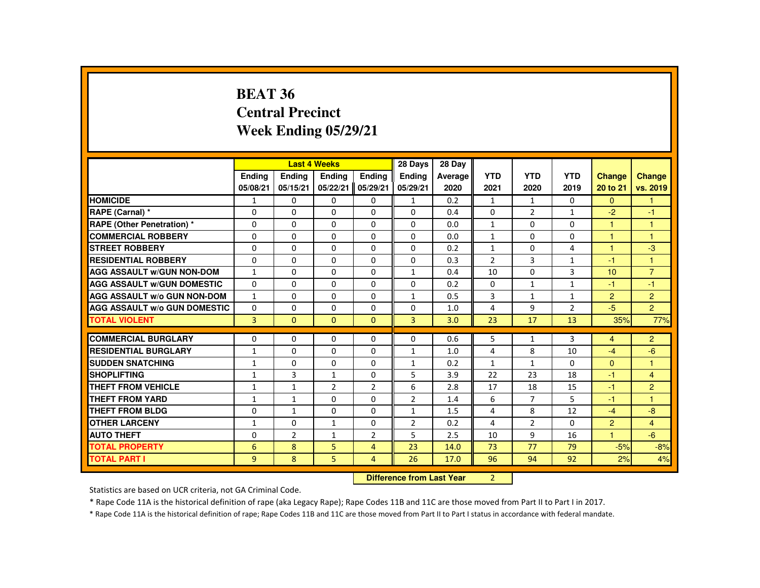#### **BEAT 36 Central PrecinctWeek Ending 05/29/21**

| <b>HOMICIDE</b><br>RAPE (Carnal) *<br><b>RAPE (Other Penetration) *</b> | $\mathbf{1}$   | <b>Ending</b><br>05/15/21 | <b>Last 4 Weeks</b><br><b>Ending</b><br><b>Endina</b><br><b>Endina</b><br>05/22/21<br>05/08/21 |                |                | Average | <b>YTD</b>     |                |                |                      |                      |
|-------------------------------------------------------------------------|----------------|---------------------------|------------------------------------------------------------------------------------------------|----------------|----------------|---------|----------------|----------------|----------------|----------------------|----------------------|
|                                                                         |                |                           |                                                                                                |                |                |         |                | <b>YTD</b>     | <b>YTD</b>     | <b>Change</b>        | <b>Change</b>        |
|                                                                         |                |                           |                                                                                                | 05/29/21       | 05/29/21       | 2020    | 2021           | 2020           | 2019           | 20 to 21             | vs. 2019             |
|                                                                         |                | $\Omega$                  | $\Omega$                                                                                       | 0              | $\mathbf{1}$   | 0.2     | $\mathbf{1}$   | $\mathbf{1}$   | $\Omega$       | $\Omega$             | $\mathbf{1}$         |
|                                                                         | $\Omega$       | $\Omega$                  | $\Omega$                                                                                       | $\Omega$       | $\Omega$       | 0.4     | $\Omega$       | 2              | $\mathbf{1}$   | $-2$                 | $-1$                 |
|                                                                         | $\Omega$       | 0                         | $\Omega$                                                                                       | 0              | $\Omega$       | 0.0     | $\mathbf{1}$   | 0              | $\Omega$       | $\mathbf{1}$         | $\overline{1}$       |
| <b>COMMERCIAL ROBBERY</b>                                               | $\Omega$       | $\Omega$                  | $\Omega$                                                                                       | $\Omega$       | $\Omega$       | 0.0     | $\mathbf{1}$   | $\Omega$       | $\Omega$       | $\blacktriangleleft$ | $\blacktriangleleft$ |
| <b>STREET ROBBERY</b>                                                   | $\Omega$       | $\Omega$                  | $\Omega$                                                                                       | $\Omega$       | $\Omega$       | 0.2     | $\mathbf{1}$   | $\Omega$       | 4              | $\overline{1}$       | $-3$                 |
| <b>RESIDENTIAL ROBBERY</b>                                              | $\Omega$       | $\Omega$                  | $\Omega$                                                                                       | $\Omega$       | $\Omega$       | 0.3     | $\mathcal{P}$  | 3              | $\mathbf{1}$   | $-1$                 | $\overline{1}$       |
| <b>AGG ASSAULT W/GUN NON-DOM</b>                                        | $\mathbf{1}$   | 0                         | $\Omega$                                                                                       | 0              | $\mathbf{1}$   | 0.4     | 10             | 0              | 3              | 10                   | $\overline{7}$       |
| <b>AGG ASSAULT W/GUN DOMESTIC</b>                                       | $\Omega$       | $\Omega$                  | $\Omega$                                                                                       | $\Omega$       | $\Omega$       | 0.2     | $\Omega$       | $\mathbf{1}$   | $\mathbf{1}$   | $-1$                 | $-1$                 |
| <b>AGG ASSAULT W/o GUN NON-DOM</b>                                      | $\mathbf{1}$   | $\Omega$                  | $\Omega$                                                                                       | $\Omega$       | $\mathbf{1}$   | 0.5     | 3              | $\mathbf{1}$   | $\mathbf{1}$   | $\overline{2}$       | 2                    |
| <b>AGG ASSAULT W/o GUN DOMESTIC</b>                                     | $\Omega$       | $\Omega$                  | $\Omega$                                                                                       | $\Omega$       | 0              | 1.0     | 4              | 9              | $\overline{2}$ | $-5$                 | $\overline{2}$       |
| <b>TOTAL VIOLENT</b>                                                    | $\overline{3}$ | $\Omega$                  | $\Omega$                                                                                       | $\Omega$       | 3              | 3.0     | 23             | 17             | 13             | 35%                  | 77%                  |
| <b>COMMERCIAL BURGLARY</b>                                              | 0              | 0                         | 0                                                                                              | 0              | $\Omega$       | 0.6     | 5              | $\mathbf{1}$   | 3              | $\overline{4}$       | $\overline{2}$       |
| <b>RESIDENTIAL BURGLARY</b>                                             | $\mathbf{1}$   | $\Omega$                  | $\Omega$                                                                                       | $\Omega$       | $\mathbf{1}$   | 1.0     | $\overline{4}$ | 8              | 10             | $-4$                 | $-6$                 |
| <b>SUDDEN SNATCHING</b>                                                 | $\mathbf{1}$   | 0                         | $\Omega$                                                                                       | 0              | $\mathbf{1}$   | 0.2     | $\mathbf{1}$   | $\mathbf{1}$   | $\Omega$       | $\Omega$             | $\overline{1}$       |
| <b>SHOPLIFTING</b>                                                      | 1              | 3                         | 1                                                                                              | 0              | 5              | 3.9     | 22             | 23             | 18             | $-1$                 | $\overline{4}$       |
| <b>THEFT FROM VEHICLE</b>                                               | $\mathbf{1}$   | $\mathbf{1}$              | $\overline{2}$                                                                                 | $\overline{2}$ | 6              | 2.8     | 17             | 18             | 15             | $-1$                 | 2                    |
| <b>THEFT FROM YARD</b>                                                  | $\mathbf{1}$   | $\mathbf{1}$              | $\Omega$                                                                                       | $\Omega$       | $\overline{2}$ | 1.4     | 6              | $\overline{7}$ | 5              | $-1$                 | $\overline{1}$       |
| <b>THEFT FROM BLDG</b>                                                  | $\Omega$       | $\mathbf{1}$              | $\Omega$                                                                                       | $\Omega$       | $\mathbf{1}$   | 1.5     | 4              | 8              | 12             | $-4$                 | $-8$                 |
| <b>OTHER LARCENY</b>                                                    | $\mathbf{1}$   | 0                         | 1                                                                                              | $\Omega$       | $\overline{2}$ | 0.2     | 4              | $\overline{2}$ | $\Omega$       | $\overline{2}$       | $\overline{4}$       |
| <b>AUTO THEFT</b>                                                       | 0              | $\overline{2}$            | $\mathbf{1}$                                                                                   | $\overline{2}$ | 5              | 2.5     | 10             | 9              | 16             | $\overline{1}$       | $-6$                 |
| <b>TOTAL PROPERTY</b>                                                   |                |                           |                                                                                                |                | 23             | 14.0    | 73             | 77             | 79             | $-5%$                |                      |
|                                                                         | 6              | 8                         | 5                                                                                              | 4              |                |         |                |                |                |                      | $-8%$                |
| <b>TOTAL PART I</b>                                                     | 9              | 8                         | 5                                                                                              | 4              | 26             | 17.0    | 96             | 94             | 92             | 2%                   | 4%                   |

**Difference from Last Year** 2

Statistics are based on UCR criteria, not GA Criminal Code.

\* Rape Code 11A is the historical definition of rape (aka Legacy Rape); Rape Codes 11B and 11C are those moved from Part II to Part I in 2017.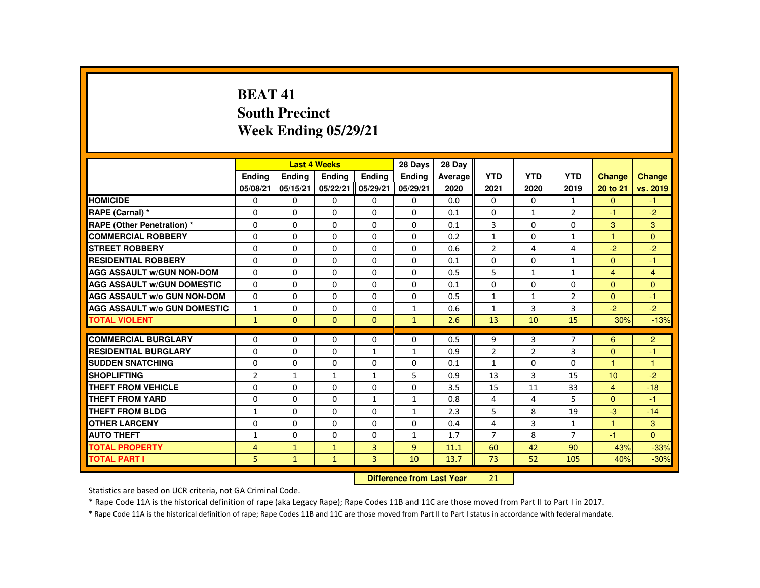## **BEAT 41 South PrecinctWeek Ending 05/29/21**

|                                     |                |              | <b>Last 4 Weeks</b> |                | 28 Days                   | 28 Day  |                |                |                |                |                |
|-------------------------------------|----------------|--------------|---------------------|----------------|---------------------------|---------|----------------|----------------|----------------|----------------|----------------|
|                                     | Ending         | Ending       | Ending              | <b>Endina</b>  | <b>Endina</b>             | Average | <b>YTD</b>     | <b>YTD</b>     | <b>YTD</b>     | <b>Change</b>  | Change         |
|                                     | 05/08/21       | 05/15/21     | 05/22/21            | 05/29/21       | 05/29/21                  | 2020    | 2021           | 2020           | 2019           | 20 to 21       | vs. 2019       |
| <b>HOMICIDE</b>                     | 0              | $\Omega$     | $\Omega$            | $\Omega$       | 0                         | 0.0     | 0              | $\Omega$       | $\mathbf{1}$   | $\Omega$       | $-1$           |
| RAPE (Carnal) *                     | $\Omega$       | $\Omega$     | $\Omega$            | $\Omega$       | $\Omega$                  | 0.1     | $\Omega$       | $\mathbf{1}$   | $\overline{2}$ | $-1$           | $-2$           |
| RAPE (Other Penetration) *          | $\mathbf{0}$   | $\Omega$     | $\mathbf{0}$        | $\Omega$       | 0                         | 0.1     | 3              | $\Omega$       | $\Omega$       | 3              | 3              |
| <b>COMMERCIAL ROBBERY</b>           | $\mathbf{0}$   | $\Omega$     | $\Omega$            | $\Omega$       | $\Omega$                  | 0.2     | $\mathbf{1}$   | $\Omega$       | $\mathbf{1}$   | $\mathbf{1}$   | $\Omega$       |
| <b>STREET ROBBERY</b>               | $\Omega$       | $\Omega$     | $\Omega$            | $\Omega$       | $\Omega$                  | 0.6     | $\overline{2}$ | 4              | 4              | $-2$           | $-2$           |
| <b>RESIDENTIAL ROBBERY</b>          | $\mathbf{0}$   | $\Omega$     | $\mathbf{0}$        | 0              | $\Omega$                  | 0.1     | $\Omega$       | $\Omega$       | $\mathbf{1}$   | $\Omega$       | $-1$           |
| <b>AGG ASSAULT W/GUN NON-DOM</b>    | $\mathbf{0}$   | $\Omega$     | $\Omega$            | $\Omega$       | $\Omega$                  | 0.5     | 5              | 1              | $\mathbf{1}$   | $\overline{4}$ | $\overline{4}$ |
| <b>AGG ASSAULT W/GUN DOMESTIC</b>   | $\Omega$       | $\Omega$     | $\Omega$            | $\Omega$       | $\Omega$                  | 0.1     | $\Omega$       | $\Omega$       | $\Omega$       | $\Omega$       | $\overline{0}$ |
| <b>AGG ASSAULT W/o GUN NON-DOM</b>  | $\Omega$       | $\Omega$     | $\Omega$            | $\Omega$       | $\Omega$                  | 0.5     | $\mathbf{1}$   | $\mathbf{1}$   | $\overline{2}$ | $\Omega$       | $-1$           |
| <b>AGG ASSAULT w/o GUN DOMESTIC</b> | $\mathbf{1}$   | $\Omega$     | $\mathbf{0}$        | 0              | $\mathbf{1}$              | 0.6     | $\mathbf{1}$   | 3              | 3              | $-2$           | $-2$           |
| <b>TOTAL VIOLENT</b>                | $\mathbf{1}$   | $\mathbf{0}$ | $\Omega$            | $\mathbf{0}$   | $\mathbf{1}$              | 2.6     | 13             | 10             | 15             | 30%            | $-13%$         |
| <b>COMMERCIAL BURGLARY</b>          | $\Omega$       | $\Omega$     | $\Omega$            | $\Omega$       | $\Omega$                  | 0.5     | 9              | 3              | $\overline{7}$ | 6              | $\overline{2}$ |
| <b>RESIDENTIAL BURGLARY</b>         | $\Omega$       | $\Omega$     | $\Omega$            | $\mathbf{1}$   | $\mathbf{1}$              | 0.9     | $\overline{2}$ | $\overline{2}$ | 3              | $\mathbf{0}$   | $-1$           |
| <b>SUDDEN SNATCHING</b>             | $\Omega$       | $\Omega$     | $\Omega$            | $\Omega$       | 0                         | 0.1     | $\mathbf{1}$   | 0              | $\Omega$       | 1              | $\overline{1}$ |
| <b>SHOPLIFTING</b>                  | $\overline{2}$ | $\mathbf{1}$ | $\mathbf{1}$        | $\mathbf{1}$   | 5                         | 0.9     | 13             | 3              | 15             | 10             | $-2$           |
| <b>THEFT FROM VEHICLE</b>           | $\Omega$       | $\Omega$     | $\Omega$            | $\Omega$       | $\Omega$                  | 3.5     | 15             | 11             | 33             | $\overline{4}$ | $-18$          |
| <b>THEFT FROM YARD</b>              | $\Omega$       | $\Omega$     | $\Omega$            | $\mathbf{1}$   | $\mathbf{1}$              | 0.8     | 4              | 4              | 5              | $\Omega$       | $-1$           |
| <b>THEFT FROM BLDG</b>              | 1              | $\Omega$     | $\Omega$            | $\Omega$       | $\mathbf{1}$              | 2.3     | 5              | 8              | 19             | $-3$           | $-14$          |
| <b>OTHER LARCENY</b>                | $\Omega$       | $\Omega$     | $\Omega$            | $\Omega$       | $\Omega$                  | 0.4     | 4              | $\overline{3}$ | $\mathbf{1}$   | $\mathbf{1}$   | 3              |
| <b>AUTO THEFT</b>                   | $\mathbf{1}$   | $\Omega$     | $\Omega$            | $\Omega$       | $\mathbf{1}$              | 1.7     | $\overline{7}$ | 8              | $\overline{7}$ | $-1$           | $\Omega$       |
| <b>TOTAL PROPERTY</b>               | $\overline{4}$ | $\mathbf{1}$ | $\mathbf{1}$        | $\overline{3}$ | $\overline{9}$            | 11.1    | 60             | 42             | 90             | 43%            | $-33%$         |
| <b>TOTAL PART I</b>                 | 5              | $\mathbf{1}$ | $\mathbf{1}$        | $\overline{3}$ | 10                        | 13.7    | 73             | 52             | 105            | 40%            | $-30%$         |
|                                     |                |              |                     |                | Difference from Loot Voor |         | 21             |                |                |                |                |

 **Difference from Last Year**<sup>21</sup>

Statistics are based on UCR criteria, not GA Criminal Code.

\* Rape Code 11A is the historical definition of rape (aka Legacy Rape); Rape Codes 11B and 11C are those moved from Part II to Part I in 2017.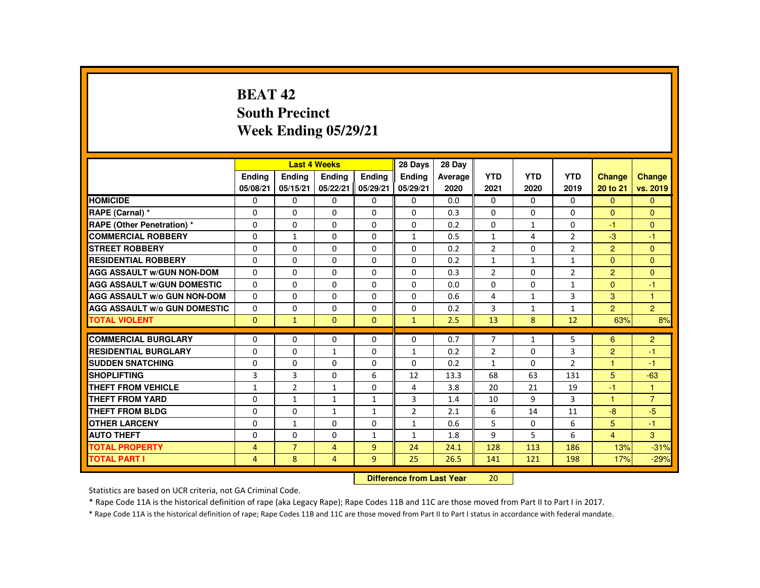# **BEAT 42 South PrecinctWeek Ending 05/29/21**

|                                     |                |                | <b>Last 4 Weeks</b> |               | 28 Days                   | 28 Day  |                |                |                |                |                |
|-------------------------------------|----------------|----------------|---------------------|---------------|---------------------------|---------|----------------|----------------|----------------|----------------|----------------|
|                                     | Ending         | Ending         | Ending              | <b>Endina</b> | <b>Ending</b>             | Average | <b>YTD</b>     | <b>YTD</b>     | <b>YTD</b>     | Change         | <b>Change</b>  |
|                                     | 05/08/21       | 05/15/21       | 05/22/21            | 05/29/21      | 05/29/21                  | 2020    | 2021           | 2020           | 2019           | 20 to 21       | vs. 2019       |
| <b>HOMICIDE</b>                     | 0              | $\Omega$       | 0                   | $\mathbf{0}$  | 0                         | 0.0     | $\mathbf{0}$   | $\Omega$       | $\Omega$       | $\mathbf{0}$   | $\mathbf{0}$   |
| RAPE (Carnal) *                     | $\Omega$       | $\Omega$       | $\Omega$            | 0             | 0                         | 0.3     | 0              | 0              | 0              | $\mathbf{0}$   | $\mathbf{0}$   |
| <b>RAPE (Other Penetration) *</b>   | $\Omega$       | $\Omega$       | $\Omega$            | $\Omega$      | $\Omega$                  | 0.2     | $\Omega$       | $\mathbf{1}$   | 0              | $-1$           | $\mathbf{0}$   |
| <b>COMMERCIAL ROBBERY</b>           | $\Omega$       | $\mathbf{1}$   | $\Omega$            | $\Omega$      | $\mathbf{1}$              | 0.5     | $\mathbf{1}$   | $\overline{4}$ | $\overline{2}$ | $-3$           | $-1$           |
| <b>STREET ROBBERY</b>               | $\Omega$       | $\Omega$       | $\Omega$            | $\Omega$      | $\Omega$                  | 0.2     | $\overline{2}$ | $\Omega$       | $\overline{2}$ | $\overline{2}$ | $\Omega$       |
| <b>RESIDENTIAL ROBBERY</b>          | $\Omega$       | $\mathbf{0}$   | 0                   | $\Omega$      | $\Omega$                  | 0.2     | $\mathbf{1}$   | $\mathbf{1}$   | $\mathbf{1}$   | $\mathbf{0}$   | $\Omega$       |
| <b>AGG ASSAULT W/GUN NON-DOM</b>    | $\Omega$       | $\Omega$       | $\Omega$            | $\Omega$      | $\Omega$                  | 0.3     | $\overline{2}$ | $\Omega$       | $\overline{2}$ | $\overline{2}$ | $\Omega$       |
| <b>AGG ASSAULT W/GUN DOMESTIC</b>   | $\Omega$       | $\Omega$       | $\Omega$            | $\Omega$      | $\Omega$                  | 0.0     | $\Omega$       | $\Omega$       | $\mathbf{1}$   | $\Omega$       | $-1$           |
| <b>AGG ASSAULT W/o GUN NON-DOM</b>  | $\Omega$       | $\Omega$       | $\Omega$            | $\Omega$      | $\Omega$                  | 0.6     | 4              | $\mathbf{1}$   | $\overline{3}$ | 3              | $\mathbf{1}$   |
| <b>AGG ASSAULT W/o GUN DOMESTIC</b> | 0              | $\mathbf{0}$   | 0                   | 0             | 0                         | 0.2     | 3              | $\mathbf{1}$   | $\mathbf{1}$   | $\overline{2}$ | $\overline{c}$ |
| <b>TOTAL VIOLENT</b>                | $\Omega$       | $\mathbf{1}$   | $\mathbf{0}$        | $\mathbf{0}$  | $\mathbf{1}$              | 2.5     | 13             | 8              | 12             | 63%            | 8%             |
| <b>COMMERCIAL BURGLARY</b>          | $\Omega$       | $\Omega$       | $\Omega$            | $\Omega$      | $\Omega$                  | 0.7     | $\overline{7}$ | $\mathbf{1}$   | 5              | 6              | $\overline{c}$ |
| <b>RESIDENTIAL BURGLARY</b>         | $\Omega$       | $\Omega$       | $\mathbf{1}$        | 0             | 1                         | 0.2     | $\overline{2}$ | 0              | 3              | $\overline{2}$ | -1             |
| <b>SUDDEN SNATCHING</b>             | $\Omega$       | $\Omega$       | $\Omega$            | 0             | 0                         | 0.2     | $\mathbf{1}$   | $\Omega$       | $\overline{2}$ | $\mathbf{1}$   | $-1$           |
| <b>SHOPLIFTING</b>                  | 3              | 3              | 0                   | 6             | 12                        | 13.3    | 68             | 63             | 131            | 5              | $-63$          |
| <b>THEFT FROM VEHICLE</b>           | $\mathbf{1}$   | $\overline{2}$ | $\mathbf{1}$        | $\Omega$      | 4                         | 3.8     | 20             | 21             | 19             | $-1$           | $\mathbf{1}$   |
| <b>THEFT FROM YARD</b>              | $\Omega$       | $\mathbf{1}$   | $\mathbf{1}$        | 1             | 3                         | 1.4     | 10             | 9              | 3              | 1              | $\overline{7}$ |
| THEFT FROM BLDG                     | $\mathbf{0}$   | $\mathbf{0}$   | $\mathbf{1}$        | $\mathbf{1}$  | $\overline{2}$            | 2.1     | 6              | 14             | 11             | $-8$           | $-5$           |
| <b>OTHER LARCENY</b>                | $\Omega$       | $\mathbf{1}$   | $\Omega$            | $\Omega$      | 1                         | 0.6     | 5              | 0              | 6              | 5              | $-1$           |
| <b>AUTO THEFT</b>                   | $\Omega$       | $\Omega$       | $\Omega$            | $\mathbf{1}$  | $\mathbf{1}$              | 1.8     | 9              | 5              | 6              | $\overline{4}$ | 3              |
| <b>TOTAL PROPERTY</b>               | $\overline{4}$ | $\overline{7}$ | $\overline{4}$      | 9             | 24                        | 24.1    | 128            | 113            | 186            | 13%            | $-31%$         |
| <b>TOTAL PART I</b>                 | $\overline{4}$ | 8              | 4                   | 9             | 25                        | 26.5    | 141            | 121            | 198            | 17%            | $-29%$         |
|                                     |                |                |                     |               | Difference from Loot Voor |         | $20^{\circ}$   |                |                |                |                |

 **Difference from Last Year**<sup>20</sup>

Statistics are based on UCR criteria, not GA Criminal Code.

\* Rape Code 11A is the historical definition of rape (aka Legacy Rape); Rape Codes 11B and 11C are those moved from Part II to Part I in 2017.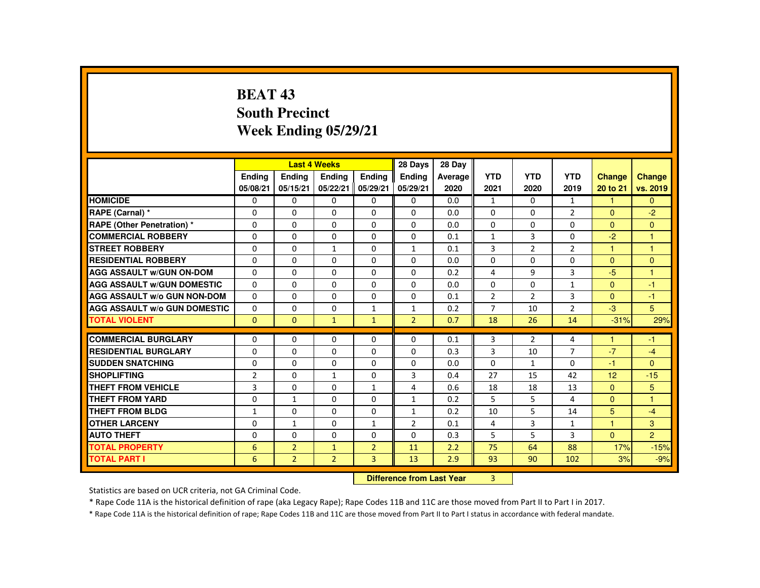# **BEAT 43 South PrecinctWeek Ending 05/29/21**

|                                     |                |                | <b>Last 4 Weeks</b>              |                | 28 Days        | 28 Day  |                |                |                |                |                      |
|-------------------------------------|----------------|----------------|----------------------------------|----------------|----------------|---------|----------------|----------------|----------------|----------------|----------------------|
|                                     | Ending         | <b>Ending</b>  | <b>Ending</b>                    | Ending         | Ending         | Average | <b>YTD</b>     | <b>YTD</b>     | <b>YTD</b>     | <b>Change</b>  | <b>Change</b>        |
|                                     | 05/08/21       | 05/15/21       | 05/22/21                         | 05/29/21       | 05/29/21       | 2020    | 2021           | 2020           | 2019           | 20 to 21       | vs. 2019             |
| <b>HOMICIDE</b>                     | 0              | $\Omega$       | 0                                | 0              | $\mathbf 0$    | 0.0     | $\mathbf{1}$   | $\Omega$       | $\mathbf{1}$   | 1              | $\Omega$             |
| RAPE (Carnal) *                     | $\Omega$       | $\Omega$       | $\Omega$                         | $\Omega$       | $\Omega$       | 0.0     | $\Omega$       | $\Omega$       | $\overline{2}$ | $\Omega$       | $-2$                 |
| <b>RAPE (Other Penetration)*</b>    | $\Omega$       | $\Omega$       | $\Omega$                         | $\Omega$       | $\Omega$       | 0.0     | $\Omega$       | $\Omega$       | $\Omega$       | $\Omega$       | $\mathbf{0}$         |
| <b>COMMERCIAL ROBBERY</b>           | $\Omega$       | $\Omega$       | $\Omega$                         | $\Omega$       | $\Omega$       | 0.1     | $\mathbf{1}$   | $\overline{3}$ | $\Omega$       | $-2$           | $\blacktriangleleft$ |
| <b>STREET ROBBERY</b>               | 0              | $\Omega$       | $\mathbf{1}$                     | $\Omega$       | 1              | 0.1     | 3              | $\overline{2}$ | $\overline{2}$ | н              | 1                    |
| <b>RESIDENTIAL ROBBERY</b>          | $\Omega$       | $\Omega$       | $\Omega$                         | $\Omega$       | $\Omega$       | 0.0     | $\Omega$       | $\Omega$       | $\Omega$       | $\mathbf{0}$   | $\Omega$             |
| <b>AGG ASSAULT W/GUN ON-DOM</b>     | $\Omega$       | $\Omega$       | $\Omega$                         | $\Omega$       | $\Omega$       | 0.2     | 4              | 9              | $\overline{3}$ | $-5$           | $\overline{1}$       |
| <b>AGG ASSAULT W/GUN DOMESTIC</b>   | $\Omega$       | $\Omega$       | $\Omega$                         | $\Omega$       | $\Omega$       | 0.0     | $\Omega$       | $\Omega$       | $\mathbf{1}$   | $\Omega$       | $-1$                 |
| <b>AGG ASSAULT W/o GUN NON-DOM</b>  | $\Omega$       | 0              | $\Omega$                         | 0              | 0              | 0.1     | $\overline{2}$ | $\overline{2}$ | 3              | $\Omega$       | $-1$                 |
| <b>AGG ASSAULT w/o GUN DOMESTIC</b> | $\Omega$       | $\Omega$       | $\Omega$                         | $\mathbf{1}$   | $\mathbf{1}$   | 0.2     | $\overline{7}$ | 10             | $\overline{2}$ | $-3$           | 5                    |
| <b>TOTAL VIOLENT</b>                | $\Omega$       | $\mathbf{0}$   | $\mathbf{1}$                     | $\mathbf{1}$   | $\overline{2}$ | 0.7     | 18             | 26             | 14             | $-31%$         | 29%                  |
| <b>COMMERCIAL BURGLARY</b>          | $\Omega$       | $\Omega$       | $\Omega$                         | $\Omega$       | $\Omega$       | 0.1     | 3              | $\overline{2}$ | 4              |                | $-1$                 |
| <b>RESIDENTIAL BURGLARY</b>         | $\Omega$       | $\Omega$       | $\Omega$                         | $\Omega$       | $\Omega$       | 0.3     | 3              | 10             | $\overline{7}$ | $-7$           | $-4$                 |
| <b>SUDDEN SNATCHING</b>             | $\Omega$       | $\Omega$       | $\Omega$                         | $\Omega$       | $\Omega$       | 0.0     | $\Omega$       | $\mathbf{1}$   | $\Omega$       | $-1$           | $\Omega$             |
| <b>SHOPLIFTING</b>                  | $\overline{2}$ | $\mathbf{0}$   | 1                                | $\mathbf{0}$   | 3              | 0.4     | 27             | 15             | 42             | 12             | $-15$                |
| <b>THEFT FROM VEHICLE</b>           | 3              | $\Omega$       | $\Omega$                         | 1              | 4              | 0.6     | 18             | 18             | 13             | $\Omega$       | 5                    |
| <b>THEFT FROM YARD</b>              | $\Omega$       | $\mathbf{1}$   | $\Omega$                         | $\Omega$       | $\mathbf{1}$   | 0.2     | 5              | 5              | 4              | $\mathbf{0}$   | $\mathbf{1}$         |
| <b>THEFT FROM BLDG</b>              | $\mathbf{1}$   | $\Omega$       | $\Omega$                         | $\Omega$       | $\mathbf{1}$   | 0.2     | 10             | 5              | 14             | 5              | $-4$                 |
| <b>OTHER LARCENY</b>                | $\Omega$       | $\mathbf{1}$   | $\Omega$                         | $\mathbf{1}$   | $\overline{2}$ | 0.1     | $\overline{4}$ | 3              | 1              | $\overline{1}$ | 3                    |
| <b>AUTO THEFT</b>                   | 0              | $\Omega$       | $\Omega$                         | $\Omega$       | $\Omega$       | 0.3     | 5              | 5              | 3              | $\mathbf{0}$   | $\overline{2}$       |
| <b>TOTAL PROPERTY</b>               | 6              | $\overline{2}$ | $\mathbf{1}$                     | $\overline{2}$ | 11             | 2.2     | 75             | 64             | 88             | 17%            | $-15%$               |
| <b>TOTAL PART I</b>                 | 6              | $\overline{2}$ | $\overline{2}$                   | $\overline{3}$ | 13             | 2.9     | 93             | 90             | 102            | 3%             | $-9%$                |
|                                     |                |                | <b>Difference from Last Year</b> |                | 3              |         |                |                |                |                |                      |

 **Difference from Last Year**

Statistics are based on UCR criteria, not GA Criminal Code.

\* Rape Code 11A is the historical definition of rape (aka Legacy Rape); Rape Codes 11B and 11C are those moved from Part II to Part I in 2017.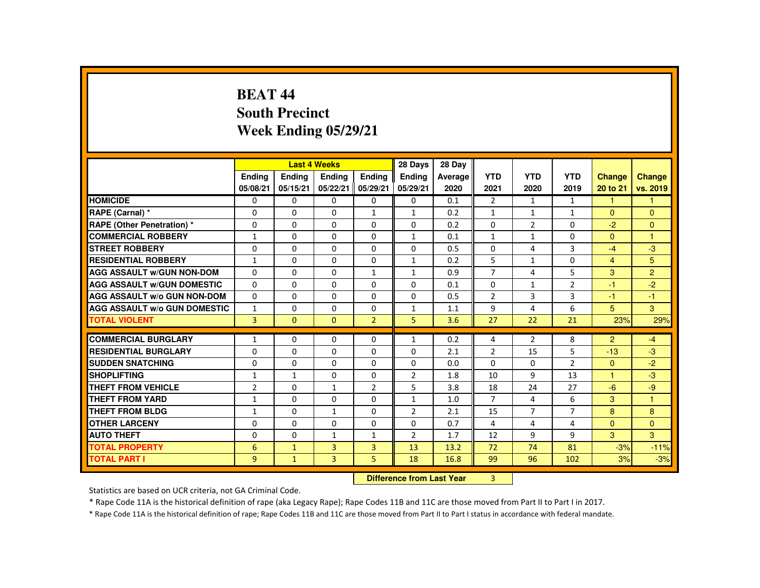# **BEAT 44 South PrecinctWeek Ending 05/29/21**

|                                     |                |               | <b>Last 4 Weeks</b>              |                | 28 Days        | 28 Day  |                |                |                |                      |                |
|-------------------------------------|----------------|---------------|----------------------------------|----------------|----------------|---------|----------------|----------------|----------------|----------------------|----------------|
|                                     | <b>Endina</b>  | <b>Endina</b> | <b>Endina</b>                    | Ending         | <b>Endina</b>  | Average | <b>YTD</b>     | <b>YTD</b>     | <b>YTD</b>     | <b>Change</b>        | <b>Change</b>  |
|                                     | 05/08/21       | 05/15/21      | 05/22/21                         | 05/29/21       | 05/29/21       | 2020    | 2021           | 2020           | 2019           | 20 to 21             | vs. 2019       |
| <b>HOMICIDE</b>                     | $\Omega$       | 0             | $\Omega$                         | 0              | 0              | 0.1     | $\overline{2}$ | 1              | $\mathbf{1}$   | $\mathbf{1}$         | $\mathbf{1}$   |
| RAPE (Carnal) *                     | 0              | $\Omega$      | $\Omega$                         | $\mathbf{1}$   | $\mathbf{1}$   | 0.2     | $\mathbf{1}$   | $\mathbf{1}$   | $\mathbf{1}$   | $\Omega$             | $\Omega$       |
| <b>RAPE (Other Penetration) *</b>   | $\Omega$       | $\Omega$      | $\Omega$                         | $\Omega$       | $\Omega$       | 0.2     | $\Omega$       | 2              | $\Omega$       | $-2$                 | $\mathbf{0}$   |
| <b>COMMERCIAL ROBBERY</b>           | $\mathbf{1}$   | $\Omega$      | $\Omega$                         | $\Omega$       | $\mathbf{1}$   | 0.1     | $\mathbf{1}$   | $\mathbf{1}$   | $\Omega$       | $\Omega$             | $\mathbf{1}$   |
| <b>STREET ROBBERY</b>               | $\Omega$       | $\Omega$      | $\Omega$                         | $\Omega$       | $\Omega$       | 0.5     | 0              | 4              | 3              | $-4$                 | $-3$           |
| <b>RESIDENTIAL ROBBERY</b>          | 1              | $\Omega$      | $\Omega$                         | $\Omega$       | 1              | 0.2     | 5              | $\mathbf{1}$   | $\Omega$       | $\overline{4}$       | 5              |
| <b>AGG ASSAULT W/GUN NON-DOM</b>    | $\Omega$       | $\Omega$      | $\Omega$                         | $\mathbf{1}$   | $\mathbf{1}$   | 0.9     | $\overline{7}$ | 4              | 5              | 3                    | $\overline{2}$ |
| <b>AGG ASSAULT W/GUN DOMESTIC</b>   | $\Omega$       | $\Omega$      | $\Omega$                         | $\Omega$       | $\Omega$       | 0.1     | $\Omega$       | $\mathbf{1}$   | $\overline{2}$ | $-1$                 | $-2$           |
| AGG ASSAULT W/o GUN NON-DOM         | 0              | 0             | 0                                | 0              | 0              | 0.5     | $\overline{2}$ | 3              | 3              | -1                   | $-1$           |
| <b>AGG ASSAULT W/o GUN DOMESTIC</b> | $\mathbf{1}$   | 0             | $\Omega$                         | 0              | 1              | 1.1     | 9              | 4              | 6              | 5 <sup>5</sup>       | 3 <sup>1</sup> |
| <b>TOTAL VIOLENT</b>                | 3              | $\mathbf{0}$  | $\Omega$                         | $\overline{2}$ | 5              | 3.6     | 27             | 22             | 21             | 23%                  | 29%            |
| <b>COMMERCIAL BURGLARY</b>          | $\mathbf{1}$   | 0             | 0                                | 0              | $\mathbf{1}$   | 0.2     | 4              | 2              | 8              | $\overline{2}$       | $-4$           |
| <b>RESIDENTIAL BURGLARY</b>         | $\Omega$       | $\Omega$      | $\Omega$                         | $\Omega$       | 0              | 2.1     | $\overline{2}$ | 15             | 5              | $-13$                | $-3$           |
| <b>SUDDEN SNATCHING</b>             | $\Omega$       | $\Omega$      | $\Omega$                         | $\Omega$       | $\Omega$       | 0.0     | $\Omega$       | $\Omega$       | $\overline{2}$ | $\mathbf{0}$         | $-2$           |
| <b>SHOPLIFTING</b>                  | $\mathbf{1}$   | $\mathbf{1}$  | $\Omega$                         | 0              | $\overline{2}$ | 1.8     | 10             | 9              | 13             | $\blacktriangleleft$ | $-3$           |
| <b>THEFT FROM VEHICLE</b>           | $\overline{2}$ | $\Omega$      | $\mathbf{1}$                     | $\overline{2}$ | 5              | 3.8     | 18             | 24             | 27             | $-6$                 | $-9$           |
| <b>THEFT FROM YARD</b>              | $\mathbf{1}$   | $\Omega$      | $\Omega$                         | 0              | $\mathbf{1}$   | 1.0     | $\overline{7}$ | $\overline{4}$ | 6              | 3                    | $\mathbf{1}$   |
| <b>THEFT FROM BLDG</b>              | $\mathbf{1}$   | $\Omega$      | $\mathbf{1}$                     | $\Omega$       | $\overline{2}$ | 2.1     | 15             | $\overline{7}$ | $\overline{7}$ | 8                    | 8              |
| <b>OTHER LARCENY</b>                | 0              | $\Omega$      | $\Omega$                         | $\Omega$       | $\Omega$       | 0.7     | 4              | 4              | 4              | $\Omega$             | $\overline{0}$ |
| <b>AUTO THEFT</b>                   | $\Omega$       | $\Omega$      | 1                                | $\mathbf{1}$   | $\overline{2}$ | 1.7     | 12             | 9              | 9              | 3                    | $\mathcal{B}$  |
| <b>TOTAL PROPERTY</b>               | 6              | $\mathbf{1}$  | $\overline{3}$                   | 3              | 13             | 13.2    | 72             | 74             | 81             | $-3%$                | $-11%$         |
| <b>TOTAL PART I</b>                 | $\overline{9}$ | $\mathbf{1}$  | $\overline{3}$                   | 5              | 18             | 16.8    | 99             | 96             | 102            | 3%                   | $-3%$          |
|                                     |                |               | <b>Difference from Last Year</b> |                | 3              |         |                |                |                |                      |                |

 **Difference from Last Year**

Statistics are based on UCR criteria, not GA Criminal Code.

\* Rape Code 11A is the historical definition of rape (aka Legacy Rape); Rape Codes 11B and 11C are those moved from Part II to Part I in 2017.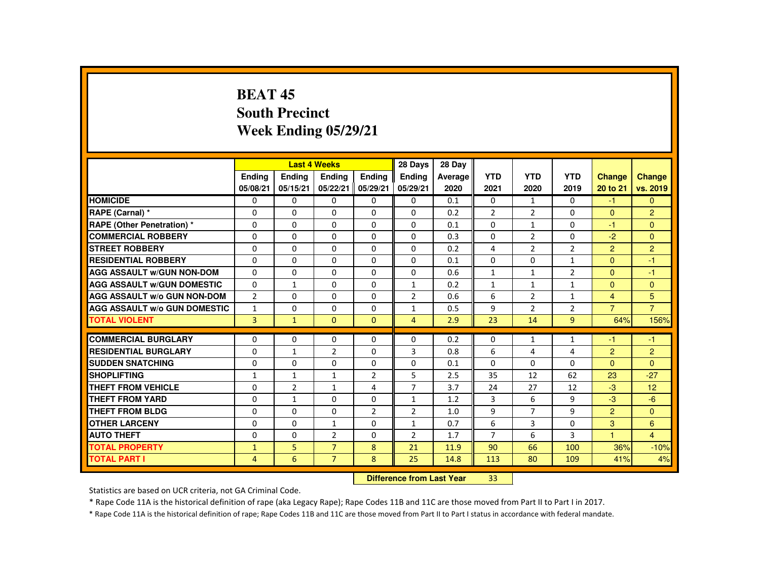## **BEAT 45 South PrecinctWeek Ending 05/29/21**

|                                     |                |                 | <b>Last 4 Weeks</b> |                           | 28 Days        | 28 Day  |                |                |                |                |                |
|-------------------------------------|----------------|-----------------|---------------------|---------------------------|----------------|---------|----------------|----------------|----------------|----------------|----------------|
|                                     | <b>Ending</b>  | <b>Ending</b>   | <b>Endina</b>       | <b>Endina</b>             | <b>Endina</b>  | Average | <b>YTD</b>     | <b>YTD</b>     | <b>YTD</b>     | <b>Change</b>  | Change         |
|                                     | 05/08/21       | 05/15/21        | 05/22/21            | 05/29/21                  | 05/29/21       | 2020    | 2021           | 2020           | 2019           | 20 to 21       | vs. 2019       |
| <b>HOMICIDE</b>                     | 0              | $\Omega$        | $\Omega$            | $\Omega$                  | $\Omega$       | 0.1     | 0              | $\mathbf{1}$   | 0              | $-1$           | $\mathbf{0}$   |
| RAPE (Carnal) *                     | $\Omega$       | $\Omega$        | $\Omega$            | $\Omega$                  | $\Omega$       | 0.2     | $\overline{2}$ | $\overline{2}$ | $\Omega$       | $\Omega$       | $\overline{2}$ |
| <b>RAPE (Other Penetration) *</b>   | $\Omega$       | $\Omega$        | $\Omega$            | $\Omega$                  | $\Omega$       | 0.1     | $\Omega$       | $\mathbf{1}$   | $\Omega$       | -1             | $\overline{0}$ |
| <b>COMMERCIAL ROBBERY</b>           | $\Omega$       | $\Omega$        | $\Omega$            | $\Omega$                  | $\Omega$       | 0.3     | $\Omega$       | $\overline{2}$ | $\Omega$       | $-2$           | $\mathbf{0}$   |
| <b>STREET ROBBERY</b>               | $\Omega$       | $\Omega$        | $\Omega$            | $\Omega$                  | $\Omega$       | 0.2     | 4              | $\overline{2}$ | $\overline{2}$ | 2              | $\overline{2}$ |
| <b>RESIDENTIAL ROBBERY</b>          | $\Omega$       | $\Omega$        | $\mathbf{0}$        | $\Omega$                  | 0              | 0.1     | $\Omega$       | 0              | $\mathbf{1}$   | $\Omega$       | $-1$           |
| <b>AGG ASSAULT W/GUN NON-DOM</b>    | $\Omega$       | $\Omega$        | $\Omega$            | $\Omega$                  | $\Omega$       | 0.6     | $\mathbf{1}$   | $\mathbf{1}$   | $\overline{2}$ | $\Omega$       | $-1$           |
| <b>AGG ASSAULT W/GUN DOMESTIC</b>   | $\Omega$       | $\mathbf{1}$    | $\Omega$            | $\Omega$                  | $\mathbf{1}$   | 0.2     | $\mathbf{1}$   | $\mathbf{1}$   | $\mathbf{1}$   | $\Omega$       | $\mathbf{0}$   |
| <b>AGG ASSAULT W/o GUN NON-DOM</b>  | $\overline{2}$ | $\Omega$        | $\Omega$            | $\Omega$                  | $\overline{2}$ | 0.6     | 6              | $\overline{2}$ | $\mathbf{1}$   | $\overline{4}$ | 5              |
| <b>AGG ASSAULT W/o GUN DOMESTIC</b> | $\mathbf{1}$   | $\mathbf 0$     | $\Omega$            | $\Omega$                  | $\mathbf{1}$   | 0.5     | 9              | $\overline{2}$ | $\overline{2}$ | $\overline{7}$ | $\overline{7}$ |
| <b>TOTAL VIOLENT</b>                | $\overline{3}$ | $\mathbf{1}$    | $\mathbf{0}$        | $\mathbf{0}$              | $\overline{4}$ | 2.9     | 23             | 14             | 9              | 64%            | 156%           |
| <b>COMMERCIAL BURGLARY</b>          | $\Omega$       | $\Omega$        | $\Omega$            | $\Omega$                  | $\Omega$       | 0.2     | $\Omega$       | $\mathbf{1}$   | $\mathbf{1}$   | -1             | $-1$           |
| <b>RESIDENTIAL BURGLARY</b>         | $\Omega$       | $\mathbf{1}$    | $\overline{2}$      | $\Omega$                  | 3              | 0.8     | 6              | 4              | 4              | $\overline{2}$ | $\overline{2}$ |
| <b>SUDDEN SNATCHING</b>             | $\Omega$       | $\Omega$        | $\Omega$            | $\Omega$                  | $\Omega$       | 0.1     | $\Omega$       | $\Omega$       | $\Omega$       | $\Omega$       | $\Omega$       |
| <b>SHOPLIFTING</b>                  | $\mathbf{1}$   | $\mathbf{1}$    | $\mathbf{1}$        | $\overline{2}$            | 5              | 2.5     | 35             | 12             | 62             | 23             | $-27$          |
| <b>THEFT FROM VEHICLE</b>           | $\Omega$       | $\overline{2}$  | $\mathbf{1}$        | 4                         | $\overline{7}$ | 3.7     | 24             | 27             | 12             | $-3$           | 12             |
| <b>THEFT FROM YARD</b>              | 0              | $\mathbf{1}$    | $\mathbf{0}$        | $\Omega$                  | $\mathbf{1}$   | 1.2     | 3              | 6              | 9              | $-3$           | $-6$           |
| <b>THEFT FROM BLDG</b>              | $\Omega$       | $\Omega$        | $\Omega$            | $\overline{2}$            | $\overline{2}$ | 1.0     | 9              | $\overline{7}$ | 9              | $\overline{2}$ | $\Omega$       |
| <b>OTHER LARCENY</b>                | $\Omega$       | $\Omega$        | $\mathbf{1}$        | $\Omega$                  | $\mathbf{1}$   | 0.7     | 6              | 3              | $\Omega$       | 3              | 6              |
| <b>AUTO THEFT</b>                   | $\Omega$       | $\Omega$        | $\overline{2}$      | $\Omega$                  | $\overline{2}$ | 1.7     | $\overline{7}$ | 6              | 3              | $\mathbf{1}$   | $\overline{4}$ |
| <b>TOTAL PROPERTY</b>               | $\mathbf{1}$   | 5               | $\overline{7}$      | 8                         | 21             | 11.9    | 90             | 66             | 100            | 36%            | $-10%$         |
| <b>TOTAL PART I</b>                 | 4              | $6\overline{6}$ | $\overline{7}$      | 8                         | 25             | 14.8    | 113            | 80             | 109            | 41%            | 4%             |
|                                     |                |                 |                     | Difference from Loot Voor |                | 22      |                |                |                |                |                |

 **Difference from Last Year**<sup>33</sup>

Statistics are based on UCR criteria, not GA Criminal Code.

\* Rape Code 11A is the historical definition of rape (aka Legacy Rape); Rape Codes 11B and 11C are those moved from Part II to Part I in 2017.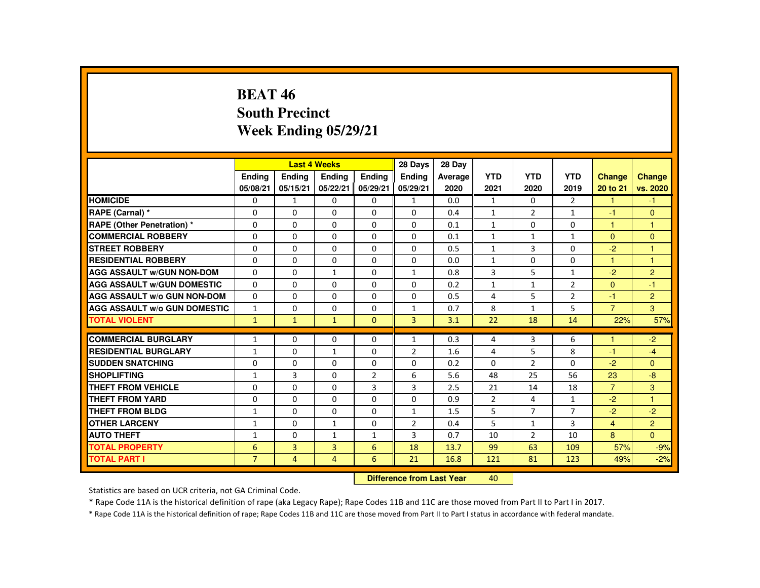### **BEAT 46 South PrecinctWeek Ending 05/29/21**

|                                     |                |                | <b>Last 4 Weeks</b> |                | 28 Days                   | 28 Day  |                |                |                |                |                |
|-------------------------------------|----------------|----------------|---------------------|----------------|---------------------------|---------|----------------|----------------|----------------|----------------|----------------|
|                                     | <b>Endina</b>  | Ending         | Ending              | <b>Endina</b>  | Ending                    | Average | <b>YTD</b>     | <b>YTD</b>     | <b>YTD</b>     | Change         | <b>Change</b>  |
|                                     | 05/08/21       | 05/15/21       | 05/22/21            | 05/29/21       | 05/29/21                  | 2020    | 2021           | 2020           | 2019           | 20 to 21       | vs. 2020       |
| <b>HOMICIDE</b>                     | $\mathbf{0}$   | $\mathbf{1}$   | 0                   | $\mathbf{0}$   | $\mathbf{1}$              | 0.0     | $\mathbf{1}$   | $\Omega$       | $\overline{2}$ | $\mathbf{1}$   | $-1$           |
| RAPE (Carnal) *                     | $\Omega$       | $\Omega$       | $\Omega$            | $\Omega$       | $\Omega$                  | 0.4     | $\mathbf{1}$   | $\overline{2}$ | $\mathbf{1}$   | $-1$           | $\mathbf{0}$   |
| <b>RAPE (Other Penetration) *</b>   | $\Omega$       | $\Omega$       | $\Omega$            | $\Omega$       | 0                         | 0.1     | $\mathbf{1}$   | $\Omega$       | 0              | $\mathbf{1}$   | $\mathbf{1}$   |
| <b>COMMERCIAL ROBBERY</b>           | $\Omega$       | $\Omega$       | $\Omega$            | $\Omega$       | $\Omega$                  | 0.1     | $\mathbf{1}$   | $\mathbf{1}$   | $\mathbf{1}$   | $\mathbf{0}$   | $\mathbf{0}$   |
| <b>STREET ROBBERY</b>               | $\Omega$       | $\Omega$       | $\Omega$            | $\Omega$       | $\Omega$                  | 0.5     | $\mathbf{1}$   | 3              | $\Omega$       | $-2$           | $\mathbf{1}$   |
| <b>RESIDENTIAL ROBBERY</b>          | 0              | $\mathbf{0}$   | 0                   | 0              | 0                         | 0.0     | $\mathbf{1}$   | 0              | 0              | 1              | 1              |
| <b>AGG ASSAULT W/GUN NON-DOM</b>    | $\Omega$       | $\Omega$       | $\mathbf{1}$        | $\Omega$       | 1                         | 0.8     | 3              | 5              | $\mathbf{1}$   | $-2$           | $\overline{2}$ |
| <b>AGG ASSAULT W/GUN DOMESTIC</b>   | $\Omega$       | $\Omega$       | $\Omega$            | $\Omega$       | $\Omega$                  | 0.2     | $\mathbf{1}$   | $\mathbf{1}$   | $\overline{2}$ | $\Omega$       | $-1$           |
| <b>AGG ASSAULT W/o GUN NON-DOM</b>  | $\Omega$       | $\Omega$       | $\Omega$            | $\Omega$       | $\Omega$                  | 0.5     | 4              | 5              | $\overline{2}$ | $-1$           | 2              |
| <b>AGG ASSAULT W/o GUN DOMESTIC</b> | $\mathbf{1}$   | $\Omega$       | $\Omega$            | $\Omega$       | $\mathbf{1}$              | 0.7     | 8              | $\mathbf{1}$   | 5              | $\overline{7}$ | 3              |
| <b>TOTAL VIOLENT</b>                | $\mathbf{1}$   | $\mathbf{1}$   | $\mathbf{1}$        | $\Omega$       | $\overline{3}$            | 3.1     | 22             | 18             | 14             | 22%            | 57%            |
| <b>COMMERCIAL BURGLARY</b>          | $\mathbf{1}$   | $\Omega$       | $\Omega$            | $\Omega$       | $\mathbf{1}$              | 0.3     | 4              | 3              | 6              | 1              | $-2$           |
| <b>RESIDENTIAL BURGLARY</b>         | $\mathbf{1}$   | $\Omega$       | $\mathbf{1}$        | 0              | 2                         | 1.6     | 4              | 5              | 8              | $-1$           | $-4$           |
| <b>SUDDEN SNATCHING</b>             | $\Omega$       | $\Omega$       | $\Omega$            | $\Omega$       | $\Omega$                  | 0.2     | $\Omega$       | $\overline{2}$ | $\Omega$       | $-2$           | $\Omega$       |
| <b>SHOPLIFTING</b>                  | $\mathbf{1}$   | 3              | $\Omega$            | $\overline{2}$ | 6                         | 5.6     | 48             | 25             | 56             | 23             | $-8$           |
| <b>THEFT FROM VEHICLE</b>           | $\Omega$       | $\Omega$       | $\Omega$            | 3              | 3                         | 2.5     | 21             | 14             | 18             | $\overline{7}$ | 3              |
| <b>THEFT FROM YARD</b>              | $\Omega$       | $\Omega$       | $\Omega$            | $\Omega$       | $\Omega$                  | 0.9     | $\overline{2}$ | 4              | $\mathbf{1}$   | $-2$           | $\mathbf{1}$   |
| THEFT FROM BLDG                     | $\mathbf{1}$   | $\mathbf{0}$   | 0                   | $\Omega$       | $\mathbf{1}$              | 1.5     | 5              | $\overline{7}$ | $\overline{7}$ | $-2$           | $-2$           |
| <b>OTHER LARCENY</b>                | $\mathbf{1}$   | $\mathbf{0}$   | $\mathbf{1}$        | $\Omega$       | $\overline{2}$            | 0.4     | 5              | $\mathbf{1}$   | 3              | $\overline{4}$ | $\overline{2}$ |
| <b>AUTO THEFT</b>                   | $\mathbf{1}$   | $\Omega$       | $\mathbf{1}$        | $\mathbf{1}$   | 3                         | 0.7     | 10             | 2              | 10             | 8              | $\mathbf{0}$   |
| <b>TOTAL PROPERTY</b>               | 6              | $\overline{3}$ | $\overline{3}$      | 6              | 18                        | 13.7    | 99             | 63             | 109            | 57%            | $-9%$          |
| <b>TOTAL PART I</b>                 | $\overline{7}$ | 4              | $\overline{4}$      | 6              | 21                        | 16.8    | 121            | 81             | 123            | 49%            | $-2%$          |
|                                     |                |                |                     |                | Difference from Leat Voor |         | $\sqrt{2}$     |                |                |                |                |

 **Difference from Last Year**<sup>40</sup>

Statistics are based on UCR criteria, not GA Criminal Code.

\* Rape Code 11A is the historical definition of rape (aka Legacy Rape); Rape Codes 11B and 11C are those moved from Part II to Part I in 2017.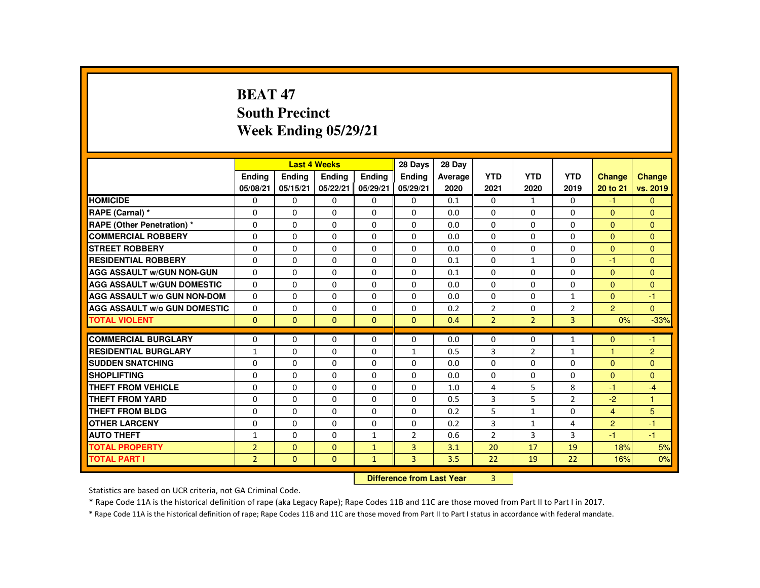# **BEAT 47 South PrecinctWeek Ending 05/29/21**

|                                     |                |          | <b>Last 4 Weeks</b>              |               | 28 Days        | 28 Day  |                |                |                |                |                |
|-------------------------------------|----------------|----------|----------------------------------|---------------|----------------|---------|----------------|----------------|----------------|----------------|----------------|
|                                     | Ending         | Ending   | Ending                           | <b>Endina</b> | <b>Endina</b>  | Average | <b>YTD</b>     | <b>YTD</b>     | <b>YTD</b>     | <b>Change</b>  | <b>Change</b>  |
|                                     | 05/08/21       | 05/15/21 | 05/22/21                         | 05/29/21      | 05/29/21       | 2020    | 2021           | 2020           | 2019           | 20 to 21       | vs. 2019       |
| <b>HOMICIDE</b>                     | 0              | $\Omega$ | $\mathbf{0}$                     | $\mathbf{0}$  | 0              | 0.1     | 0              | $\mathbf{1}$   | 0              | $-1$           | $\mathbf{0}$   |
| RAPE (Carnal) *                     | $\mathbf{0}$   | $\Omega$ | $\Omega$                         | $\Omega$      | $\Omega$       | 0.0     | $\Omega$       | $\Omega$       | $\Omega$       | $\mathbf{0}$   | $\Omega$       |
| <b>RAPE (Other Penetration) *</b>   | $\mathbf{0}$   | $\Omega$ | $\Omega$                         | $\Omega$      | $\Omega$       | 0.0     | $\Omega$       | $\Omega$       | $\Omega$       | $\Omega$       | $\Omega$       |
| <b>COMMERCIAL ROBBERY</b>           | $\mathbf{0}$   | $\Omega$ | $\Omega$                         | $\Omega$      | $\Omega$       | 0.0     | $\Omega$       | $\Omega$       | $\Omega$       | $\Omega$       | $\Omega$       |
| <b>STREET ROBBERY</b>               | $\mathbf 0$    | $\Omega$ | $\Omega$                         | $\Omega$      | $\Omega$       | 0.0     | $\Omega$       | $\Omega$       | $\Omega$       | $\Omega$       | $\mathbf{0}$   |
| <b>RESIDENTIAL ROBBERY</b>          | $\Omega$       | $\Omega$ | $\Omega$                         | $\Omega$      | $\Omega$       | 0.1     | $\Omega$       | $\mathbf{1}$   | $\Omega$       | -1             | $\Omega$       |
| <b>AGG ASSAULT W/GUN NON-GUN</b>    | $\Omega$       | $\Omega$ | $\Omega$                         | $\Omega$      | $\Omega$       | 0.1     | $\Omega$       | $\Omega$       | $\Omega$       | $\Omega$       | $\Omega$       |
| <b>AGG ASSAULT W/GUN DOMESTIC</b>   | $\Omega$       | $\Omega$ | $\Omega$                         | $\Omega$      | $\Omega$       | 0.0     | $\Omega$       | $\Omega$       | $\Omega$       | $\Omega$       | $\Omega$       |
| <b>AGG ASSAULT W/o GUN NON-DOM</b>  | $\Omega$       | $\Omega$ | $\mathbf{0}$                     | $\mathbf{0}$  | $\Omega$       | 0.0     | $\Omega$       | $\Omega$       | $\mathbf{1}$   | $\Omega$       | $-1$           |
| <b>AGG ASSAULT W/o GUN DOMESTIC</b> | $\Omega$       | $\Omega$ | $\Omega$                         | $\Omega$      | $\Omega$       | 0.2     | $\overline{2}$ | $\Omega$       | $\overline{2}$ | $\overline{2}$ | $\overline{0}$ |
| <b>TOTAL VIOLENT</b>                | $\Omega$       | $\Omega$ | $\Omega$                         | $\Omega$      | $\Omega$       | 0.4     | $\overline{2}$ | $\overline{2}$ | $\overline{3}$ | 0%             | $-33%$         |
| <b>COMMERCIAL BURGLARY</b>          | $\mathbf{0}$   | $\Omega$ | $\mathbf{0}$                     | $\Omega$      | 0              | 0.0     | 0              | 0              | $\mathbf{1}$   | $\Omega$       | $-1$           |
| <b>RESIDENTIAL BURGLARY</b>         | $\mathbf{1}$   | $\Omega$ | $\Omega$                         | $\Omega$      | $\mathbf{1}$   | 0.5     | 3              | $\overline{2}$ | $\mathbf{1}$   | $\overline{1}$ | $\overline{2}$ |
| <b>SUDDEN SNATCHING</b>             | $\Omega$       | $\Omega$ | $\Omega$                         | $\Omega$      | $\Omega$       | 0.0     | $\Omega$       | $\Omega$       | $\Omega$       | $\Omega$       | $\Omega$       |
| <b>SHOPLIFTING</b>                  | 0              | 0        | $\mathbf{0}$                     | 0             | 0              | 0.0     | 0              | 0              | 0              | $\overline{0}$ | $\overline{0}$ |
| <b>THEFT FROM VEHICLE</b>           | $\Omega$       | $\Omega$ | $\Omega$                         | $\Omega$      | $\Omega$       | 1.0     | 4              | 5              | 8              | -1             | $-4$           |
| <b>THEFT FROM YARD</b>              | $\mathbf{0}$   | $\Omega$ | $\Omega$                         | $\Omega$      | $\Omega$       | 0.5     | 3              | 5              | $\overline{2}$ | $-2$           | $\mathbf{1}$   |
| <b>THEFT FROM BLDG</b>              | $\mathbf{0}$   | $\Omega$ | $\Omega$                         | $\Omega$      | $\Omega$       | 0.2     | 5              | $\mathbf{1}$   | $\Omega$       | $\overline{4}$ | 5              |
| <b>OTHER LARCENY</b>                | $\mathbf{0}$   | $\Omega$ | $\Omega$                         | $\Omega$      | $\Omega$       | 0.2     | 3              | $\mathbf{1}$   | 4              | $\overline{2}$ | $-1$           |
| <b>AUTO THEFT</b>                   | 1              | $\Omega$ | $\Omega$                         | $\mathbf{1}$  | 2              | 0.6     | $\overline{2}$ | $\overline{3}$ | 3              | $-1$           | $-1$           |
| <b>TOTAL PROPERTY</b>               | $\overline{2}$ | $\Omega$ | $\Omega$                         | $\mathbf{1}$  | 3              | 3.1     | 20             | 17             | 19             | 18%            | 5%             |
| <b>TOTAL PART I</b>                 | $\overline{2}$ | $\Omega$ | $\mathbf{0}$                     | $\mathbf{1}$  | $\overline{3}$ | 3.5     | 22             | 19             | 22             | 16%            | 0%             |
|                                     |                |          | <b>Difference from Last Year</b> |               | 3              |         |                |                |                |                |                |

 **Difference from Last Year**

Statistics are based on UCR criteria, not GA Criminal Code.

\* Rape Code 11A is the historical definition of rape (aka Legacy Rape); Rape Codes 11B and 11C are those moved from Part II to Part I in 2017.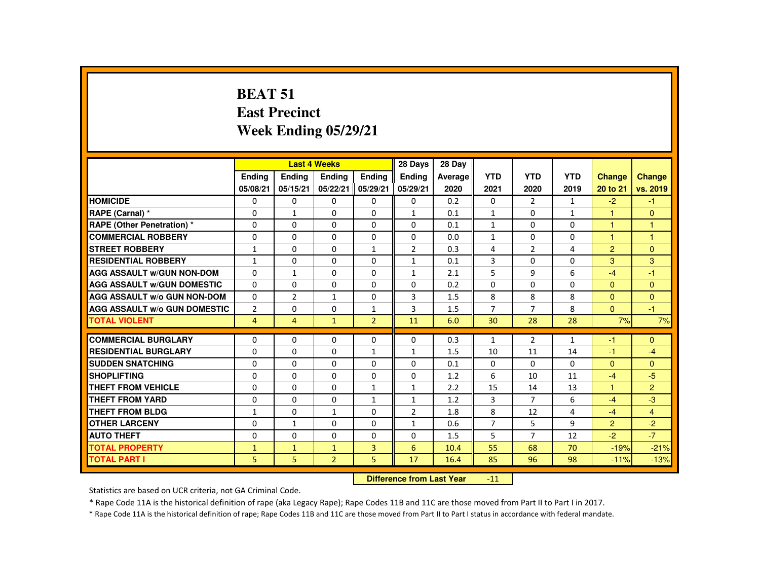# **BEAT 51 East PrecinctWeek Ending 05/29/21**

|                                     |                    |                    | <b>Last 4 Weeks</b>              |                           | 28 Days            | 28 Day          |                    |                    |                    |                           |                           |
|-------------------------------------|--------------------|--------------------|----------------------------------|---------------------------|--------------------|-----------------|--------------------|--------------------|--------------------|---------------------------|---------------------------|
|                                     | Ending<br>05/08/21 | Ending<br>05/15/21 | Ending<br>05/22/21               | <b>Endina</b><br>05/29/21 | Ending<br>05/29/21 | Average<br>2020 | <b>YTD</b><br>2021 | <b>YTD</b><br>2020 | <b>YTD</b><br>2019 | <b>Change</b><br>20 to 21 | <b>Change</b><br>vs. 2019 |
| <b>HOMICIDE</b>                     | $\Omega$           | 0                  | 0                                | 0                         | 0                  | 0.2             | 0                  | $\overline{2}$     | $\mathbf{1}$       | $-2$                      | $-1$                      |
| RAPE (Carnal) *                     | 0                  | $\mathbf{1}$       | 0                                | $\Omega$                  | 1                  | 0.1             | $\mathbf{1}$       | 0                  | $\mathbf{1}$       | 1                         | $\mathbf{0}$              |
| <b>RAPE (Other Penetration) *</b>   | $\Omega$           | $\Omega$           | $\Omega$                         | $\Omega$                  | $\Omega$           | 0.1             | 1                  | $\Omega$           | $\Omega$           | $\blacktriangleleft$      | $\mathbf{1}$              |
| <b>COMMERCIAL ROBBERY</b>           | $\Omega$           | $\Omega$           | $\Omega$                         | $\Omega$                  | $\Omega$           | 0.0             | $\mathbf{1}$       | $\Omega$           | $\Omega$           | $\blacktriangleleft$      | $\overline{1}$            |
| <b>STREET ROBBERY</b>               | $\mathbf{1}$       | $\Omega$           | $\Omega$                         | $\mathbf{1}$              | 2                  | 0.3             | 4                  | 2                  | 4                  | $\overline{2}$            | $\mathbf{0}$              |
| <b>RESIDENTIAL ROBBERY</b>          | $\mathbf{1}$       | 0                  | 0                                | 0                         | $\mathbf{1}$       | 0.1             | 3                  | 0                  | 0                  | 3                         | 3                         |
| <b>AGG ASSAULT W/GUN NON-DOM</b>    | $\Omega$           | $\mathbf{1}$       | $\Omega$                         | $\Omega$                  | $\mathbf{1}$       | 2.1             | 5                  | 9                  | 6                  | $-4$                      | $-1$                      |
| <b>AGG ASSAULT W/GUN DOMESTIC</b>   | $\Omega$           | $\Omega$           | $\Omega$                         | $\Omega$                  | $\Omega$           | 0.2             | $\Omega$           | $\Omega$           | $\Omega$           | $\Omega$                  | $\Omega$                  |
| <b>AGG ASSAULT W/o GUN NON-DOM</b>  | 0                  | $\overline{2}$     | $\mathbf{1}$                     | 0                         | 3                  | 1.5             | 8                  | 8                  | 8                  | $\Omega$                  | $\Omega$                  |
| <b>AGG ASSAULT W/o GUN DOMESTIC</b> | $\overline{2}$     | 0                  | $\Omega$                         | $\mathbf{1}$              | 3                  | 1.5             | $\overline{7}$     | $\overline{7}$     | 8                  | $\Omega$                  | $-1$                      |
| <b>TOTAL VIOLENT</b>                | $\overline{4}$     | $\overline{4}$     | $\mathbf{1}$                     | $\overline{2}$            | 11                 | 6.0             | 30                 | 28                 | 28                 | 7%                        | 7%                        |
| <b>COMMERCIAL BURGLARY</b>          | $\Omega$           | 0                  | $\Omega$                         | 0                         | $\Omega$           | 0.3             | $\mathbf{1}$       | 2                  | $\mathbf{1}$       | -1                        | $\mathbf{0}$              |
| <b>RESIDENTIAL BURGLARY</b>         | $\Omega$           | $\Omega$           | $\Omega$                         | $\mathbf{1}$              | $\mathbf{1}$       | 1.5             | 10                 | 11                 | 14                 | $-1$                      | $-4$                      |
| <b>SUDDEN SNATCHING</b>             | 0                  | 0                  | 0                                | 0                         | 0                  | 0.1             | 0                  | 0                  | 0                  | $\Omega$                  | $\Omega$                  |
| <b>SHOPLIFTING</b>                  | $\Omega$           | 0                  | $\Omega$                         | 0                         | 0                  | 1.2             | 6                  | 10                 | 11                 | $-4$                      | $-5$                      |
| <b>THEFT FROM VEHICLE</b>           | $\Omega$           | $\Omega$           | $\Omega$                         | $\mathbf{1}$              | $\mathbf{1}$       | 2.2             | 15                 | 14                 | 13                 | $\blacktriangleleft$      | 2                         |
| <b>THEFT FROM YARD</b>              | $\Omega$           | $\Omega$           | $\Omega$                         | $\mathbf{1}$              | $\mathbf{1}$       | 1.2             | 3                  | $\overline{7}$     | 6                  | $-4$                      | $-3$                      |
| <b>THEFT FROM BLDG</b>              | $\mathbf{1}$       | $\Omega$           | $\mathbf{1}$                     | $\Omega$                  | $\overline{2}$     | 1.8             | 8                  | 12                 | 4                  | $-4$                      | $\overline{4}$            |
| <b>OTHER LARCENY</b>                | $\Omega$           | $\mathbf{1}$       | $\Omega$                         | $\Omega$                  | $\mathbf{1}$       | 0.6             | $\overline{7}$     | 5                  | 9                  | $\overline{2}$            | $-2$                      |
| <b>AUTO THEFT</b>                   | $\Omega$           | $\Omega$           | $\Omega$                         | $\Omega$                  | $\Omega$           | 1.5             | 5                  | $\overline{7}$     | 12                 | $-2$                      | $-7$                      |
| <b>TOTAL PROPERTY</b>               | $\mathbf{1}$       | $\mathbf{1}$       | $\mathbf{1}$                     | 3                         | 6                  | 10.4            | 55                 | 68                 | 70                 | $-19%$                    | $-21%$                    |
| <b>TOTAL PART I</b>                 | 5                  | 5 <sup>1</sup>     | $\overline{2}$                   | 5                         | 17                 | 16.4            | 85                 | 96                 | 98                 | $-11%$                    | $-13%$                    |
|                                     |                    |                    | <b>Difference from Last Year</b> |                           | $-11$              |                 |                    |                    |                    |                           |                           |

Statistics are based on UCR criteria, not GA Criminal Code.

\* Rape Code 11A is the historical definition of rape (aka Legacy Rape); Rape Codes 11B and 11C are those moved from Part II to Part I in 2017.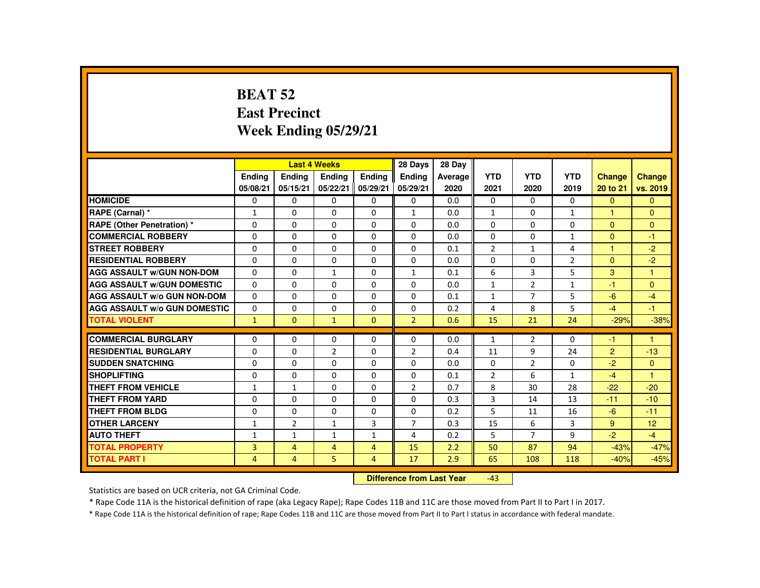#### **BEAT 52 East PrecinctWeek Ending 05/29/21**

|                                     |                           |                | <b>Last 4 Weeks</b> |                | 28 Days                    | 28 Day     |                     |                     |                |                        |                      |
|-------------------------------------|---------------------------|----------------|---------------------|----------------|----------------------------|------------|---------------------|---------------------|----------------|------------------------|----------------------|
|                                     | <b>Endina</b>             | <b>Ending</b>  | Ending              | <b>Endina</b>  | <b>Endina</b>              | Average    | <b>YTD</b>          | <b>YTD</b>          | <b>YTD</b>     | <b>Change</b>          | <b>Change</b>        |
|                                     | 05/08/21                  | 05/15/21       | 05/22/21            | 05/29/21       | 05/29/21                   | 2020       | 2021                | 2020                | 2019           | 20 to 21               | vs. 2019             |
| <b>HOMICIDE</b>                     | $\Omega$                  | $\Omega$       | 0                   | 0              | $\mathbf{0}$               | 0.0        | $\Omega$            | $\Omega$            | $\Omega$       | $\Omega$               | $\Omega$             |
| RAPE (Carnal) *                     | $\mathbf{1}$              | $\Omega$       | $\Omega$            | $\Omega$       | $\mathbf{1}$               | 0.0        | $\mathbf{1}$        | $\Omega$            | $\mathbf{1}$   | н                      | $\mathbf{0}$         |
| <b>RAPE (Other Penetration) *</b>   | $\Omega$                  | $\Omega$       | $\Omega$            | $\Omega$       | $\Omega$                   | 0.0        | $\Omega$            | $\Omega$            | $\Omega$       | $\mathbf{0}$           | $\Omega$             |
| <b>COMMERCIAL ROBBERY</b>           | $\Omega$                  | $\Omega$       | $\Omega$            | $\Omega$       | $\Omega$                   | 0.0        | $\Omega$            | $\Omega$            | $\mathbf{1}$   | $\mathbf{0}$           | $-1$                 |
| <b>STREET ROBBERY</b>               | $\Omega$                  | $\Omega$       | $\Omega$            | $\Omega$       | $\Omega$                   | 0.1        | $\overline{2}$      | $\mathbf{1}$        | 4              | $\blacktriangleleft$   | $-2$                 |
| <b>RESIDENTIAL ROBBERY</b>          | 0                         | $\mathbf{0}$   | 0                   | $\mathbf{0}$   | $\mathbf{0}$               | 0.0        | $\Omega$            | 0                   | $\overline{2}$ | $\Omega$               | $-2$                 |
| <b>AGG ASSAULT W/GUN NON-DOM</b>    | $\Omega$                  | $\Omega$       | $\mathbf{1}$        | $\Omega$       | $\mathbf{1}$               | 0.1        | 6                   | 3                   | 5              | 3                      | $\blacktriangleleft$ |
| <b>AGG ASSAULT W/GUN DOMESTIC</b>   | $\Omega$                  | $\Omega$       | $\Omega$            | $\Omega$       | $\Omega$                   | 0.0        | $\mathbf{1}$        | 2                   | $\mathbf{1}$   | $-1$                   | $\Omega$             |
| <b>AGG ASSAULT W/o GUN NON-DOM</b>  | $\Omega$                  | $\Omega$       | $\Omega$            | $\Omega$       | $\Omega$                   | 0.1        | $\mathbf{1}$        | $\overline{7}$      | 5              | $-6$                   | $-4$                 |
| <b>AGG ASSAULT W/o GUN DOMESTIC</b> | $\Omega$                  | $\Omega$       | $\Omega$            | $\Omega$       | $\Omega$                   | 0.2        | 4                   | 8                   | 5              | $-4$                   | $-1$                 |
| <b>TOTAL VIOLENT</b>                | $\mathbf{1}$              | $\mathbf{0}$   | ◆                   | $\Omega$       | $\overline{2}$             | 0.6        | 15                  | 21                  | 24             | $-29%$                 | $-38%$               |
| <b>COMMERCIAL BURGLARY</b>          | $\Omega$                  | $\Omega$       | $\Omega$            | $\Omega$       | $\Omega$                   | 0.0        | $\mathbf{1}$        | $\overline{2}$      | $\Omega$       | -1                     | $\overline{1}$       |
| <b>RESIDENTIAL BURGLARY</b>         | $\Omega$                  | $\Omega$       | 2                   | $\Omega$       |                            |            |                     | 9                   |                |                        |                      |
| <b>SUDDEN SNATCHING</b>             | $\Omega$                  | $\mathbf{0}$   | $\Omega$            | $\Omega$       | $\overline{2}$<br>$\Omega$ | 0.4        | 11<br>$\Omega$      |                     | 24<br>$\Omega$ | $\overline{2}$<br>$-2$ | $-13$<br>$\Omega$    |
| <b>SHOPLIFTING</b>                  | $\Omega$                  | $\Omega$       | $\Omega$            | $\Omega$       | $\Omega$                   | 0.0        |                     | $\overline{2}$<br>6 | $\mathbf{1}$   | $-4$                   | $\overline{1}$       |
| <b>THEFT FROM VEHICLE</b>           |                           | $\mathbf{1}$   | $\Omega$            | $\Omega$       |                            | 0.1<br>0.7 | $\overline{2}$<br>8 | 30                  | 28             | $-22$                  | $-20$                |
|                                     | $\mathbf{1}$              |                |                     |                | $\overline{2}$             |            |                     |                     |                |                        |                      |
| <b>THEFT FROM YARD</b>              | $\Omega$                  | $\Omega$       | $\Omega$            | $\Omega$       | $\Omega$                   | 0.3        | 3                   | 14                  | 13             | $-11$                  | $-10$                |
| <b>THEFT FROM BLDG</b>              | 0                         | $\Omega$       | $\Omega$            | $\Omega$       | $\mathbf 0$                | 0.2        | 5                   | 11                  | 16             | $-6$                   | $-11$                |
| <b>OTHER LARCENY</b>                | $\mathbf{1}$              | $\overline{2}$ | $\mathbf{1}$        | 3              | $\overline{7}$             | 0.3        | 15                  | 6                   | 3              | 9                      | 12                   |
| <b>AUTO THEFT</b>                   | $\mathbf{1}$              | $\mathbf{1}$   | $\mathbf{1}$        | $\mathbf{1}$   | 4                          | 0.2        | 5                   | $\overline{7}$      | 9              | $-2$                   | $-4$                 |
| <b>TOTAL PROPERTY</b>               | $\overline{3}$            | $\overline{4}$ | $\overline{4}$      | $\overline{4}$ | 15                         | 2.2        | 50                  | 87                  | 94             | $-43%$                 | $-47%$               |
| <b>TOTAL PART I</b>                 | $\overline{4}$            | 4              | 5                   | $\overline{4}$ | 17                         | 2.9        | 65                  | 108                 | 118            | $-40%$                 | $-45%$               |
|                                     | Difference from Loot Voor |                |                     |                |                            |            |                     |                     |                |                        |                      |

 **Difference from Last Year**-43

Statistics are based on UCR criteria, not GA Criminal Code.

\* Rape Code 11A is the historical definition of rape (aka Legacy Rape); Rape Codes 11B and 11C are those moved from Part II to Part I in 2017.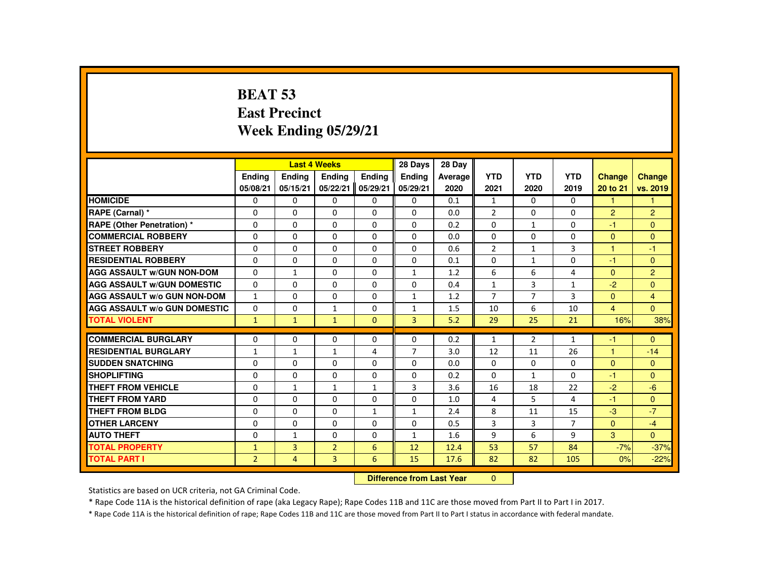# **BEAT 53 East PrecinctWeek Ending 05/29/21**

|                                     |                |                | <b>Last 4 Weeks</b>              |               | 28 Days        | 28 Day  |                |                |                |                |                |
|-------------------------------------|----------------|----------------|----------------------------------|---------------|----------------|---------|----------------|----------------|----------------|----------------|----------------|
|                                     | Ending         | Ending         | <b>Endina</b>                    | <b>Endina</b> | <b>Endina</b>  | Average | <b>YTD</b>     | <b>YTD</b>     | <b>YTD</b>     | <b>Change</b>  | <b>Change</b>  |
|                                     | 05/08/21       | 05/15/21       | 05/22/21                         | 05/29/21      | 05/29/21       | 2020    | 2021           | 2020           | 2019           | 20 to 21       | vs. 2019       |
| <b>HOMICIDE</b>                     | 0              | $\Omega$       | $\mathbf{0}$                     | $\Omega$      | 0              | 0.1     | $\mathbf{1}$   | $\Omega$       | 0              | $\mathbf{1}$   | 1              |
| RAPE (Carnal) *                     | $\mathbf{0}$   | $\Omega$       | $\Omega$                         | $\Omega$      | $\Omega$       | 0.0     | $\overline{2}$ | $\Omega$       | $\Omega$       | $\overline{2}$ | $\overline{2}$ |
| RAPE (Other Penetration) *          | $\mathbf{0}$   | $\Omega$       | $\Omega$                         | $\Omega$      | $\Omega$       | 0.2     | $\Omega$       | $\mathbf{1}$   | $\Omega$       | $-1$           | $\Omega$       |
| <b>COMMERCIAL ROBBERY</b>           | $\Omega$       | $\Omega$       | $\Omega$                         | $\Omega$      | $\Omega$       | 0.0     | $\Omega$       | $\Omega$       | $\Omega$       | $\Omega$       | $\Omega$       |
| <b>STREET ROBBERY</b>               | $\mathbf 0$    | $\Omega$       | $\Omega$                         | $\Omega$      | 0              | 0.6     | $\overline{2}$ | 1              | 3              | 1              | $-1$           |
| <b>RESIDENTIAL ROBBERY</b>          | $\Omega$       | $\Omega$       | $\Omega$                         | $\Omega$      | $\Omega$       | 0.1     | $\Omega$       | $\mathbf{1}$   | $\Omega$       | -1             | $\Omega$       |
| <b>AGG ASSAULT W/GUN NON-DOM</b>    | $\Omega$       | $\mathbf{1}$   | $\Omega$                         | $\Omega$      | $\mathbf{1}$   | 1.2     | 6              | 6              | 4              | $\Omega$       | $\overline{2}$ |
| <b>AGG ASSAULT W/GUN DOMESTIC</b>   | $\Omega$       | $\Omega$       | $\Omega$                         | $\Omega$      | $\Omega$       | 0.4     | $\mathbf{1}$   | 3              | $\mathbf{1}$   | $-2$           | $\Omega$       |
| <b>AGG ASSAULT W/o GUN NON-DOM</b>  | $\mathbf{1}$   | $\Omega$       | $\Omega$                         | $\Omega$      | $\mathbf{1}$   | 1.2     | $\overline{7}$ | $\overline{7}$ | 3              | $\mathbf{0}$   | $\overline{4}$ |
| <b>AGG ASSAULT W/o GUN DOMESTIC</b> | $\mathbf{0}$   | $\Omega$       | $\mathbf{1}$                     | $\Omega$      | $\mathbf{1}$   | 1.5     | 10             | 6              | 10             | $\overline{4}$ | $\Omega$       |
| <b>TOTAL VIOLENT</b>                | $\mathbf{1}$   | $\mathbf{1}$   | $\mathbf{1}$                     | $\Omega$      | $\overline{3}$ | 5.2     | 29             | 25             | 21             | 16%            | 38%            |
| <b>COMMERCIAL BURGLARY</b>          | $\mathbf{0}$   | $\Omega$       | $\mathbf{0}$                     | $\Omega$      | 0              | 0.2     | 1              | $\overline{2}$ | $\mathbf{1}$   | -1             | $\Omega$       |
| <b>RESIDENTIAL BURGLARY</b>         | $\mathbf{1}$   | $\mathbf{1}$   | $\mathbf{1}$                     | 4             | $\overline{7}$ | 3.0     | 12             | 11             | 26             | $\overline{1}$ | $-14$          |
| <b>SUDDEN SNATCHING</b>             | $\Omega$       | $\Omega$       | $\Omega$                         | $\Omega$      | $\Omega$       | 0.0     | $\Omega$       | $\Omega$       | $\Omega$       | $\Omega$       | $\Omega$       |
| <b>SHOPLIFTING</b>                  | 0              | 0              | $\mathbf{0}$                     | 0             | 0              | 0.2     | 0              | 1              | $\Omega$       | -1             | $\mathbf{0}$   |
| <b>THEFT FROM VEHICLE</b>           | $\Omega$       | $\mathbf{1}$   | $\mathbf{1}$                     | $\mathbf{1}$  | 3              | 3.6     | 16             | 18             | 22             | $-2$           | $-6$           |
| <b>THEFT FROM YARD</b>              | $\mathbf{0}$   | $\Omega$       | $\Omega$                         | $\Omega$      | $\Omega$       | 1.0     | 4              | 5              | 4              | $-1$           | $\Omega$       |
| <b>THEFT FROM BLDG</b>              | $\mathbf{0}$   | $\Omega$       | $\Omega$                         | $\mathbf{1}$  | $\mathbf{1}$   | 2.4     | 8              | 11             | 15             | $-3$           | $-7$           |
| <b>OTHER LARCENY</b>                | $\mathbf{0}$   | $\Omega$       | $\Omega$                         | $\Omega$      | $\Omega$       | 0.5     | 3              | 3              | $\overline{7}$ | $\mathbf{0}$   | $-4$           |
| <b>AUTO THEFT</b>                   | $\Omega$       | $\mathbf{1}$   | $\Omega$                         | $\Omega$      | $\mathbf{1}$   | 1.6     | 9              | 6              | 9              | $\overline{3}$ | $\mathbf{0}$   |
| <b>TOTAL PROPERTY</b>               | $\mathbf{1}$   | $\overline{3}$ | $\overline{2}$                   | 6             | 12             | 12.4    | 53             | 57             | 84             | $-7%$          | $-37%$         |
| <b>TOTAL PART I</b>                 | $\overline{2}$ | $\overline{4}$ | $\overline{3}$                   | 6             | 15             | 17.6    | 82             | 82             | 105            | 0%             | $-22%$         |
|                                     |                |                | <b>Difference from Last Year</b> |               | $\mathbf{0}$   |         |                |                |                |                |                |

 **Difference from Last Year**

Statistics are based on UCR criteria, not GA Criminal Code.

\* Rape Code 11A is the historical definition of rape (aka Legacy Rape); Rape Codes 11B and 11C are those moved from Part II to Part I in 2017.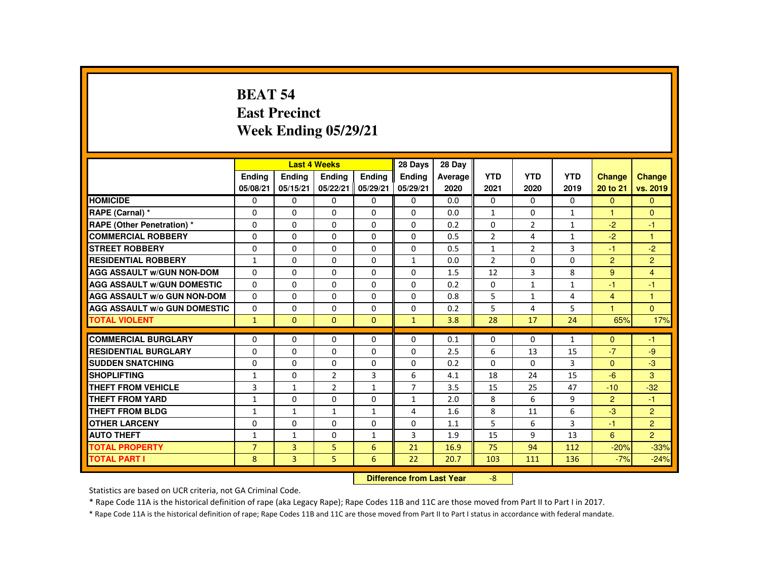#### **BEAT 54 East PrecinctWeek Ending 05/29/21**

|                                     |                           |                | <b>Last 4 Weeks</b> |               | 28 Days        | 28 Day  |                |                |              |                |                |
|-------------------------------------|---------------------------|----------------|---------------------|---------------|----------------|---------|----------------|----------------|--------------|----------------|----------------|
|                                     | <b>Endina</b>             | <b>Endina</b>  | Ending              | <b>Endina</b> | <b>Ending</b>  | Average | <b>YTD</b>     | <b>YTD</b>     | <b>YTD</b>   | <b>Change</b>  | Change         |
|                                     | 05/08/21                  | 05/15/21       | 05/22/21            | 05/29/21      | 05/29/21       | 2020    | 2021           | 2020           | 2019         | 20 to 21       | vs. 2019       |
| <b>HOMICIDE</b>                     | 0                         | $\Omega$       | 0                   | 0             | 0              | 0.0     | 0              | $\Omega$       | $\Omega$     | $\Omega$       | $\mathbf{0}$   |
| RAPE (Carnal) *                     | 0                         | $\Omega$       | $\Omega$            | $\Omega$      | $\Omega$       | 0.0     | $\mathbf{1}$   | 0              | $\mathbf{1}$ |                | $\mathbf{0}$   |
| <b>RAPE (Other Penetration) *</b>   | $\Omega$                  | $\Omega$       | $\Omega$            | $\Omega$      | $\Omega$       | 0.2     | $\Omega$       | 2              | $\mathbf{1}$ | $-2$           | $-1$           |
| <b>COMMERCIAL ROBBERY</b>           | $\Omega$                  | $\Omega$       | $\Omega$            | $\Omega$      | $\Omega$       | 0.5     | $\overline{2}$ | 4              | $\mathbf{1}$ | $-2$           | $\mathbf{1}$   |
| <b>STREET ROBBERY</b>               | $\Omega$                  | $\Omega$       | $\Omega$            | $\Omega$      | $\Omega$       | 0.5     | $\mathbf{1}$   | $\overline{2}$ | 3            | $-1$           | $-2$           |
| <b>RESIDENTIAL ROBBERY</b>          | $\mathbf{1}$              | 0              | 0                   | 0             | $\mathbf{1}$   | 0.0     | $\overline{2}$ | 0              | 0            | 2              | $\overline{2}$ |
| <b>AGG ASSAULT W/GUN NON-DOM</b>    | $\Omega$                  | $\Omega$       | $\Omega$            | $\Omega$      | $\Omega$       | 1.5     | 12             | 3              | 8            | 9              | $\overline{4}$ |
| <b>AGG ASSAULT W/GUN DOMESTIC</b>   | $\Omega$                  | $\Omega$       | $\Omega$            | $\Omega$      | $\Omega$       | 0.2     | $\Omega$       | $\mathbf{1}$   | $\mathbf{1}$ | -1             | $-1$           |
| <b>AGG ASSAULT W/o GUN NON-DOM</b>  | $\Omega$                  | $\Omega$       | $\Omega$            | $\Omega$      | $\Omega$       | 0.8     | 5              | $\mathbf{1}$   | 4            | $\overline{4}$ | $\mathbf{1}$   |
| <b>AGG ASSAULT W/o GUN DOMESTIC</b> | $\Omega$                  | $\Omega$       | $\Omega$            | $\Omega$      | $\Omega$       | 0.2     | 5              | 4              | 5            | 1              | $\Omega$       |
| <b>TOTAL VIOLENT</b>                | $\mathbf{1}$              | $\mathbf{0}$   | $\mathbf{0}$        | $\mathbf{0}$  | $\mathbf{1}$   | 3.8     | 28             | 17             | 24           | 65%            | 17%            |
| <b>COMMERCIAL BURGLARY</b>          | $\Omega$                  | $\Omega$       | $\Omega$            | $\Omega$      | $\Omega$       | 0.1     | $\Omega$       | 0              | $\mathbf{1}$ | $\Omega$       | $-1$           |
|                                     |                           |                |                     |               |                |         |                |                |              | $-7$           |                |
| <b>RESIDENTIAL BURGLARY</b>         | $\Omega$                  | $\Omega$       | $\Omega$            | $\Omega$      | $\Omega$       | 2.5     | 6              | 13             | 15           |                | $-9$           |
| <b>SUDDEN SNATCHING</b>             | 0                         | 0              | 0                   | 0             | 0              | 0.2     | $\Omega$       | 0              | 3            | $\Omega$       | $-3$           |
| <b>SHOPLIFTING</b>                  | $\mathbf{1}$              | $\Omega$       | 2                   | 3             | 6              | 4.1     | 18             | 24             | 15           | $-6$           | 3              |
| <b>THEFT FROM VEHICLE</b>           | 3                         | $\mathbf{1}$   | $\overline{2}$      | $\mathbf{1}$  | $\overline{7}$ | 3.5     | 15             | 25             | 47           | $-10$          | $-32$          |
| <b>THEFT FROM YARD</b>              | $\mathbf{1}$              | $\Omega$       | $\Omega$            | $\Omega$      | $\mathbf{1}$   | 2.0     | 8              | 6              | 9            | $\overline{2}$ | $-1$           |
| THEFT FROM BLDG                     | $\mathbf{1}$              | $\mathbf{1}$   | $\mathbf{1}$        | $\mathbf{1}$  | 4              | 1.6     | 8              | 11             | 6            | $-3$           | $\overline{2}$ |
| <b>OTHER LARCENY</b>                | $\Omega$                  | $\Omega$       | $\Omega$            | $\Omega$      | $\Omega$       | 1.1     | 5              | 6              | 3            | -1             | 2 <sup>1</sup> |
| <b>AUTO THEFT</b>                   | $\mathbf{1}$              | $\mathbf{1}$   | $\Omega$            | $\mathbf{1}$  | 3              | 1.9     | 15             | 9              | 13           | 6              | $\overline{2}$ |
| <b>TOTAL PROPERTY</b>               | $\overline{7}$            | $\overline{3}$ | 5                   | 6             | 21             | 16.9    | 75             | 94             | 112          | $-20%$         | $-33%$         |
| <b>TOTAL PART I</b>                 | 8                         | 3              | 5 <sup>5</sup>      | 6             | 22             | 20.7    | 103            | 111            | 136          | $-7%$          | $-24%$         |
|                                     | Difference from Load Vacu |                |                     |               |                |         | $\Omega$       |                |              |                |                |

 **Difference from Last Year**-8

Statistics are based on UCR criteria, not GA Criminal Code.

\* Rape Code 11A is the historical definition of rape (aka Legacy Rape); Rape Codes 11B and 11C are those moved from Part II to Part I in 2017.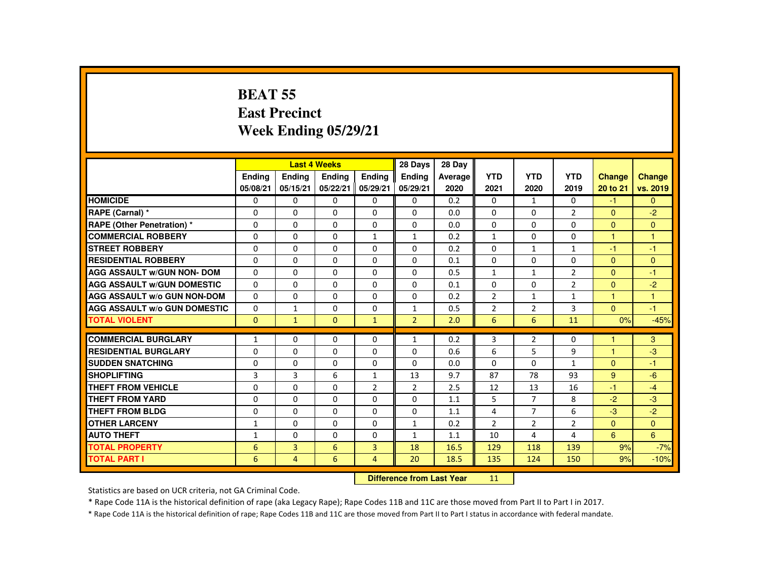#### **BEAT 55 East PrecinctWeek Ending 05/29/21**

|                                     |               |                           | <b>Last 4 Weeks</b> |                | 28 Days        | 28 Day  |                |                |                |                |                |
|-------------------------------------|---------------|---------------------------|---------------------|----------------|----------------|---------|----------------|----------------|----------------|----------------|----------------|
|                                     | <b>Ending</b> | <b>Ending</b>             | <b>Ending</b>       | Ending         | <b>Endina</b>  | Average | <b>YTD</b>     | <b>YTD</b>     | <b>YTD</b>     | <b>Change</b>  | <b>Change</b>  |
|                                     | 05/08/21      | 05/15/21                  | 05/22/21            | 05/29/21       | 05/29/21       | 2020    | 2021           | 2020           | 2019           | 20 to 21       | vs. 2019       |
| <b>HOMICIDE</b>                     | $\Omega$      | $\Omega$                  | $\Omega$            | $\Omega$       | 0              | 0.2     | $\Omega$       | $\mathbf{1}$   | $\Omega$       | $-1$           | $\overline{0}$ |
| RAPE (Carnal) *                     | 0             | $\Omega$                  | $\Omega$            | $\Omega$       | 0              | 0.0     | 0              | $\Omega$       | $\overline{2}$ | $\overline{0}$ | $-2$           |
| <b>RAPE (Other Penetration) *</b>   | $\Omega$      | $\Omega$                  | $\Omega$            | $\Omega$       | 0              | 0.0     | $\Omega$       | $\Omega$       | $\Omega$       | $\Omega$       | $\mathbf{0}$   |
| <b>COMMERCIAL ROBBERY</b>           | $\Omega$      | $\Omega$                  | $\Omega$            | $\mathbf{1}$   | $\mathbf{1}$   | 0.2     | $\mathbf{1}$   | $\Omega$       | $\Omega$       | $\mathbf{1}$   | $\mathbf{1}$   |
| <b>STREET ROBBERY</b>               | $\Omega$      | $\Omega$                  | $\Omega$            | $\Omega$       | $\Omega$       | 0.2     | $\Omega$       | $\mathbf{1}$   | $\mathbf{1}$   | $-1$           | $-1$           |
| <b>RESIDENTIAL ROBBERY</b>          | 0             | $\Omega$                  | $\mathbf{0}$        | 0              | 0              | 0.1     | 0              | 0              | 0              | $\mathbf{0}$   | $\mathbf{0}$   |
| <b>AGG ASSAULT w/GUN NON- DOM</b>   | $\Omega$      | $\Omega$                  | $\Omega$            | $\Omega$       | $\Omega$       | 0.5     | $\mathbf{1}$   | $\mathbf{1}$   | $\overline{2}$ | $\Omega$       | $-1$           |
| <b>AGG ASSAULT W/GUN DOMESTIC</b>   | $\Omega$      | $\Omega$                  | $\Omega$            | $\Omega$       | $\Omega$       | 0.1     | $\Omega$       | $\Omega$       | $\overline{2}$ | $\Omega$       | $-2$           |
| <b>AGG ASSAULT w/o GUN NON-DOM</b>  | $\Omega$      | $\Omega$                  | $\Omega$            | $\Omega$       | $\Omega$       | 0.2     | $\overline{2}$ | $\mathbf{1}$   | $\mathbf{1}$   | $\mathbf{1}$   | $\mathbf{1}$   |
| <b>AGG ASSAULT w/o GUN DOMESTIC</b> | $\Omega$      | $\mathbf{1}$              | $\Omega$            | $\Omega$       | $\mathbf{1}$   | 0.5     | $\overline{2}$ | $\overline{2}$ | 3              | $\Omega$       | $-1$           |
| <b>TOTAL VIOLENT</b>                | $\Omega$      | $\mathbf{1}$              | $\Omega$            | $\mathbf{1}$   | $\overline{2}$ | 2.0     | 6              | 6              | 11             | 0%             | $-45%$         |
| <b>COMMERCIAL BURGLARY</b>          | $\mathbf{1}$  | $\Omega$                  | $\Omega$            | $\Omega$       | $\mathbf{1}$   | 0.2     | 3              | $\overline{2}$ | $\Omega$       | $\overline{1}$ | 3              |
| <b>RESIDENTIAL BURGLARY</b>         | $\Omega$      | $\Omega$                  | $\Omega$            | $\Omega$       | $\Omega$       | 0.6     | 6              | 5              | 9              | $\mathbf{1}$   | $-3$           |
| <b>SUDDEN SNATCHING</b>             | $\Omega$      | $\Omega$                  | $\Omega$            | $\Omega$       | $\Omega$       | 0.0     | $\Omega$       | $\Omega$       | $\mathbf{1}$   | $\Omega$       | $-1$           |
| <b>SHOPLIFTING</b>                  | 3             | 3                         | 6                   | $\mathbf{1}$   | 13             | 9.7     | 87             | 78             | 93             | 9              | $-6$           |
| <b>THEFT FROM VEHICLE</b>           | $\Omega$      | $\Omega$                  | $\Omega$            | $\overline{2}$ | $\overline{2}$ | 2.5     | 12             | 13             | 16             | $-1$           | $-4$           |
| <b>THEFT FROM YARD</b>              | $\Omega$      | $\Omega$                  | $\Omega$            | $\Omega$       | $\Omega$       | 1.1     | 5              | $\overline{7}$ | 8              | $-2$           | $-3$           |
| <b>THEFT FROM BLDG</b>              | $\Omega$      | $\Omega$                  | $\Omega$            | $\Omega$       | 0              | 1.1     | 4              | $\overline{7}$ | 6              | $-3$           | $-2$           |
| <b>OTHER LARCENY</b>                | 1             | $\Omega$                  | $\Omega$            | $\Omega$       | $\mathbf{1}$   | 0.2     | $\overline{2}$ | $\overline{2}$ | $\overline{2}$ | $\Omega$       | $\mathbf{0}$   |
| <b>AUTO THEFT</b>                   | $\mathbf{1}$  | $\Omega$                  | $\Omega$            | $\Omega$       | $\mathbf{1}$   | 1.1     | 10             | 4              | 4              | $6^{\circ}$    | 6              |
| <b>TOTAL PROPERTY</b>               | 6             | $\overline{3}$            | 6                   | $\overline{3}$ | 18             | 16.5    | 129            | 118            | 139            | 9%             | $-7%$          |
| <b>TOTAL PART I</b>                 | 6             | 4                         | 6                   | 4              | 20             | 18.5    | 135            | 124            | 150            | 9%             | $-10%$         |
|                                     |               | Difference from Leat Vacu |                     | 44.1           |                |         |                |                |                |                |                |

 **Difference from Last Year**<sup>11</sup>

Statistics are based on UCR criteria, not GA Criminal Code.

\* Rape Code 11A is the historical definition of rape (aka Legacy Rape); Rape Codes 11B and 11C are those moved from Part II to Part I in 2017.